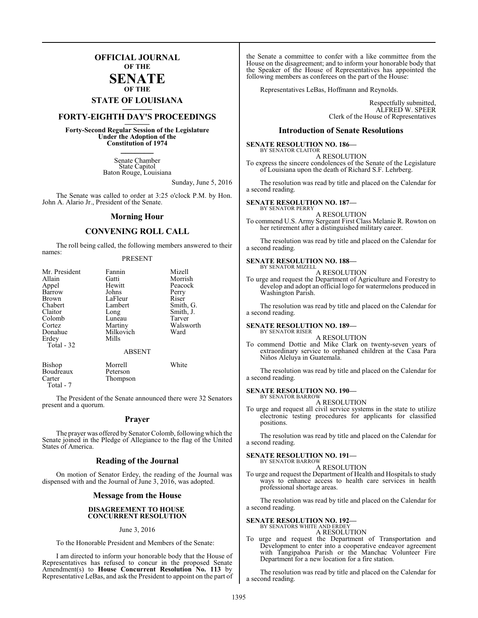## **OFFICIAL JOURNAL OF THE**

#### **SENATE OF THE**

# **STATE OF LOUISIANA \_\_\_\_\_\_\_**

# **FORTY-EIGHTH DAY'S PROCEEDINGS \_\_\_\_\_\_\_**

**Forty-Second Regular Session of the Legislature Under the Adoption of the Constitution of 1974 \_\_\_\_\_\_\_**

> Senate Chamber State Capitol Baton Rouge, Louisiana

> > Sunday, June 5, 2016

The Senate was called to order at 3:25 o'clock P.M. by Hon. John A. Alario Jr., President of the Senate.

#### **Morning Hour**

#### **CONVENING ROLL CALL**

The roll being called, the following members answered to their names:

#### PRESENT

| Mr. President | Fannin        | Mizell    |
|---------------|---------------|-----------|
| Allain        | Gatti         | Morrish   |
| Appel         | Hewitt        | Peacock   |
| Barrow        | Johns         | Perry     |
| Brown         | LaFleur       | Riser     |
| Chabert       | Lambert       | Smith, G. |
| Claitor       | Long          | Smith, J. |
| Colomb        | Luneau        | Tarver    |
| Cortez        | Martiny       | Walsworth |
| Donahue       | Milkovich     | Ward      |
| Erdey         | Mills         |           |
| Total - 32    |               |           |
|               | <b>ABSENT</b> |           |
| <b>Bishop</b> | Morrell       | White     |
| Boudreaux     | Peterson      |           |
| Carter        | Thompson      |           |

The President of the Senate announced there were 32 Senators present and a quorum.

Thompson

Total - 7

#### **Prayer**

The prayer was offered by Senator Colomb, following which the Senate joined in the Pledge of Allegiance to the flag of the United States of America.

#### **Reading of the Journal**

On motion of Senator Erdey, the reading of the Journal was dispensed with and the Journal of June 3, 2016, was adopted.

#### **Message from the House**

#### **DISAGREEMENT TO HOUSE CONCURRENT RESOLUTION**

#### June 3, 2016

To the Honorable President and Members of the Senate:

I am directed to inform your honorable body that the House of Representatives has refused to concur in the proposed Senate Amendment(s) to **House Concurrent Resolution No. 113** by Representative LeBas, and ask the President to appoint on the part of

the Senate a committee to confer with a like committee from the House on the disagreement; and to inform your honorable body that the Speaker of the House of Representatives has appointed the following members as conferees on the part of the House:

Representatives LeBas, Hoffmann and Reynolds.

Respectfully submitted, ALFRED W. SPEER Clerk of the House of Representatives

#### **Introduction of Senate Resolutions**

#### **SENATE RESOLUTION NO. 186—** BY SENATOR CLAITOR

A RESOLUTION To express the sincere condolences of the Senate of the Legislature of Louisiana upon the death of Richard S.F. Lehrberg.

The resolution was read by title and placed on the Calendar for a second reading.

#### **SENATE RESOLUTION NO. 187—**

BY SENATOR PERRY A RESOLUTION

To commend U.S. Army Sergeant First Class Melanie R. Rowton on her retirement after a distinguished military career.

The resolution was read by title and placed on the Calendar for a second reading.

#### **SENATE RESOLUTION NO. 188—**

BY SENATOR MIZELL A RESOLUTION

To urge and request the Department of Agriculture and Forestry to develop and adopt an official logo for watermelons produced in Washington Parish.

The resolution was read by title and placed on the Calendar for a second reading.

#### **SENATE RESOLUTION NO. 189—** BY SENATOR RISER

A RESOLUTION

To commend Dottie and Mike Clark on twenty-seven years of extraordinary service to orphaned children at the Casa Para Niños Aleluya in Guatemala.

The resolution was read by title and placed on the Calendar for a second reading.

#### **SENATE RESOLUTION NO. 190—** BY SENATOR BARROW

A RESOLUTION

To urge and request all civil service systems in the state to utilize electronic testing procedures for applicants for classified positions.

The resolution was read by title and placed on the Calendar for a second reading.

# **SENATE RESOLUTION NO. 191—** BY SENATOR BARROW

A RESOLUTION

To urge and request the Department of Health and Hospitals to study ways to enhance access to health care services in health professional shortage areas.

The resolution was read by title and placed on the Calendar for a second reading.

#### **SENATE RESOLUTION NO. 192—**

BY SENATORS WHITE AND ERDEY A RESOLUTION

To urge and request the Department of Transportation and Development to enter into a cooperative endeavor agreement with Tangipahoa Parish or the Manchac Volunteer Fire Department for a new location for a fire station.

The resolution was read by title and placed on the Calendar for a second reading.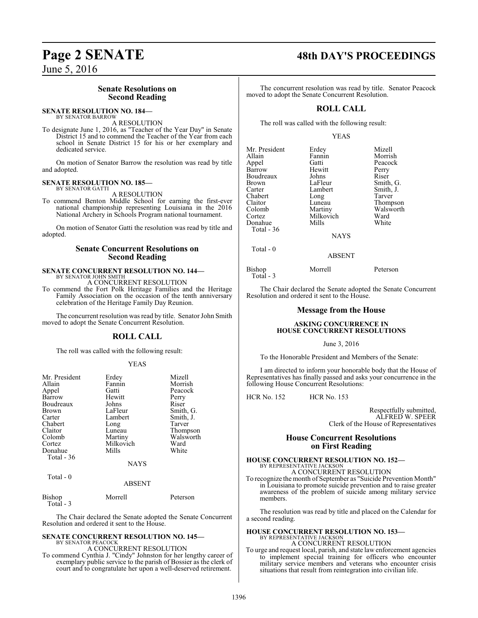## **Senate Resolutions on Second Reading**

#### **SENATE RESOLUTION NO. 184—** BY SENATOR BARROW

A RESOLUTION

To designate June 1, 2016, as "Teacher of the Year Day" in Senate District 15 and to commend the Teacher of the Year from each school in Senate District 15 for his or her exemplary and dedicated service.

On motion of Senator Barrow the resolution was read by title and adopted.

#### **SENATE RESOLUTION NO. 185—** BY SENATOR GATTI

A RESOLUTION

To commend Benton Middle School for earning the first-ever national championship representing Louisiana in the 2016 National Archery in Schools Program national tournament.

On motion of Senator Gatti the resolution was read by title and adopted.

#### **Senate Concurrent Resolutions on Second Reading**

#### **SENATE CONCURRENT RESOLUTION NO. 144—** BY SENATOR JOHN SMITH

A CONCURRENT RESOLUTION

To commend the Fort Polk Heritage Families and the Heritage Family Association on the occasion of the tenth anniversary celebration of the Heritage Family Day Reunion.

The concurrent resolution was read by title. Senator John Smith moved to adopt the Senate Concurrent Resolution.

### **ROLL CALL**

The roll was called with the following result:

#### YEAS

| Mr. President<br>Allain<br>Appel<br>Barrow<br><b>Boudreaux</b><br><b>Brown</b><br>Carter<br>Chabert<br>Claitor<br>Colomb<br>Cortez<br>Donahue<br>Total - 36 | Erdey<br>Fannin<br>Gatti<br>Hewitt<br>Johns<br>LaFleur<br>Lambert<br>Long<br>Luneau<br>Martiny<br>Milkovich<br>Mills | Mizell<br>Morrish<br>Peacock<br>Perry<br>Riser<br>Smith, G.<br>Smith, J.<br>Tarver<br>Thompson<br>Walsworth<br>Ward<br>White |
|-------------------------------------------------------------------------------------------------------------------------------------------------------------|----------------------------------------------------------------------------------------------------------------------|------------------------------------------------------------------------------------------------------------------------------|
|                                                                                                                                                             | <b>NAYS</b>                                                                                                          |                                                                                                                              |
| Total - 0                                                                                                                                                   | <b>ABSENT</b>                                                                                                        |                                                                                                                              |

| Bishop    | Morrell | Peterson |
|-----------|---------|----------|
| Total - 3 |         |          |

The Chair declared the Senate adopted the Senate Concurrent Resolution and ordered it sent to the House.

# **SENATE CONCURRENT RESOLUTION NO. 145—**

BY SENATOR PEACOCK A CONCURRENT RESOLUTION

To commend Cynthia J. "Cindy" Johnston for her lengthy career of exemplary public service to the parish of Bossier as the clerk of court and to congratulate her upon a well-deserved retirement.

# **Page 2 SENATE 48th DAY'S PROCEEDINGS**

The concurrent resolution was read by title. Senator Peacock moved to adopt the Senate Concurrent Resolution.

## **ROLL CALL**

The roll was called with the following result:

#### YEAS

| Mr. President<br>Allain<br>Appel<br>Barrow<br>Boudreaux<br><b>Brown</b><br>Carter<br>Chabert<br>Claitor<br>Colomb | Erdey<br>Fannin<br>Gatti<br>Hewitt<br>Johns<br>LaFleur<br>Lambert<br>Long<br>Luneau<br>Martiny | Mizell<br>Morrish<br>Peacock<br>Perry<br>Riser<br>Smith, G.<br>Smith, J.<br>Tarver<br>Thompson<br>Walsworth |
|-------------------------------------------------------------------------------------------------------------------|------------------------------------------------------------------------------------------------|-------------------------------------------------------------------------------------------------------------|
| Cortez                                                                                                            | Milkovich                                                                                      | Ward                                                                                                        |
| Donahue<br>Total - 36                                                                                             | Mills                                                                                          | White                                                                                                       |
|                                                                                                                   | <b>NAYS</b>                                                                                    |                                                                                                             |
| Total - 0                                                                                                         | <b>ARSENT</b>                                                                                  |                                                                                                             |

Bishop Morrell Peterson Total - 3

The Chair declared the Senate adopted the Senate Concurrent Resolution and ordered it sent to the House.

#### **Message from the House**

#### **ASKING CONCURRENCE IN HOUSE CONCURRENT RESOLUTIONS**

#### June 3, 2016

To the Honorable President and Members of the Senate:

I am directed to inform your honorable body that the House of Representatives has finally passed and asks your concurrence in the following House Concurrent Resolutions:

HCR No. 152 HCR No. 153

Respectfully submitted, ALFRED W. SPEER Clerk of the House of Representatives

#### **House Concurrent Resolutions on First Reading**

# **HOUSE CONCURRENT RESOLUTION NO. 152—** BY REPRESENTATIVE JACKSON A CONCURRENT RESOLUTION

To recognize the month of September as "Suicide Prevention Month" in Louisiana to promote suicide prevention and to raise greater awareness of the problem of suicide among military service members.

The resolution was read by title and placed on the Calendar for a second reading.

## **HOUSE CONCURRENT RESOLUTION NO. 153—** BY REPRESENTATIVE JACKSON A CONCURRENT RESOLUTION

To urge and request local, parish, and state law enforcement agencies to implement special training for officers who encounter military service members and veterans who encounter crisis situations that result from reintegration into civilian life.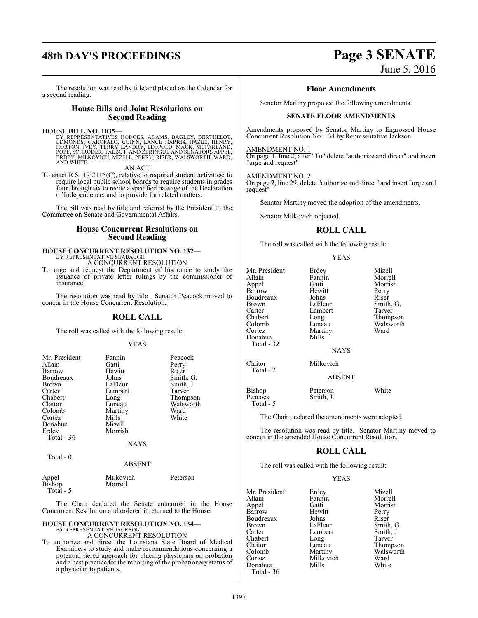# **48th DAY'S PROCEEDINGS Page 3 SENATE**

The resolution was read by title and placed on the Calendar for a second reading.

#### **House Bills and Joint Resolutions on Second Reading**

**HOUSE BILL NO. 1035—**<br>BY REPRESENTATIVES HODGES, ADAMS, BAGLEY, BERTHELOT,<br>EDMONDS, GAROFALO, GUINN, LANCE HARRIS, HAZEL, HENRY,<br>HORTON, IVEY, TERRY LANDRY, LEOPOLD, MACK, MCFARLAND,<br>POPE, SCHRODER, TALBOT, AND ZERINGUE A

AN ACT

To enact R.S. 17:2115(C), relative to required student activities; to require local public school boards to require students in grades four through six to recite a specified passage of the Declaration of Independence; and to provide for related matters.

The bill was read by title and referred by the President to the Committee on Senate and Governmental Affairs.

#### **House Concurrent Resolutions on Second Reading**

#### **HOUSE CONCURRENT RESOLUTION NO. 132—** BY REPRESENTATIVE SEABAUGH

A CONCURRENT RESOLUTION

To urge and request the Department of Insurance to study the issuance of private letter rulings by the commissioner of insurance.

The resolution was read by title. Senator Peacock moved to concur in the House Concurrent Resolution.

#### **ROLL CALL**

The roll was called with the following result:

#### YEAS

| Mr. President<br>Allain<br>Barrow<br>Boudreaux<br>Brown<br>Carter<br>Chabert<br>Claitor<br>Colomb<br>Cortez<br>Donahue<br>Erdey | Fannin<br>Gatti<br>Hewitt<br>Johns<br>LaFleur<br>Lambert<br>Long<br>Luneau<br>Martiny<br>Mills<br>Mizell<br>Morrish | Peacock<br>Perry<br>Riser<br>Smith, G.<br>Smith, J.<br>Tarver<br>Thompson<br>Walsworth<br>Ward<br>White |
|---------------------------------------------------------------------------------------------------------------------------------|---------------------------------------------------------------------------------------------------------------------|---------------------------------------------------------------------------------------------------------|
| Total - 34<br>Total - 0                                                                                                         | <b>NAYS</b>                                                                                                         |                                                                                                         |

#### ABSENT

| Appel     | Milkovich | Peterson |
|-----------|-----------|----------|
| Bishop    | Morrell   |          |
| Total - 5 |           |          |

The Chair declared the Senate concurred in the House Concurrent Resolution and ordered it returned to the House.

# **HOUSE CONCURRENT RESOLUTION NO. 134—** BY REPRESENTATIVE JACKSON

A CONCURRENT RESOLUTION

To authorize and direct the Louisiana State Board of Medical Examiners to study and make recommendations concerning a potential tiered approach for placing physicians on probation and a best practice for the reporting of the probationary status of a physician to patients.

# June 5, 2016

#### **Floor Amendments**

Senator Martiny proposed the following amendments.

#### **SENATE FLOOR AMENDMENTS**

Amendments proposed by Senator Martiny to Engrossed House Concurrent Resolution No. 134 by Representative Jackson

#### AMENDMENT NO. 1

On page 1, line 2, after "To" delete "authorize and direct" and insert "urge and request"

#### AMENDMENT NO. 2

On page 2, line 29, delete "authorize and direct" and insert "urge and request"

Senator Martiny moved the adoption of the amendments.

Senator Milkovich objected.

#### **ROLL CALL**

The roll was called with the following result:

#### YEAS

| Mr. President<br>Allain<br>Appel<br>Barrow<br>Boudreaux<br><b>Brown</b><br>Carter<br>Chabert<br>Colomb<br>Cortez<br>Donahue<br>Total - 32 | Erdey<br>Fannin<br>Gatti<br>Hewitt<br>Johns<br>LaFleur<br>Lambert<br>Long<br>Luneau<br>Martiny<br>Mills<br><b>NAYS</b> | Mizell<br>Morrell<br>Morrish<br>Perry<br>Riser<br>Smith, G.<br>Tarver<br>Thompson<br>Walsworth<br>Ward |
|-------------------------------------------------------------------------------------------------------------------------------------------|------------------------------------------------------------------------------------------------------------------------|--------------------------------------------------------------------------------------------------------|
| Claitor<br>Total - 2                                                                                                                      | Milkovich<br>ABSENT                                                                                                    |                                                                                                        |
| Bishop<br>Peacock<br>Total - 5                                                                                                            | Peterson<br>Smith, J.                                                                                                  | White                                                                                                  |

The Chair declared the amendments were adopted.

The resolution was read by title. Senator Martiny moved to concur in the amended House Concurrent Resolution.

### **ROLL CALL**

The roll was called with the following result:

#### YEAS

| Mr. President | Erdey     | Mizell    |
|---------------|-----------|-----------|
| Allain        | Fannin    | Morrell   |
| Appel         | Gatti     | Morrish   |
| Barrow        | Hewitt    | Perry     |
| Boudreaux     | Johns     | Riser     |
| Brown         | LaFleur   | Smith, G. |
| Carter        | Lambert   | Smith, J. |
| Chabert       | Long      | Tarver    |
| Claitor       | Luneau    | Thompson  |
| Colomb        | Martiny   | Walsworth |
| Cortez        | Milkovich | Ward      |
| Donahue       | Mills     | White     |
| Total - 36    |           |           |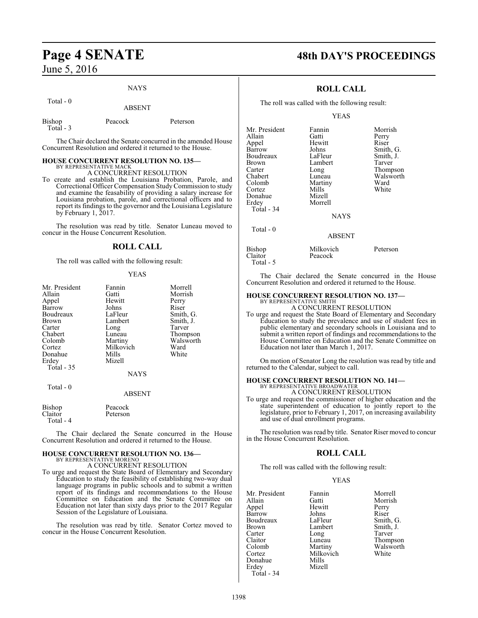#### NAYS

Total - 0

ABSENT

| Bishop     | Peacock |  |
|------------|---------|--|
| Total $-3$ |         |  |
|            |         |  |

The Chair declared the Senate concurred in the amended House Concurrent Resolution and ordered it returned to the House.

Peterson

#### **HOUSE CONCURRENT RESOLUTION NO. 135—**

BY REPRESENTATIVE MACK A CONCURRENT RESOLUTION

To create and establish the Louisiana Probation, Parole, and Correctional Officer Compensation StudyCommission to study and examine the feasability of providing a salary increase for Louisiana probation, parole, and correctional officers and to report its findingsto the governor and the Louisiana Legislature by February 1, 2017.

The resolution was read by title. Senator Luneau moved to concur in the House Concurrent Resolution.

#### **ROLL CALL**

The roll was called with the following result:

#### YEAS

| Mr. President     | Fannin      | Morrell   |
|-------------------|-------------|-----------|
| Allain            | Gatti       | Morrish   |
| Appel             | Hewitt      | Perry     |
| Barrow            | Johns       | Riser     |
| Boudreaux         | LaFleur     | Smith, G. |
| Brown             | Lambert     | Smith, J. |
| Carter            | Long        | Tarver    |
| Chabert           | Luneau      | Thompson  |
| Colomb            | Martiny     | Walsworth |
| Cortez            | Milkovich   | Ward      |
| Donahue           | Mills       | White     |
| Erdey             | Mizell      |           |
| <b>Total - 35</b> |             |           |
|                   | <b>NAYS</b> |           |
| Total - 0         |             |           |

#### ABSENT

Bishop Peacock<br>Claitor Peterson Peterson Total - 4

The Chair declared the Senate concurred in the House Concurrent Resolution and ordered it returned to the House.

#### **HOUSE CONCURRENT RESOLUTION NO. 136—** BY REPRESENTATIVE MORENO A CONCURRENT RESOLUTION

To urge and request the State Board of Elementary and Secondary Education to study the feasibility of establishing two-way dual language programs in public schools and to submit a written report of its findings and recommendations to the House Committee on Education and the Senate Committee on Education not later than sixty days prior to the 2017 Regular Session of the Legislature of Louisiana.

The resolution was read by title. Senator Cortez moved to concur in the House Concurrent Resolution.

# **Page 4 SENATE 48th DAY'S PROCEEDINGS**

### **ROLL CALL**

The roll was called with the following result:

#### YEAS

| Mr. President | Fannin      | Morrish   |
|---------------|-------------|-----------|
| Allain        | Gatti       | Perry     |
| Appel         | Hewitt      | Riser     |
| Barrow        | Johns       | Smith, G. |
| Boudreaux     | LaFleur     | Smith, J. |
| <b>Brown</b>  | Lambert     | Tarver    |
| Carter        | Long        | Thompson  |
| Chabert       | Luneau      | Walsworth |
| Colomb        | Martiny     | Ward      |
| Cortez        | Mills       | White     |
| Donahue       | Mizell      |           |
| Erdey         | Morrell     |           |
| Total - 34    |             |           |
|               | <b>NAYS</b> |           |
| Total $-0$    |             |           |
|               | ABSENT      |           |

#### ABSENT

| Bishop    | Milkovich | Peterson |
|-----------|-----------|----------|
| Claitor   | Peacock   |          |
| Total - 5 |           |          |

The Chair declared the Senate concurred in the House Concurrent Resolution and ordered it returned to the House.

#### **HOUSE CONCURRENT RESOLUTION NO. 137—**

BY REPRESENTATIVE SMITH A CONCURRENT RESOLUTION

To urge and request the State Board of Elementary and Secondary Education to study the prevalence and use of student fees in public elementary and secondary schools in Louisiana and to submit a written report of findings and recommendations to the House Committee on Education and the Senate Committee on Education not later than March 1, 2017.

On motion of Senator Long the resolution was read by title and returned to the Calendar, subject to call.

## **HOUSE CONCURRENT RESOLUTION NO. 141—**

BY REPRESENTATIVE BROADWATER A CONCURRENT RESOLUTION

To urge and request the commissioner of higher education and the state superintendent of education to jointly report to the legislature, prior to February 1, 2017, on increasing availability and use of dual enrollment programs.

The resolution was read by title. Senator Riser moved to concur in the House Concurrent Resolution.

### **ROLL CALL**

The roll was called with the following result:

#### YEAS

| Mr. President | Fannin    | Morrell   |
|---------------|-----------|-----------|
| Allain        | Gatti     | Morrish   |
|               |           |           |
| Appel         | Hewitt    | Perry     |
| Barrow        | Johns     | Riser     |
| Boudreaux     | LaFleur   | Smith, G. |
| Brown         | Lambert   | Smith, J. |
| Carter        | Long      | Tarver    |
| Claitor       | Luneau    | Thompson  |
| Colomb        | Martiny   | Walsworth |
| Cortez        | Milkovich | White     |
| Donahue       | Mills     |           |
| Erdey         | Mizell    |           |
| Total - 34    |           |           |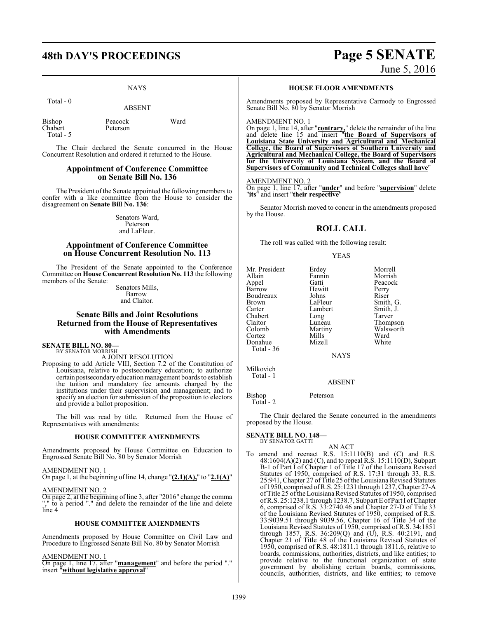# **48th DAY'S PROCEEDINGS Page 5 SENATE**

#### NAYS

Total - 0

ABSENT

| Bishop    | Peacock  | Ward |
|-----------|----------|------|
| Chabert   | Peterson |      |
| Total - 5 |          |      |

The Chair declared the Senate concurred in the House Concurrent Resolution and ordered it returned to the House.

#### **Appointment of Conference Committee on Senate Bill No. 136**

The President of the Senate appointed the following members to confer with a like committee from the House to consider the disagreement on **Senate Bill No. 136**:

> Senators Ward, Peterson and LaFleur.

### **Appointment of Conference Committee on House Concurrent Resolution No. 113**

The President of the Senate appointed to the Conference Committee on **House Concurrent Resolution No. 113** the following members of the Senate:

> Senators Mills, Barrow and Claitor.

#### **Senate Bills and Joint Resolutions Returned from the House of Representatives with Amendments**

#### **SENATE BILL NO. 80—**

BY SENATOR MORRISH A JOINT RESOLUTION

Proposing to add Article VIII, Section 7.2 of the Constitution of Louisiana, relative to postsecondary education; to authorize certain postsecondaryeducation management boards to establish the tuition and mandatory fee amounts charged by the institutions under their supervision and management; and to specify an election for submission of the proposition to electors and provide a ballot proposition.

The bill was read by title. Returned from the House of Representatives with amendments:

#### **HOUSE COMMITTEE AMENDMENTS**

Amendments proposed by House Committee on Education to Engrossed Senate Bill No. 80 by Senator Morrish

#### AMENDMENT NO. 1

On page 1, at the beginning of line 14, change "**(2.1)(A),**" to "**2.1(A)**"

#### AMENDMENT NO. 2

On page 2, at the beginning of line 3, after "2016" change the comma "," to a period "." and delete the remainder of the line and delete line 4

#### **HOUSE COMMITTEE AMENDMENTS**

Amendments proposed by House Committee on Civil Law and Procedure to Engrossed Senate Bill No. 80 by Senator Morrish

#### AMENDMENT NO. 1

On page 1, line 17, after "**management**" and before the period "." insert "**without legislative approval**"

#### **HOUSE FLOOR AMENDMENTS**

Amendments proposed by Representative Carmody to Engrossed Senate Bill No. 80 by Senator Morrish

#### AMENDMENT NO. 1

On page 1, line 14, after "**contrary,**" delete the remainder of the line and delete line 15 and insert "**the Board of Supervisors of Louisiana State University and Agricultural and Mechanical College, the Board of Supervisors of Southern University and Agricultural and Mechanical College, the Board of Supervisors for the University of Louisiana System, and the Board of Supervisors of Community and Technical Colleges shall have**"

#### AMENDMENT NO. 2

On page 1, line 17, after "**under**" and before "**supervision**" delete "**its**" and insert "**their respective**"

Senator Morrish moved to concur in the amendments proposed by the House.

#### **ROLL CALL**

The roll was called with the following result:

#### YEAS

Mr. President Erdey Morrell<br>Allain Fannin Morrish Allain Fannin Morrish<br>
Appel Gatti Peacock Barrow Hewitt Perry<br>Boudreaux Johns Riser Boudreaux Johns<br>Brown LaFleur Brown LaFleur Smith, G.<br>
Carter Lambert Smith, J. Chabert Long<br>Claitor Luneau Claitor Luneau Thompson<br>Colomb Martiny Walsworth Cortez Mills Ward<br>
Donahue Mizell White Donahue Total - 36

Peacock Lambert Smith,<br>
Long Tarver Martiny Walsworth<br>
Mills Ward

NAYS

Milkovich Total - 1

#### ABSENT

Bishop Peterson Total - 2

The Chair declared the Senate concurred in the amendments proposed by the House.

AN ACT

# **SENATE BILL NO. 148—** BY SENATOR GATTI

To amend and reenact R.S. 15:1110(B) and (C) and R.S. 48:1604(A)(2) and (C), and to repeal R.S. 15:1110(D), Subpart B-1 of Part I of Chapter 1 of Title 17 of the Louisiana Revised Statutes of 1950, comprised of R.S. 17:31 through 33, R.S. 25:941, Chapter 27 ofTitle 25 ofthe Louisiana Revised Statutes of 1950, comprised ofR.S. 25:1231 through 1237, Chapter 27-A of Title 25 of the Louisiana Revised Statutes of 1950, comprised ofR.S. 25:1238.1 through 1238.7, Subpart E ofPart I ofChapter 6, comprised of R.S. 33:2740.46 and Chapter 27-D of Title 33 of the Louisiana Revised Statutes of 1950, comprised of R.S. 33:9039.51 through 9039.56, Chapter 16 of Title 34 of the Louisiana Revised Statutes of 1950, comprised of R.S. 34:1851 through 1857, R.S. 36:209(Q) and (U), R.S. 40:2191, and Chapter 21 of Title 48 of the Louisiana Revised Statutes of 1950, comprised of R.S. 48:1811.1 through 1811.6, relative to boards, commissions, authorities, districts, and like entities; to provide relative to the functional organization of state government by abolishing certain boards, commissions, councils, authorities, districts, and like entities; to remove

# June 5, 2016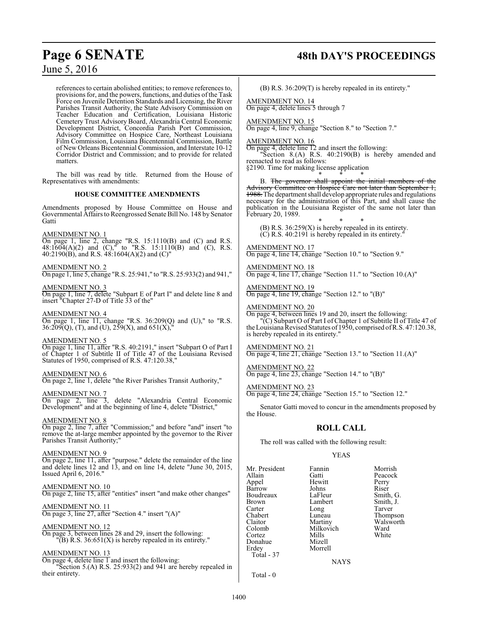references to certain abolished entities; to remove references to, provisions for, and the powers, functions, and duties of the Task Force on Juvenile Detention Standards and Licensing, the River Parishes Transit Authority, the State Advisory Commission on Teacher Education and Certification, Louisiana Historic Cemetery Trust Advisory Board, Alexandria Central Economic Development District, Concordia Parish Port Commission, Advisory Committee on Hospice Care, Northeast Louisiana Film Commission, Louisiana Bicentennial Commission, Battle of New Orleans Bicentennial Commission, and Interstate 10-12 Corridor District and Commission; and to provide for related matters.

The bill was read by title. Returned from the House of Representatives with amendments:

### **HOUSE COMMITTEE AMENDMENTS**

Amendments proposed by House Committee on House and Governmental Affairs to Reengrossed Senate Bill No. 148 by Senator Gatti

#### AMENDMENT NO. 1

On page 1, line 2, change "R.S. 15:1110(B) and (C) and R.S.  $48:1604(A)(2)$  and  $(C)$ ,<sup>"</sup> to "R.S. 15:1110(B) and  $(C)$ , R.S. 40:2190(B), and R.S. 48:1604(A)(2) and (C)"

#### AMENDMENT NO. 2

On page 1, line 5, change "R.S. 25:941," to "R.S. 25:933(2) and 941,"

#### AMENDMENT NO. 3

On page 1, line 7, delete "Subpart E of Part I" and delete line 8 and insert "Chapter 27-D of Title 33 of the"

#### AMENDMENT NO. 4

On page 1, line 11, change "R.S. 36:209(Q) and (U)," to "R.S.  $36:209(Q), (T),$  and  $(U), 259(X),$  and  $651(X),$ "

#### AMENDMENT NO. 5

On page 1, line 11, after "R.S. 40:2191," insert "Subpart O of Part I of Chapter 1 of Subtitle II of Title 47 of the Louisiana Revised Statutes of 1950, comprised of R.S. 47:120.38,"

#### AMENDMENT NO. 6

On page 2, line 1, delete "the River Parishes Transit Authority,"

AMENDMENT NO. 7 On page 2, line 3, delete "Alexandria Central Economic Development" and at the beginning of line 4, delete "District,"

#### AMENDMENT NO. 8

On page 2, line 7, after "Commission;" and before "and" insert "to remove the at-large member appointed by the governor to the River Parishes Transit Authority;

#### AMENDMENT NO. 9

On page 2, line 11, after "purpose." delete the remainder of the line and delete lines 12 and 13, and on line 14, delete "June 30, 2015, Issued April 6, 2016."

#### AMENDMENT NO. 10

On page 2, line 15, after "entities" insert "and make other changes"

#### AMENDMENT NO. 11

On page 3, line 27, after "Section 4." insert "(A)"

#### AMENDMENT NO. 12

On page 3, between lines 28 and 29, insert the following:  $\overline{P(B)}$  R.S. 36:651(X) is hereby repealed in its entirety."

#### AMENDMENT NO. 13

On page 4, delete line  $\overline{1}$  and insert the following: "Section 5.(A) R.S. 25:933(2) and 941 are hereby repealed in their entirety.

# **Page 6 SENATE 48th DAY'S PROCEEDINGS**

(B) R.S. 36:209(T) is hereby repealed in its entirety."

AMENDMENT NO. 14 On page 4, delete lines 5 through 7

AMENDMENT NO. 15 On page 4, line 9, change "Section 8." to "Section 7."

AMENDMENT NO. 16

On page 4, delete line 12 and insert the following:

"Section 8.(A) R.S. 40:2190(B) is hereby amended and reenacted to read as follows:

§2190. Time for making license application \* \* \*

B. The governor shall appoint the initial members of the Advisory Committee on Hospice Care not later than September 1, 1988. The department shall develop appropriate rules and regulations necessary for the administration of this Part, and shall cause the publication in the Louisiana Register of the same not later than February 20, 1989.

\* \* \* (B) R.S. 36:259(X) is hereby repealed in its entirety.  $(C)$  R.S. 40:2191 is hereby repealed in its entirety.

AMENDMENT NO. 17 On page 4, line 14, change "Section 10." to "Section 9."

AMENDMENT NO. 18 On page 4, line 17, change "Section 11." to "Section 10.(A)"

AMENDMENT NO. 19 On page 4, line 19, change "Section 12." to "(B)"

AMENDMENT NO. 20

On page 4, between lines 19 and 20, insert the following: "(C) Subpart O of Part I of Chapter 1 of Subtitle II of Title 47 of the Louisiana Revised Statutes of1950, comprised ofR.S. 47:120.38, is hereby repealed in its entirety."

#### AMENDMENT NO. 21

On page 4, line 21, change "Section 13." to "Section 11.(A)"

AMENDMENT NO. 22 On page 4, line 23, change "Section 14." to "(B)"

AMENDMENT NO. 23 On page 4, line 24, change "Section 15." to "Section 12."

Senator Gatti moved to concur in the amendments proposed by the House.

### **ROLL CALL**

The roll was called with the following result:

#### YEAS

Mr. President Fannin Morrish<br>Allain Gatti Reacock Allain Gatti Peacock Barrow Johns Riser<br>Boudreaux LaFleur Smith, G. Boudreaux LaFleur Smith, G.<br>Brown Lambert Smith, J. Brown Lambert<br>
Carter Long Carter Long Tarver<br>
Chabert Luneau Thomp Chabert Luneau Thompson Claitor Martiny Walsworth<br>Colomb Milkovich Ward Cortez Mills<br>Donahue Mizell Donahue<br>Erdev Total - 37

Hewitt Perry<br>
Johns Riser Milkovich Ward<br>
Mills White

NAYS

Morrell

Total - 0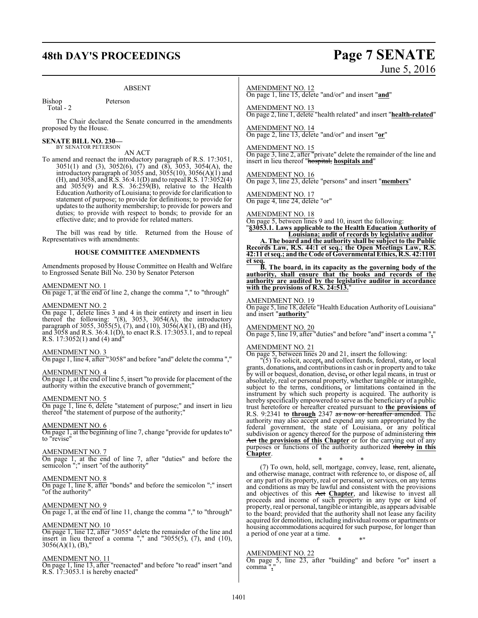# **48th DAY'S PROCEEDINGS Page 7 SENATE**

#### ABSENT

Bishop Peterson Total - 2

The Chair declared the Senate concurred in the amendments proposed by the House.

# **SENATE BILL NO. 230—** BY SENATOR PETERSON

#### AN ACT

To amend and reenact the introductory paragraph of R.S. 17:3051, 3051(1) and (3), 3052(6), (7) and (8), 3053, 3054(A), the introductory paragraph of 3055 and, 3055(10), 3056(A)(1) and (H), and 3058, andR.S. 36:4.1(D) and to repeal R.S. 17:3052(4) and 3055(9) and R.S. 36:259(B), relative to the Health Education Authority of Louisiana; to provide for clarification to statement of purpose; to provide for definitions; to provide for updates to the authority membership; to provide for powers and duties; to provide with respect to bonds; to provide for an effective date; and to provide for related matters.

The bill was read by title. Returned from the House of Representatives with amendments:

#### **HOUSE COMMITTEE AMENDMENTS**

Amendments proposed by House Committee on Health and Welfare to Engrossed Senate Bill No. 230 by Senator Peterson

#### AMENDMENT NO. 1

On page 1, at the end of line 2, change the comma "," to "through"

#### AMENDMENT NO. 2

On page 1, delete lines 3 and 4 in their entirety and insert in lieu thereof the following: "(8), 3053, 3054(A), the introductory paragraph of 3055, 3055(5),  $(7)$ , and  $(10)$ , 3056(A)(1), (B) and (H), and 3058 and R.S. 36:4.1(D), to enact R.S. 17:3053.1, and to repeal R.S. 17:3052(1) and (4) and"

#### AMENDMENT NO. 3

On page 1, line 4, after "3058" and before "and" delete the comma ","

#### AMENDMENT NO. 4

On page 1, at the end of line 5, insert "to provide for placement of the authority within the executive branch of government;"

#### AMENDMENT NO. 5

On page 1, line 6, delete "statement of purpose;" and insert in lieu thereof "the statement of purpose of the authority;"

#### AMENDMENT NO. 6

On page 1, at the beginning of line 7, change "provide for updates to" to "revise"

#### AMENDMENT NO. 7

On page 1, at the end of line 7, after "duties" and before the semicolon ";" insert "of the authority"

## AMENDMENT NO. 8

On page 1, line 8, after "bonds" and before the semicolon ";" insert "of the authority"

#### AMENDMENT NO. 9

On page 1, at the end of line 11, change the comma "," to "through"

#### AMENDMENT NO. 10

On page 1, line 12, after "3055" delete the remainder of the line and insert in lieu thereof a comma "," and "3055(5), (7), and (10),  $3056(A)(1)$ , (B),"

#### AMENDMENT NO. 11

On page 1, line 13, after "reenacted" and before "to read" insert "and R.S. 17:3053.1 is hereby enacted"

#### AMENDMENT NO. 12

On page 1, line 15, delete "and/or" and insert "**and**"

AMENDMENT NO. 13 On page 2, line 1, delete "health related" and insert "**health-related**"

AMENDMENT NO. 14 On page 2, line 13, delete "and/or" and insert "**or**"

#### AMENDMENT NO. 15

On page 3, line 2, after "private" delete the remainder of the line and insert in lieu thereof "hospital, **hospitals and**"

#### AMENDMENT NO. 16

On page 3, line 23, delete "persons" and insert "**members**"

AMENDMENT NO. 17 On page 4, line 24, delete "or"

## AMENDMENT NO. 18

On page 5, between lines 9 and 10, insert the following:

"**§3053.1. Laws applicable to the Health Education Authority of Louisiana; audit of records by legislative auditor**

**A. The board and the authority shall be subject to the Public Records Law, R.S. 44:1 et seq.; the Open Meetings Law, R.S. 42:11 et seq.; and the Code of Governmental Ethics, R.S. 42:1101 et seq.**

**B. The board, in its capacity as the governing body of the authority, shall ensure that the books and records of the authority are audited by the legislative auditor in accordance with the provisions of R.S. 24:513.**"

#### AMENDMENT NO. 19

On page 5, line 18, delete "Health Education Authority of Louisiana" and insert "**authority**"

#### AMENDMENT NO. 20

On page 5, line 19, after "duties" and before "and" insert a comma "**,**"

#### AMENDMENT NO. 21

On page 5, between lines 20 and 21, insert the following:

"(5) To solicit, accept**,** and collect funds, federal, state**,** or local grants, donations**,** and contributionsin cash or in property and to take by will or bequest, donation, devise**,** or other legal means, in trust or absolutely, real or personal property, whether tangible or intangible, subject to the terms, conditions**,** or limitations contained in the instrument by which such property is acquired. The authority is hereby specifically empowered to serve as the beneficiary of a public trust heretofore or hereafter created pursuant to **the provisions of** R.S. 9:2341 to **through** 2347 as now or hereafter amended. The authority may also accept and expend any sum appropriated by the federal government, the state of Louisiana, or any political subdivision or agency thereof for the purpose of administering this Act **the provisions of this Chapter** or for the carrying out of any purposes or functions of the authority authorized thereby **in this Chapter**.

\* \* \* (7) To own, hold, sell, mortgage, convey, lease, rent, alienate**,** and otherwise manage, contract with reference to, or dispose of, all or any part of its property, real or personal, or services, on any terms and conditions as may be lawful and consistent with the provisions and objectives of this Act **Chapter**, and likewise to invest all proceeds and income of such property in any type or kind of property, real or personal, tangible or intangible, as appears advisable to the board; provided that the authority shall not lease any facility acquired for demolition, including individual rooms or apartments or housing accommodations acquired for such purpose, for longer than a period of one year at a time. \* \* \*"

#### AMENDMENT NO. 22

On page 5, line 23, after "building" and before "or" insert a comma "**,**"

# June 5, 2016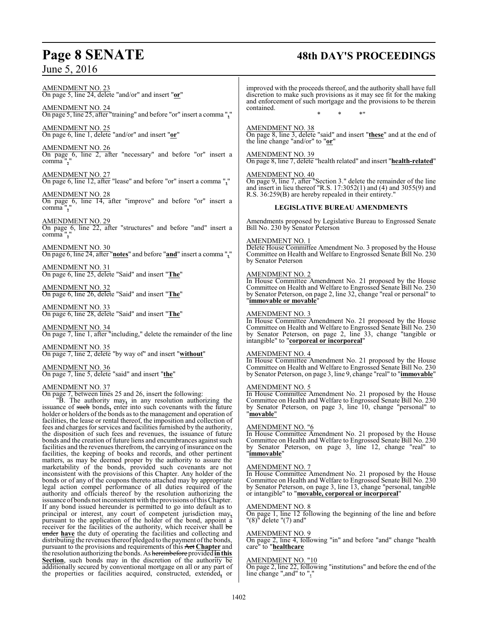# **Page 8 SENATE 48th DAY'S PROCEEDINGS**

| $\frac{\text{AMENDMENT NO. 23}}{\text{On page 5, line 24, delete}}$ "and/or" and insert " $\text{o}$ r"                                                                                                                                                                                                                                                                                                                                  | improved with the proceeds thereof, and the authority shall have full<br>discretion to make such provisions as it may see fit for the making<br>and enforcement of such mortgage and the provisions to be therein                                                                       |  |  |
|------------------------------------------------------------------------------------------------------------------------------------------------------------------------------------------------------------------------------------------------------------------------------------------------------------------------------------------------------------------------------------------------------------------------------------------|-----------------------------------------------------------------------------------------------------------------------------------------------------------------------------------------------------------------------------------------------------------------------------------------|--|--|
| <b>AMENDMENT NO. 24</b><br>On page 5, line 25, after "training" and before "or" insert a comma ","                                                                                                                                                                                                                                                                                                                                       | contained.<br>* !!                                                                                                                                                                                                                                                                      |  |  |
| $\frac{\text{AMENDMENT NO. 25}}{\text{On page 6, line 1, delete}}$ "and/or" and insert " $\text{or}}$ "                                                                                                                                                                                                                                                                                                                                  | <b>AMENDMENT NO. 38</b><br>On page 8, line 3, delete "said" and insert "these" and at the end of<br>the line change "and/or" to "or"                                                                                                                                                    |  |  |
| <b>AMENDMENT NO. 26</b><br>On page 6, line 2, after "necessary" and before "or" insert a<br>comma","                                                                                                                                                                                                                                                                                                                                     | <b>AMENDMENT NO. 39</b><br>On page 8, line 7, delete "health related" and insert "health-related"                                                                                                                                                                                       |  |  |
| $\frac{\text{AMENDMENT NO. 27}}{\text{On page 6, line 12, after "lease" and before "or" insert a comma " \cdot"}$                                                                                                                                                                                                                                                                                                                        | <b>AMENDMENT NO. 40</b><br>On page 9, line 7, after "Section 3." delete the remainder of the line<br>and insert in lieu thereof "R.S. $17:3052(1)$ and $(4)$ and $3055(9)$ and                                                                                                          |  |  |
| <b>AMENDMENT NO. 28</b><br>On page 6, line 14, after "improve" and before "or" insert a<br>comma","                                                                                                                                                                                                                                                                                                                                      | R.S. 36:259(B) are hereby repealed in their entirety."<br><b>LEGISLATIVE BUREAU AMENDMENTS</b>                                                                                                                                                                                          |  |  |
| <b>AMENDMENT NO. 29</b><br>On page 6, line 22, after "structures" and before "and" insert a<br>comma $"$ ,"                                                                                                                                                                                                                                                                                                                              | Amendments proposed by Legislative Bureau to Engrossed Senate<br>Bill No. 230 by Senator Peterson                                                                                                                                                                                       |  |  |
| AMENDMENT NO. 30<br>On page 6, line 24, after "notes" and before "and" insert a comma ","                                                                                                                                                                                                                                                                                                                                                | <b>AMENDMENT NO. 1</b><br>Delete House Committee Amendment No. 3 proposed by the House<br>Committee on Health and Welfare to Engrossed Senate Bill No. 230<br>by Senator Peterson                                                                                                       |  |  |
| <b>AMENDMENT NO. 31</b><br>On page 6, line 25, delete "Said" and insert "The"                                                                                                                                                                                                                                                                                                                                                            | <b>AMENDMENT NO. 2</b>                                                                                                                                                                                                                                                                  |  |  |
| <b>AMENDMENT NO. 32</b><br>On page 6, line 26, delete "Said" and insert "The"                                                                                                                                                                                                                                                                                                                                                            | In House Committee Amendment No. 21 proposed by the House<br>Committee on Health and Welfare to Engrossed Senate Bill No. 230<br>by Senator Peterson, on page 2, line 32, change "real or personal" to<br>"immovable or movable"                                                        |  |  |
| AMENDMENT NO. 33<br>On page 6, line 28, delete "Said" and insert "The"                                                                                                                                                                                                                                                                                                                                                                   | <b>AMENDMENT NO. 3</b>                                                                                                                                                                                                                                                                  |  |  |
| AMENDMENT NO. 34<br>On page 7, line 1, after "including," delete the remainder of the line                                                                                                                                                                                                                                                                                                                                               | In House Committee Amendment No. 21 proposed by the House<br>Committee on Health and Welfare to Engrossed Senate Bill No. 230<br>by Senator Peterson, on page 2, line 33, change "tangible or<br>intangible" to "corporeal or incorporeal"                                              |  |  |
| <b>AMENDMENT NO. 35</b><br>On page 7, line 2, delete "by way of" and insert "without"                                                                                                                                                                                                                                                                                                                                                    | <b>AMENDMENT NO. 4</b>                                                                                                                                                                                                                                                                  |  |  |
| AMENDMENT NO. 36<br>On page 7, line 5, delete "said" and insert " <b>the</b> "                                                                                                                                                                                                                                                                                                                                                           | In House Committee Amendment No. 21 proposed by the House<br>Committee on Health and Welfare to Engrossed Senate Bill No. 230<br>by Senator Peterson, on page 3, line 9, change "real" to " <i>immovable</i> "                                                                          |  |  |
| AMENDMENT NO. 37<br>On page 7, between lines 25 and 26, insert the following:<br>$\ddot{B}$ . The authority may, in any resolution authorizing the issuance of such bonds, enter into such covenants with the future<br>holder or holders of the bonds as to the management and operation of<br>facilities, the lease or rental thereof, the imposition and collection of                                                                | <b>AMENDMENT NO. 5</b><br>In House Committee Amendment No. 21 proposed by the House<br>Committee on Health and Welfare to Engrossed Senate Bill No. 230<br>by Senator Peterson, on page 3, line 10, change "personal" to<br>"movable"                                                   |  |  |
| fees and charges for services and facilities furnished by the authority,<br>the disposition of such fees and revenues, the issuance of future<br>bonds and the creation of future liens and encumbrances against such<br>facilities and the revenues therefrom, the carrying of insurance on the<br>facilities, the keeping of books and records, and other pertinent<br>matters, as may be deemed proper by the authority to assure the | <b>AMENDMENT NO. "6</b><br>In House Committee Amendment No. 21 proposed by the House<br>Committee on Health and Welfare to Engrossed Senate Bill No. 230<br>by Senator Peterson, on page 3, line 12, change "real" to<br>"immovable"                                                    |  |  |
| marketability of the bonds, provided such covenants are not<br>inconsistent with the provisions of this Chapter. Any holder of the<br>bonds or of any of the coupons thereto attached may by appropriate<br>legal action compel performance of all duties required of the<br>authority and officials thereof by the resolution authorizing the<br>issuance of bonds not inconsistent with the provisions of this Chapter.                | <b>AMENDMENT NO. 7</b><br>In House Committee Amendment No. 21 proposed by the House<br>Committee on Health and Welfare to Engrossed Senate Bill No. 230<br>by Senator Peterson, on page 3, line 13, change "personal, tangible<br>or intangible" to "movable, corporeal or incorporeal" |  |  |
| If any bond issued hereunder is permitted to go into default as to<br>principal or interest, any court of competent jurisdiction may,<br>pursuant to the application of the holder of the bond, appoint a<br>receiver for the facilities of the authority, which receiver shall be                                                                                                                                                       | <b>AMENDMENT NO. 8</b><br>On page 1, line 12 following the beginning of the line and before<br>$"(8)"$ delete $"(7)$ and"                                                                                                                                                               |  |  |
| under have the duty of operating the facilities and collecting and                                                                                                                                                                                                                                                                                                                                                                       | <b>AMENDMENT NO. 9</b>                                                                                                                                                                                                                                                                  |  |  |

 $\mathbf{I}$ 

#### AMENDMENT NO. 9

On page 2, line 4, following "in" and before "and" change "health care" to "**healthcare**

#### AMENDMENT NO. "10

On page 2, line 22, following "institutions" and before the end of the line change ",and" to "**.**"

distributing the revenues thereof pledged to the payment ofthe bonds, pursuant to the provisions and requirements of this Act **Chapter** and the resolution authorizing the bonds. As hereinbefore provided **inthis Section**, such bonds may in the discretion of the authority be additionally secured by conventional mortgage on all or any part of the properties or facilities acquired, constructed, extended**,** or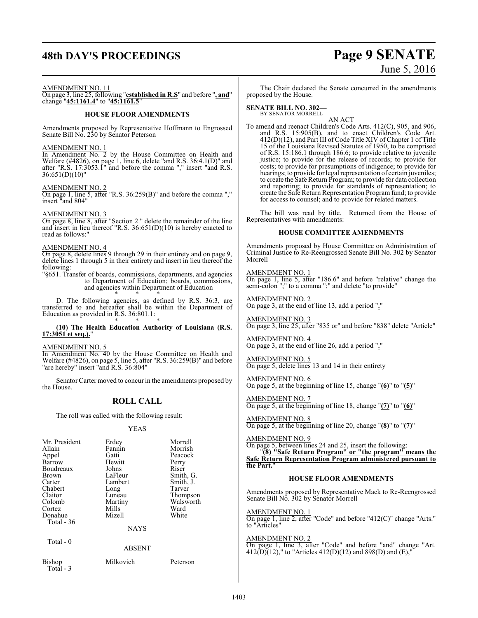# **48th DAY'S PROCEEDINGS Page 9 SENATE**

# June 5, 2016

#### AMENDMENT NO. 11

On page 3, line 25, following "**established in R.S**" and before "**, and**" change "**45:1161.4**" to "**45:1161.5**"

#### **HOUSE FLOOR AMENDMENTS**

Amendments proposed by Representative Hoffmann to Engrossed Senate Bill No. 230 by Senator Peterson

#### AMENDMENT NO. 1

In Amendment No. 2 by the House Committee on Health and Welfare (#4826), on page 1, line 6, delete "and R.S. 36:4.1(D)" and after "R.S. 17:3053.1" and before the comma "," insert "and R.S. 36:651(D)(10)"

#### AMENDMENT NO. 2

On page 1, line 5, after "R.S. 36:259(B)" and before the comma "," insert "and 804"

#### AMENDMENT NO. 3

On page 8, line 8, after "Section 2." delete the remainder of the line and insert in lieu thereof "R.S. 36:651(D)(10) is hereby enacted to read as follows:"

#### AMENDMENT NO. 4

On page 8, delete lines 9 through 29 in their entirety and on page 9, delete lines 1 through 5 in their entirety and insert in lieu thereof the following:

"§651. Transfer of boards, commissions, departments, and agencies to Department of Education; boards, commissions, and agencies within Department of Education \* \* \*

D. The following agencies, as defined by R.S. 36:3, are transferred to and hereafter shall be within the Department of Education as provided in R.S. 36:801.1: \* \* \*

#### **(10) The Health Education Authority of Louisiana (R.S. 17:3051 et seq.).**"

#### AMENDMENT NO. 5

In Amendment No. 40 by the House Committee on Health and Welfare (#4826), on page 5, line 5, after "R.S. 36:259(B)" and before "are hereby" insert "and R.S. 36:804"

Senator Carter moved to concur in the amendments proposed by the House.

#### **ROLL CALL**

The roll was called with the following result:

#### YEAS

| Mr. President       | Erdey         | Morrell   |
|---------------------|---------------|-----------|
| Allain              | Fannin        | Morrish   |
| Appel               | Gatti         | Peacock   |
| Barrow              | Hewitt        | Perry     |
| Boudreaux           | Johns         | Riser     |
| Brown               | LaFleur       | Smith, G. |
| Carter              | Lambert       | Smith, J. |
| Chabert             | Long          | Tarver    |
| Claitor             | Luneau        | Thompson  |
| Colomb              | Martiny       | Walsworth |
| Cortez              | Mills         | Ward      |
| Donahue             | Mizell        | White     |
| Total - 36          |               |           |
|                     | <b>NAYS</b>   |           |
| Total $-0$          |               |           |
|                     | <b>ABSENT</b> |           |
| Bishop<br>Total - 3 | Milkovich     | Peterson  |

The Chair declared the Senate concurred in the amendments proposed by the House.

**SENATE BILL NO. 302—** BY SENATOR MORRELL

AN ACT

To amend and reenact Children's Code Arts. 412(C), 905, and 906, and R.S. 15:905(B), and to enact Children's Code Art. 412(D)(12), and Part III of Code Title XIV of Chapter 1 of Title 15 of the Louisiana Revised Statutes of 1950, to be comprised of R.S. 15:186.1 through 186.6; to provide relative to juvenile justice; to provide for the release of records; to provide for costs; to provide for presumptions of indigence; to provide for hearings; to provide for legal representation of certain juveniles; to create the Safe Return Program; to provide for data collection and reporting; to provide for standards of representation; to create the Safe Return Representation Program fund; to provide for access to counsel; and to provide for related matters.

The bill was read by title. Returned from the House of Representatives with amendments:

#### **HOUSE COMMITTEE AMENDMENTS**

Amendments proposed by House Committee on Administration of Criminal Justice to Re-Reengrossed Senate Bill No. 302 by Senator Morrell

#### AMENDMENT NO. 1

On page 1, line 5, after "186.6" and before "relative" change the semi-colon ";" to a comma ";" and delete "to provide"

AMENDMENT NO. 2 On page 3, at the end of line 13, add a period "**.**"

AMENDMENT NO. 3 On page 3, line 25, after "835 or" and before "838" delete "Article"

AMENDMENT NO. 4 On page 3, at the end of line 26, add a period "**.**"

AMENDMENT NO. 5 On page 5, delete lines 13 and 14 in their entirety

AMENDMENT NO. 6 On page 5, at the beginning of line 15, change "**(6)**" to "**(5)**"

AMENDMENT NO. 7 On page 5, at the beginning of line 18, change "**(7)**" to "**(6)**"

AMENDMENT NO. 8 On page 5, at the beginning of line 20, change "**(8)**" to "**(7)**"

AMENDMENT NO. 9 On page 5, between lines 24 and 25, insert the following: "**(8) "Safe Return Program" or "the program" means the Safe Return Representation Program administered pursuant to the Part.**"

#### **HOUSE FLOOR AMENDMENTS**

Amendments proposed by Representative Mack to Re-Reengrossed Senate Bill No. 302 by Senator Morrell

AMENDMENT NO. 1 On page 1, line 2, after "Code" and before "412(C)" change "Arts." to "Articles"

AMENDMENT NO. 2 On page 1, line 3, after "Code" and before "and" change "Art.  $412(D)(12)$ ," to "Articles  $412(D)(12)$  and  $898(D)$  and  $(E)$ ,"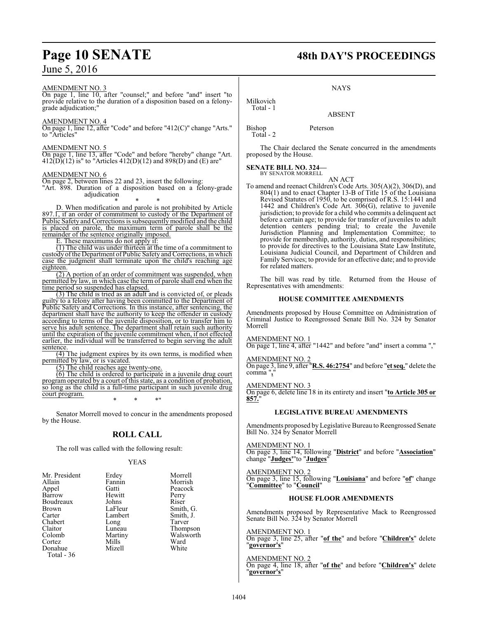#### AMENDMENT NO. 3

On page 1, line 10, after "counsel;" and before "and" insert "to provide relative to the duration of a disposition based on a felonygrade adjudication;"

#### AMENDMENT NO. 4

On page 1, line 12, after "Code" and before "412(C)" change "Arts." to "Articles"

#### AMENDMENT NO. 5

On page 1, line 13, after "Code" and before "hereby" change "Art.  $412(D)(12)$  is" to "Articles  $412(D)(12)$  and  $898(D)$  and (E) are"

#### AMENDMENT NO. 6

On page 2, between lines 22 and 23, insert the following: "Art. 898. Duration of a disposition based on a felony-grade adjudication

\* \* \*

D. When modification and parole is not prohibited by Article 897.1, if an order of commitment to custody of the Department of Public Safety and Corrections is subsequently modified and the child is placed on parole, the maximum term of parole shall be the remainder of the sentence originally imposed.

E. These maximums do not apply if:

(1) The child was under thirteen at the time of a commitment to custody ofthe Department of Public Safety and Corrections, in which case the judgment shall terminate upon the child's reaching age eighteen.

 $(2)$  A portion of an order of commitment was suspended, when permitted by law, in which case the term of parole shall end when the time period so suspended has elapsed.

(3) The child is tried as an adult and is convicted of, or pleads guilty to a felony after having been committed to the Department of Public Safety and Corrections. In this instance, after sentencing, the department shall have the authority to keep the offender in custody according to terms of the juvenile disposition, or to transfer him to serve his adult sentence. The department shall retain such authority until the expiration of the juvenile commitment when, if not effected earlier, the individual will be transferred to begin serving the adult sentence.

(4) The judgment expires by its own terms, is modified when permitted by law, or is vacated.

(5) The child reaches age twenty-one.

(6) The child is ordered to participate in a juvenile drug court program operated by a court of this state, as a condition of probation, so long as the child is a full-time participant in such juvenile drug court program. \* \* \*"

Senator Morrell moved to concur in the amendments proposed by the House.

### **ROLL CALL**

The roll was called with the following result:

#### YEAS

| Mr. President | Erdey   | Morrell   |
|---------------|---------|-----------|
| Allain        | Fannin  | Morrish   |
| Appel         | Gatti   | Peacock   |
| Barrow        | Hewitt  | Perry     |
| Boudreaux     | Johns   | Riser     |
| <b>Brown</b>  | LaFleur | Smith, G. |
| Carter        | Lambert | Smith, J. |
| Chabert       | Long    | Tarver    |
| Claitor       | Luneau  | Thompson  |
| Colomb        | Martiny | Walsworth |
| Cortez        | Mills   | Ward      |
| Donahue       | Mizell  | White     |
| Total - 36    |         |           |

# **Page 10 SENATE 48th DAY'S PROCEEDINGS**

#### **NAYS**

## ABSENT

Bishop Peterson Total - 2

Milkovich Total - 1

The Chair declared the Senate concurred in the amendments proposed by the House.

**SENATE BILL NO. 324—** BY SENATOR MORRELL

AN ACT

To amend and reenact Children's Code Arts. 305(A)(2), 306(D), and 804(1) and to enact Chapter 13-B of Title 15 of the Louisiana Revised Statutes of 1950, to be comprised of R.S. 15:1441 and 1442 and Children's Code Art. 306(G), relative to juvenile jurisdiction; to provide for a child who commits a delinquent act before a certain age; to provide for transfer of juveniles to adult detention centers pending trial; to create the Juvenile Jurisdiction Planning and Implementation Committee; to provide for membership, authority, duties, and responsibilities; to provide for directives to the Louisiana State Law Institute, Louisiana Judicial Council, and Department of Children and Family Services; to provide for an effective date; and to provide for related matters.

The bill was read by title. Returned from the House of Representatives with amendments:

#### **HOUSE COMMITTEE AMENDMENTS**

Amendments proposed by House Committee on Administration of Criminal Justice to Reengrossed Senate Bill No. 324 by Senator Morrell

#### AMENDMENT NO. 1

On page 1, line 4, after "1442" and before "and" insert a comma ","

#### AMENDMENT NO. 2

On page 3, line 9, after "**R.S. 46:2754**" and before "**et seq.**" delete the comma",

#### AMENDMENT NO. 3

On page 6, delete line 18 in its entirety and insert "**to Article 305 or 857.**"

#### **LEGISLATIVE BUREAU AMENDMENTS**

Amendments proposed byLegislative Bureau to Reengrossed Senate Bill No. 324 by Senator Morrell

#### AMENDMENT NO. 1

On page 3, line 14, following "**District**" and before "**Association**" change "**Judges'**"to "**Judges**"

#### AMENDMENT NO. 2

On page 3, line 15, following "**Louisiana**" and before "**of**" change "**Committee**" to "**Council**"

#### **HOUSE FLOOR AMENDMENTS**

Amendments proposed by Representative Mack to Reengrossed Senate Bill No. 324 by Senator Morrell

#### AMENDMENT NO. 1

On page 3, line 25, after "**of the**" and before "**Children's**" delete "**governor's**"

#### AMENDMENT NO. 2

On page 4, line 18, after "**of the**" and before "**Children's**" delete "**governor's**"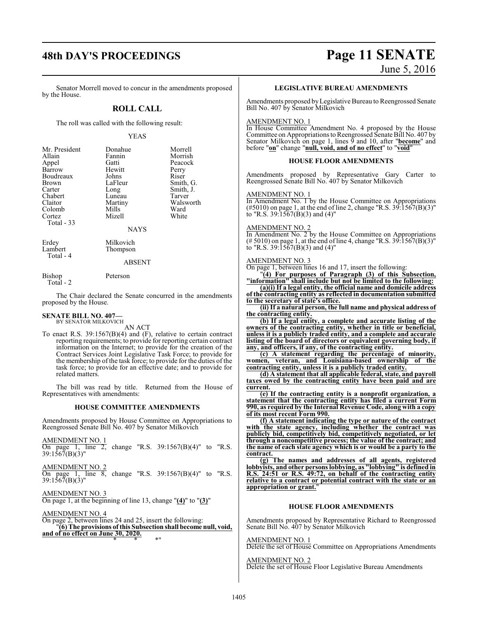# **48th DAY'S PROCEEDINGS Page 11 SENATE**

#### Senator Morrell moved to concur in the amendments proposed by the House.

## **ROLL CALL**

The roll was called with the following result:

#### YEAS

| Mr. President | Donahue | Morrell   |
|---------------|---------|-----------|
| Allain        | Fannin  | Morrish   |
| Appel         | Gatti   | Peacock   |
| Barrow        | Hewitt  | Perry     |
| Boudreaux     | Johns   | Riser     |
| <b>Brown</b>  | LaFleur | Smith, G. |
| Carter        | Long    | Smith, J. |
| Chabert       | Luneau  | Tarver    |
| Claitor       | Martiny | Walsworth |
| Colomb        | Mills   | Ward      |
| Cortez        | Mizell  | White     |
| Total - 33    |         |           |

**NAYS** 

Erdey Milkovich<br>Lambert Thompson Total - 4

#### ABSENT

Total - 2

Bishop Peterson

Thompson

The Chair declared the Senate concurred in the amendments proposed by the House.

# **SENATE BILL NO. 407—**<br>BY SENATOR MILKOVICH

AN ACT

To enact R.S. 39:1567(B)(4) and (F), relative to certain contract reporting requirements; to provide for reporting certain contract information on the Internet; to provide for the creation of the Contract Services Joint Legislative Task Force; to provide for the membership of the task force; to provide for the duties of the task force; to provide for an effective date; and to provide for related matters.

The bill was read by title. Returned from the House of Representatives with amendments:

#### **HOUSE COMMITTEE AMENDMENTS**

Amendments proposed by House Committee on Appropriations to Reengrossed Senate Bill No. 407 by Senator Milkovich

| AMENDMENT NO. 1<br>On page 1, line 2, change "R.S. $39:1567(B)(4)$ " to "R.S.<br>$39:1567(B)(3)$ "     |  |  |  |
|--------------------------------------------------------------------------------------------------------|--|--|--|
| <b>AMENDMENT NO. 2</b><br>On page 1, line 8, change "R.S. $39:1567(B)(4)$ " to "R.S.<br>39:1567(B)(3)" |  |  |  |

AMENDMENT NO. 3 On page 1, at the beginning of line 13, change "**(4)**" to "**(3)**"

AMENDMENT NO. 4 On page 2, between lines 24 and 25, insert the following: "**(6) The provisions of this Subsection shall become null, void, and of no effect on June 30, 2020.** \* \* \*"

June 5, 2016

#### **LEGISLATIVE BUREAU AMENDMENTS**

Amendments proposed byLegislative Bureau to Reengrossed Senate Bill No. 407 by Senator Milkovich

#### AMENDMENT NO. 1

In House Committee Amendment No. 4 proposed by the House Committee on Appropriations to Reengrossed Senate Bill No. 407 by Senator Milkovich on page 1, lines 9 and 10, after "**become**" and before "**on**" change "**null, void, and of no effect**" to "**void**"

#### **HOUSE FLOOR AMENDMENTS**

Amendments proposed by Representative Gary Carter to Reengrossed Senate Bill No. 407 by Senator Milkovich

#### AMENDMENT NO. 1

In Amendment No. 1 by the House Committee on Appropriations  $(\text{\#}5010)$  on page 1, at the end of line 2, change "R.S. 39:1567(B)(3)" to "R.S. 39:1567(B)(3) and (4)"

#### AMENDMENT NO. 2

In Amendment No. 2 by the House Committee on Appropriations  $(\text{\# } 5010)$  on page 1, at the end of line 4, change "R.S. 39:1567(B)(3)" to "R.S. 39:15 $\bar{6}7(B)(3)$  and  $(4)$ "

#### AMENDMENT NO. 3

On page 1, between lines 16 and 17, insert the following:

"**(4) For purposes of Paragraph (3) of this Subsection, "information" shall include but not be limited to the following:**

**(a)(i) If a legal entity, the official name and domicile address of the contracting entity as reflected in documentation submitted to the secretary of state's office.**

**(ii) If a natural person, the full name and physical address of the contracting entity.**

**(b) If a legal entity, a complete and accurate listing of the owners of the contracting entity, whether in title or beneficial, unless it is a publicly traded entity, and a complete and accurate listing of the board of directors or equivalent governing body, if any, and officers, if any, of the contracting entity.**

**(c) A statement regarding the percentage of minority, women, veteran, and Louisiana-based ownership of the contracting entity, unless it is a publicly traded entity.**

**(d) A statement that all applicable federal, state, and payroll taxes owed by the contracting entity have been paid and are current.**

**(e) If the contracting entity is a nonprofit organization, a statement that the contracting entity has filed a current Form 990, as required by the Internal Revenue Code, along with a copy of its most recent Form 990.**

**(f) A statement indicating the type or nature of the contract with the state agency, including whether the contract was publicly bid, competitively bid, competitively negotiated, or let through a noncompetitive process; the value of the contract; and the name of each state agency which is or would be a party to the contract.**

**(g) The names and addresses of all agents, registered lobbyists, and other persons lobbying, as "lobbying" is defined in R.S. 24:51 or R.S. 49:72, on behalf of the contracting entity relative to a contract or potential contract with the state or an appropriation or grant.**"

#### **HOUSE FLOOR AMENDMENTS**

Amendments proposed by Representative Richard to Reengrossed Senate Bill No. 407 by Senator Milkovich

## AMENDMENT NO. 1

Delete the set of House Committee on Appropriations Amendments

AMENDMENT NO. 2 Delete the set of House Floor Legislative Bureau Amendments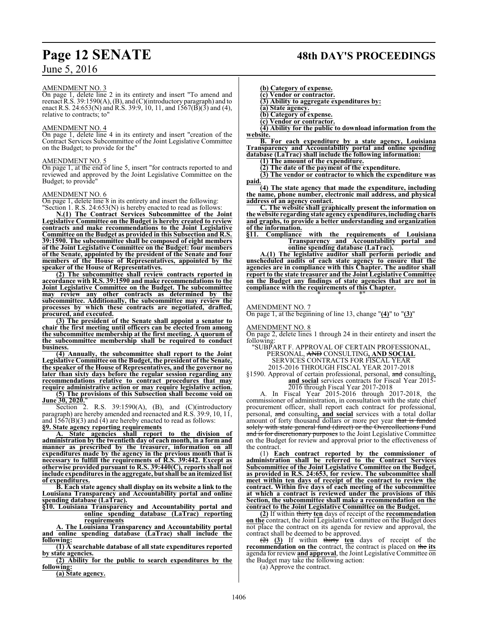#### AMENDMENT NO. 3

On page 1, delete line 2 in its entirety and insert "To amend and reenact R.S. 39:1590(A), (B), and (C)(introductory paragraph) and to enact R.S. 24:653(N) and R.S. 39:9, 10, 11, and  $15\overline{67(B)}$ (3) and (4), relative to contracts; to"

#### AMENDMENT NO. 4

On page 1, delete line 4 in its entirety and insert "creation of the Contract Services Subcommittee of the Joint Legislative Committee on the Budget; to provide for the"

#### AMENDMENT NO. 5

On page 1, at the end of line 5, insert "for contracts reported to and reviewed and approved by the Joint Legislative Committee on the Budget; to provide"

#### AMENDMENT NO. 6

On page 1, delete line 8 in its entirety and insert the following:

"Section 1. R.S. 24:653(N) is hereby enacted to read as follows:

**N.(1) The Contract Services Subcommittee of the Joint Legislative Committee on the Budget is hereby created to review contracts and make recommendations to the Joint Legislative Committee on the Budget as provided in this Subsection and R.S. 39:1590. The subcommittee shall be composed of eight members of the Joint Legislative Committee on the Budget: four members of the Senate, appointed by the president of the Senate and four members of the House of Representatives, appointed by the speaker of the House of Representatives.**

**(2) The subcommittee shall review contracts reported in accordance with R.S. 39:1590 and make recommendations to the Joint Legislative Committee on the Budget. The subcommittee may review any other contracts as determined by the subcommittee. Additionally, the subcommittee may review the processes by which these contracts are negotiated, drafted, procured, and executed.**

**(3) The president of the Senate shall appoint a senator to chair the first meeting until officers can be elected from among the subcommittee membership at the first meeting. A quorum of the subcommittee membership shall be required to conduct business.**

**(4) Annually, the subcommittee shall report to the Joint Legislative Committee on the Budget, the president of the Senate, the speaker of the House of Representatives, and the governor no later than sixty days before the regular session regarding any recommendations relative to contract procedures that may require administrative action or may require legislative action.**

**(5) The provisions of this Subsection shall become void on June 30, 2020.**"

Section 2. R.S. 39:1590(A), (B), and (C)(introductory paragraph) are hereby amended and reenacted and R.S. 39:9, 10, 11, and  $\overline{1567(B)(3)}$  and (4) are hereby enacted to read as follows:

**§9. State agency reporting requirements**

**A. State agencies shall report to the division of administration by the twentieth day of each month, in a form and manner as prescribed by the treasurer, information on all expenditures made by the agency in the previous month that is necessary to fulfill the requirements of R.S. 39:442. Except as otherwise provided pursuant to R.S. 39:440(C), reports shall not include expenditures in the aggregate, butshall be an itemized list of expenditures.**

**B. Each state agency shall display on its website a link to the Louisiana Transparency and Accountability portal and online spending database (LaTrac).**

**§10. Louisiana Transparency and Accountability portal and online spending database (LaTrac) reporting requirements**

**A. The Louisiana Transparency and Accountability portal and online spending database (LaTrac) shall include the following:**

**(1) A searchable database of all state expenditures reported by state agencies.**

**(2) Ability for the public to search expenditures by the following:**

**(a) State agency.**

# **Page 12 SENATE 48th DAY'S PROCEEDINGS**

**(b) Category of expense.**

**(c) Vendor or contractor. (3) Ability to aggregate expenditures by:**

**(a) State agency.**

**(b) Category of expense.**

**(c) Vendor or contractor.**

**(4) Ability for the public to download information from the website.**

**B. For each expenditure by a state agency, Louisiana Transparency and Accountability portal and online spending database (LaTrac) shall include the following information:**

**(1) The amount of the expenditure.**

**(2) The date of the payment of the expenditure.**

**(3) The vendor or contractor to which the expenditure was paid.**

**(4) The state agency that made the expenditure, including the name, phone number, electronic mail address, and physical address of an agency contact.**

**C. The website shall graphically present the information on the website regarding state agency expenditures, including charts and graphs, to provide a better understanding and organization of the information.**<br>§11. Compliance

with the requirements of Louisiana **Transparency and Accountability portal and online spending database (LaTrac).**

**A.(1) The legislative auditor shall perform periodic and unscheduled audits of each state agency to ensure that the agencies are in compliance with this Chapter. The auditor shall report to the state treasurer and the Joint Legislative Committee on the Budget any findings of state agencies that are not in compliance with the requirements of this Chapter.** \* \* \*"

#### AMENDMENT NO. 7

On page 1, at the beginning of line 13, change "**(4)**" to "**(3)**"

AMENDMENT NO. 8

On page 2, delete lines 1 through 24 in their entirety and insert the following:

"SUBPART F. APPROVAL OF CERTAIN PROFESSIONAL, PERSONAL, AND CONSULTING**, AND SOCIAL**

SERVICES CONTRACTS FOR FISCAL YEAR

2015-2016 THROUGH FISCAL YEAR 2017-2018

§1590. Approval of certain professional, personal, and consulting**, and social** services contracts for Fiscal Year 2015-

2016 through Fiscal Year 2017-2018

A. In Fiscal Year 2015-2016 through 2017-2018, the commissioner of administration, in consultation with the state chief procurement officer, shall report each contract for professional, personal, and consulting**, and social** services with a total dollar amount of forty thousand dollars or more per year that is funded solely with state general fund (direct) or the Overcollections Fund and is for discretionary purposes to the Joint Legislative Committee on the Budget for review and approval prior to the effectiveness of the contract.

(1) **Each contract reported by the commissioner of administration shall be referred to the Contract Services Subcommittee of the Joint Legislative Committee on the Budget, as provided in R.S. 24:653, for review. The subcommittee shall meet within ten days of receipt of the contract to review the contract. Within five days of each meeting of the subcommittee at which a contract is reviewed under the provisions of this Section, the subcommittee shall make a recommendation on the contract to the Joint Legislative Committee on the Budget.**

**(2)** If within thirty **ten** days of receipt of the **recommendation on the** contract, the Joint Legislative Committee on the Budget does not place the contract on its agenda for review and approval, the contract shall be deemed to be approved.

(2) **(3)** If within thirty **ten** days of receipt of the **recommendation on the** contract, the contract is placed on the **its** agenda for review **and approval**, the Joint Legislative Committee on the Budget may take the following action:

(a) Approve the contract.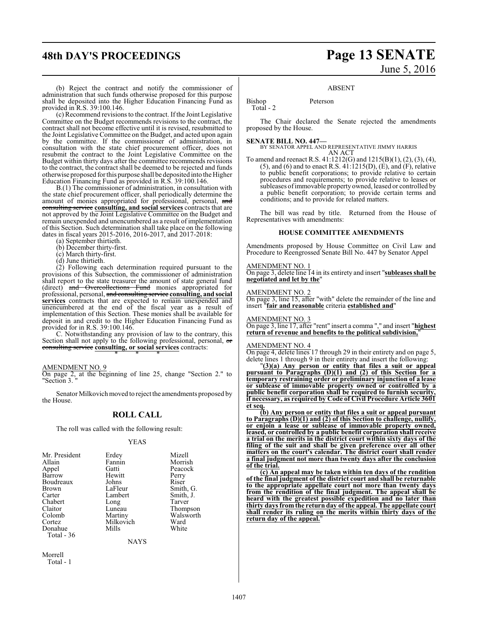# **48th DAY'S PROCEEDINGS Page 13 SENATE** June 5, 2016

(b) Reject the contract and notify the commissioner of administration that such funds otherwise proposed for this purpose shall be deposited into the Higher Education Financing Fund as provided in R.S. 39:100.146.

(c) Recommend revisions to the contract. If the Joint Legislative Committee on the Budget recommends revisions to the contract, the contract shall not become effective until it is revised, resubmitted to the Joint Legislative Committee on the Budget, and acted upon again by the committee. If the commissioner of administration, in consultation with the state chief procurement officer, does not resubmit the contract to the Joint Legislative Committee on the Budget within thirty days after the committee recommends revisions to the contract, the contract shall be deemed to be rejected and funds otherwise proposed forthis purpose shall be deposited into the Higher Education Financing Fund as provided in R.S. 39:100.146.

B.(1) The commissioner of administration, in consultation with the state chief procurement officer, shall periodically determine the amount of monies appropriated for professional, personal, and consulting service **consulting, and social services** contracts that are not approved by the Joint Legislative Committee on the Budget and remain unexpended and unencumbered as a result of implementation of this Section. Such determination shall take place on the following dates in fiscal years 2015-2016, 2016-2017, and 2017-2018:

(a) September thirtieth.

(b) December thirty-first.

- (c) March thirty-first.
- (d) June thirtieth.

(2) Following each determination required pursuant to the provisions of this Subsection, the commissioner of administration shall report to the state treasurer the amount of state general fund (direct) and Overcollections Fund monies appropriated for professional, personal, and consulting service **consulting, and social services** contracts that are expected to remain unexpended and unencumbered at the end of the fiscal year as a result of implementation of this Section. These monies shall be available for deposit in and credit to the Higher Education Financing Fund as provided for in R.S. 39:100.146.

C. Notwithstanding any provision of law to the contrary, this Section shall not apply to the following professional, personal, or consulting service **consulting, or social services** contracts: \* \* \*

#### AMENDMENT NO. 9

On page 2, at the beginning of line 25, change "Section 2." to "Section 3. "

Senator Milkovich moved to reject the amendments proposed by the House.

#### **ROLL CALL**

The roll was called with the following result:

#### YEAS

| Mr. President | Erdey     | Mizell    |
|---------------|-----------|-----------|
| Allain        | Fannin    | Morrish   |
| Appel         | Gatti     | Peacock   |
| Barrow        | Hewitt    | Perry     |
| Boudreaux     | Johns     | Riser     |
| <b>Brown</b>  | LaFleur   | Smith, G. |
| Carter        | Lambert   | Smith, J. |
| Chabert       | Long      | Tarver    |
| Claitor       | Luneau    | Thompson  |
| Colomb        | Martiny   | Walsworth |
| Cortez        | Milkovich | Ward      |
| Donahue       | Mills     | White     |
| Total - 36    |           |           |
|               | $\cdots$  |           |

NAYS

Morrell Total - 1

#### ABSENT

Bishop Peterson Total - 2

The Chair declared the Senate rejected the amendments proposed by the House.

**SENATE BILL NO. 447—** BY SENATOR APPEL AND REPRESENTATIVE JIMMY HARRIS AN ACT

To amend and reenact R.S. 41:1212(G) and 1215(B)(1), (2), (3), (4), (5), and (6) and to enact R.S.  $41:1215(D)$ ,  $(E)$ , and  $(F)$ , relative to public benefit corporations; to provide relative to certain procedures and requirements; to provide relative to leases or subleases of immovable property owned, leased or controlled by a public benefit corporation; to provide certain terms and conditions; and to provide for related matters.

The bill was read by title. Returned from the House of Representatives with amendments:

#### **HOUSE COMMITTEE AMENDMENTS**

Amendments proposed by House Committee on Civil Law and Procedure to Reengrossed Senate Bill No. 447 by Senator Appel

#### AMENDMENT NO. 1

On page 3, delete line 14 in its entirety and insert "**subleases shall be negotiated and let by the**"

#### AMENDMENT NO. 2

On page 3, line 15, after "with" delete the remainder of the line and insert "**fair and reasonable** criteria **established and**"

#### AMENDMENT NO. 3

On page 3, line 17, after "rent" insert a comma "," and insert "**highest return of revenue and benefits to the political subdivision,**"

#### AMENDMENT NO. 4

On page 4, delete lines 17 through 29 in their entirety and on page 5, delete lines 1 through 9 in their entirety and insert the following:

"**(3)(a) Any person or entity that files a suit or appeal pursuant to Paragraphs (D)(1) and (2) of this Section for a temporary restraining order or preliminary injunction of a lease or sublease of immovable property owned or controlled by a public benefit corporation shall be required to furnish security, if necessary, as required by Code of Civil Procedure Article 3601 et seq.**

**(b) Any person or entity that files a suit or appeal pursuant to Paragraphs (D)(1) and (2) of this Section to challenge, nullify, or enjoin a lease or sublease of immovable property owned, leased, or controlled by a public benefit corporation shall receive a trial on the merits in the district court within sixty days of the filing of the suit and shall be given preference over all other matters on the court's calendar. The district court shall render a final judgment not more than twenty days after the conclusion of the trial.**

**(c) An appeal may be taken within ten days of the rendition of the final judgment of the district court and shall be returnable to the appropriate appellate court not more than twenty days from the rendition of the final judgment. The appeal shall be heard with the greatest possible expedition and no later than thirty days fromthe return day of the appeal. The appellate court shall render its ruling on the merits within thirty days of the return day of the appeal.**"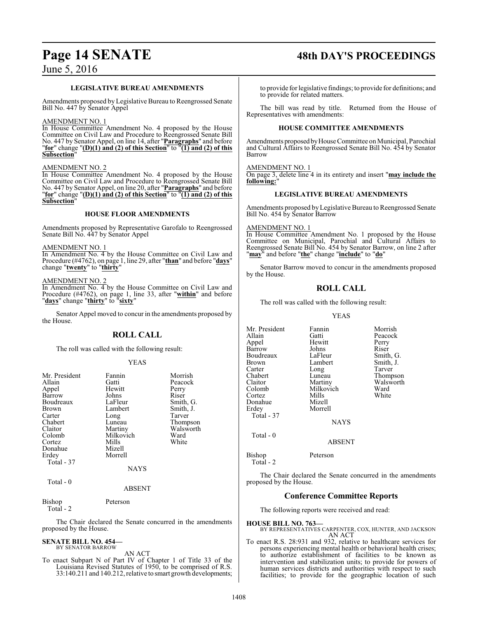# **Page 14 SENATE 48th DAY'S PROCEEDINGS**

## **LEGISLATIVE BUREAU AMENDMENTS**

Amendments proposed by Legislative Bureau to Reengrossed Senate Bill No. 447 by Senator Appel

#### AMENDMENT NO. 1

In House Committee Amendment No. 4 proposed by the House Committee on Civil Law and Procedure to Reengrossed Senate Bill No. 447 by Senator Appel, on line 14, after "**Paragraphs**" and before "**for**" change "**(D)(1) and (2) of this Section**" to "**(1) and (2) of this Subsection**"

#### AMENDMENT NO. 2

In House Committee Amendment No. 4 proposed by the House Committee on Civil Law and Procedure to Reengrossed Senate Bill No. 447 by Senator Appel, on line 20, after "**Paragraphs**" and before "**for**" change "**(D)(1) and (2) of this Section**" to "**(1) and (2) of this Subsection**"

#### **HOUSE FLOOR AMENDMENTS**

Amendments proposed by Representative Garofalo to Reengrossed Senate Bill No. 447 by Senator Appel

#### AMENDMENT NO. 1

In Amendment No. 4 by the House Committee on Civil Law and Procedure (#4762), on page 1, line 29, after "**than**" and before "**days**" change "**twenty**" to "**thirty**"

#### AMENDMENT NO. 2

In Amendment No. 4 by the House Committee on Civil Law and Procedure (#4762), on page 1, line 33, after "**within**" and before "**days**" change "**thirty**" to "**sixty**"

Senator Appel moved to concur in the amendments proposed by the House.

## **ROLL CALL**

The roll was called with the following result:

#### YEAS

| Mr. President<br>Allain | Fannin<br>Gatti | Morrish<br>Peacock |
|-------------------------|-----------------|--------------------|
| Appel                   | Hewitt<br>Johns | Perry<br>Riser     |
| Barrow<br>Boudreaux     | LaFleur         | Smith, G.          |
| <b>Brown</b>            | Lambert         | Smith, J.          |
| Carter                  | Long            | Tarver             |
| Chabert                 | Luneau          | Thompson           |
| Claitor                 | Martiny         | Walsworth          |
| Colomb                  | Milkovich       | Ward               |
| Cortez                  | Mills           | White              |
| Donahue                 | Mizell          |                    |
| Erdey                   | Morrell         |                    |
| Total - 37              |                 |                    |
|                         | <b>NAYS</b>     |                    |
| Total - 0               | <b>ABSENT</b>   |                    |
|                         |                 |                    |

Bishop Peterson Total - 2

The Chair declared the Senate concurred in the amendments proposed by the House.

#### **SENATE BILL NO. 454—** BY SENATOR BARROW

AN ACT

To enact Subpart N of Part IV of Chapter 1 of Title 33 of the Louisiana Revised Statutes of 1950, to be comprised of R.S. 33:140.211 and 140.212, relative to smart growth developments;

to provide for legislative findings; to provide for definitions; and to provide for related matters.

The bill was read by title. Returned from the House of Representatives with amendments:

#### **HOUSE COMMITTEE AMENDMENTS**

Amendments proposed byHouse Committee on Municipal, Parochial and Cultural Affairs to Reengrossed Senate Bill No. 454 by Senator Barrow

<u>MENDMENT NO. 1</u>

On page 3, delete line 4 in its entirety and insert "**may include the following:**"

#### **LEGISLATIVE BUREAU AMENDMENTS**

Amendments proposed byLegislative Bureau to Reengrossed Senate Bill No. 454 by Senator Barrow

#### AMENDMENT NO. 1

In House Committee Amendment No. 1 proposed by the House Committee on Municipal, Parochial and Cultural Affairs to Reengrossed Senate Bill No. 454 by Senator Barrow, on line 2 after "**may**" and before "**the**" change "**include**" to "**do**"

Senator Barrow moved to concur in the amendments proposed by the House.

## **ROLL CALL**

The roll was called with the following result:

#### YEAS

| Mr. President<br>Allain<br>Appel<br>Barrow<br>Boudreaux<br>Brown<br>Carter<br>Chabert<br>Claitor<br>Colomb<br>Cortez | Fannin<br>Gatti<br>Hewitt<br>Johns<br>LaFleur<br>Lambert<br>Long<br>Luneau<br>Martiny<br>Milkovich<br>Mills | Morrish<br>Peacock<br>Perry<br>Riser<br>Smith, G.<br>Smith, J.<br>Tarver<br>Thompson<br>Walsworth<br>Ward<br>White |
|----------------------------------------------------------------------------------------------------------------------|-------------------------------------------------------------------------------------------------------------|--------------------------------------------------------------------------------------------------------------------|
| Donahue                                                                                                              | Mizell                                                                                                      |                                                                                                                    |
| Erdey<br>Total - 37                                                                                                  | Morrell                                                                                                     |                                                                                                                    |
|                                                                                                                      | <b>NAYS</b>                                                                                                 |                                                                                                                    |
| Total - 0                                                                                                            | <b>ABSENT</b>                                                                                               |                                                                                                                    |

Bishop Peterson

Total - 2

The Chair declared the Senate concurred in the amendments proposed by the House.

## **Conference Committee Reports**

The following reports were received and read:

#### **HOUSE BILL NO. 763—**

BY REPRESENTATIVES CARPENTER, COX, HUNTER, AND JACKSON AN ACT

To enact R.S. 28:931 and 932, relative to healthcare services for persons experiencing mental health or behavioral health crises; to authorize establishment of facilities to be known as intervention and stabilization units; to provide for powers of human services districts and authorities with respect to such facilities; to provide for the geographic location of such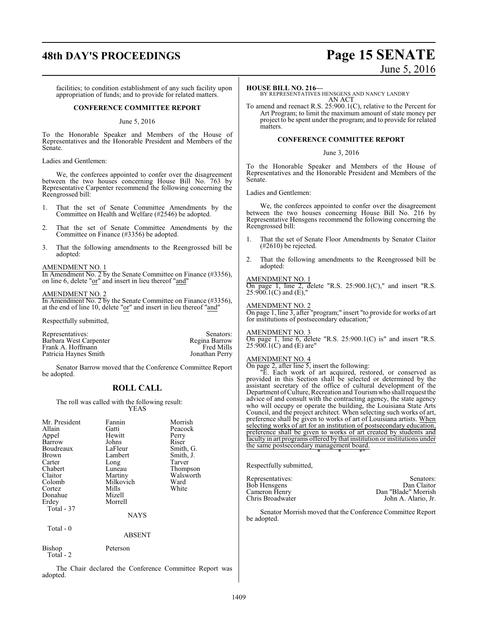# **48th DAY'S PROCEEDINGS Page 15 SENATE**

facilities; to condition establishment of any such facility upon appropriation of funds; and to provide for related matters.

#### **CONFERENCE COMMITTEE REPORT**

#### June 5, 2016

To the Honorable Speaker and Members of the House of Representatives and the Honorable President and Members of the Senate.

#### Ladies and Gentlemen:

We, the conferees appointed to confer over the disagreement between the two houses concerning House Bill No. 763 by Representative Carpenter recommend the following concerning the Reengrossed bill:

- 1. That the set of Senate Committee Amendments by the Committee on Health and Welfare (#2546) be adopted.
- 2. That the set of Senate Committee Amendments by the Committee on Finance (#3356) be adopted.
- 3. That the following amendments to the Reengrossed bill be adopted:

#### AMENDMENT NO. 1

In Amendment No. 2 by the Senate Committee on Finance (#3356), on line 6, delete "or" and insert in lieu thereof "and"

#### AMENDMENT NO. 2

In Amendment No. 2 by the Senate Committee on Finance (#3356), at the end of line 10, delete " $or$ " and insert in lieu thereof " $and$ "

Respectfully submitted,

| Representatives:       | Senators:         |
|------------------------|-------------------|
| Barbara West Carpenter | Regina Barrow     |
| Frank A. Hoffmann      | <b>Fred Mills</b> |
| Patricia Haynes Smith  | Jonathan Perry    |

Senator Barrow moved that the Conference Committee Report be adopted.

### **ROLL CALL**

The roll was called with the following result: YEAS

| Mr. President<br>Allain<br>Appel<br>Barrow<br>Boudreaux<br>Brown<br>Carter<br>Chabert<br>Claitor<br>Colomb<br>Cortez<br>Donahue<br>Erdey<br>Total - 37 | Fannin<br>Gatti<br>Hewitt<br>Johns<br>LaFleur<br>Lambert<br>Long<br>Luneau<br>Martiny<br>Milkovich<br>Mills<br>Mizell<br>Morrell | Morrish<br>Peacock<br>Perry<br>Riser<br>Smith, G.<br>Smith, J.<br>Tarver<br>Thompson<br>Walsworth<br>Ward<br>White |
|--------------------------------------------------------------------------------------------------------------------------------------------------------|----------------------------------------------------------------------------------------------------------------------------------|--------------------------------------------------------------------------------------------------------------------|
|                                                                                                                                                        | <b>NAYS</b>                                                                                                                      |                                                                                                                    |
| Total - 0                                                                                                                                              | ABSENT                                                                                                                           |                                                                                                                    |

Bishop Peterson Total - 2

The Chair declared the Conference Committee Report was adopted.

#### **HOUSE BILL NO. 216—**

BY REPRESENTATIVES HENSGENS AND NANCY LANDRY AN ACT

To amend and reenact R.S. 25:900.1(C), relative to the Percent for Art Program; to limit the maximum amount of state money per project to be spent under the program; and to provide for related matters.

#### **CONFERENCE COMMITTEE REPORT**

#### June 3, 2016

To the Honorable Speaker and Members of the House of Representatives and the Honorable President and Members of the Senate.

Ladies and Gentlemen:

We, the conferees appointed to confer over the disagreement between the two houses concerning House Bill No. 216 by Representative Hensgens recommend the following concerning the Reengrossed bill:

- 1. That the set of Senate Floor Amendments by Senator Claitor (#2610) be rejected.
- 2. That the following amendments to the Reengrossed bill be adopted:

#### AMENDMENT NO. 1

On page 1, line 2, delete "R.S.  $25:900.1(C)$ ," and insert "R.S.  $25:900.1(C)$  and (E),"

#### AMENDMENT NO. 2

On page 1, line 3, after "program;" insert "to provide for works of art for institutions of postsecondary education;

#### AMENDMENT NO. 3

On page 1, line 6, delete "R.S. 25:900.1(C) is" and insert "R.S.  $25:900.1(C)$  and (E) are"

#### AMENDMENT NO. 4

On page 2, after line 5, insert the following:

"E. Each work of art acquired, restored, or conserved as provided in this Section shall be selected or determined by the assistant secretary of the office of cultural development of the Department ofCulture, Recreation and Tourismwho shall request the advice of and consult with the contracting agency, the state agency who will occupy or operate the building, the Louisiana State Arts Council, and the project architect. When selecting such works of art, preference shall be given to works of art of Louisiana artists. When selecting works of art for an institution of postsecondary education, preference shall be given to works of art created by students and faculty in art programs offered by that institution or institutions under the same postsecondary management board. \* \* \*"

Respectfully submitted,

| Representatives: | Senators:           |
|------------------|---------------------|
| Bob Hensgens     | Dan Claitor         |
| Cameron Henry    | Dan "Blade" Morrish |
| Chris Broadwater | John A. Alario, Jr. |

Senator Morrish moved that the Conference Committee Report be adopted.

1409

# June 5, 2016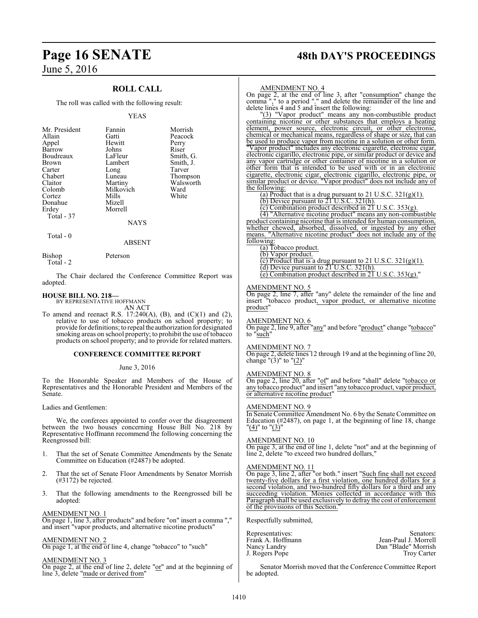## **ROLL CALL**

The roll was called with the following result:

#### YEAS

| Mr. President | Fannin    | Morrish   |
|---------------|-----------|-----------|
|               |           |           |
| Allain        | Gatti     | Peacock   |
| Appel         | Hewitt    | Perry     |
| Barrow        | Johns     | Riser     |
| Boudreaux     | LaFleur   | Smith, G. |
| <b>Brown</b>  | Lambert   | Smith, J. |
| Carter        | Long      | Tarver    |
| Chabert       | Luneau    | Thompson  |
| Claitor       | Martiny   | Walsworth |
| Colomb        | Milkovich | Ward      |
| Cortez        | Mills     | White     |
| Donahue       | Mizell    |           |
| Erdey         | Morrell   |           |
| Total - 37    |           |           |
|               | NAYS      |           |

Total - 0

Bishop Peterson

Total - 2

The Chair declared the Conference Committee Report was adopted.

ABSENT

**HOUSE BILL NO. 218—** BY REPRESENTATIVE HOFFMANN AN ACT

To amend and reenact R.S. 17:240(A), (B), and  $(C)(1)$  and  $(2)$ , relative to use of tobacco products on school property; to provide for definitions; to repeal the authorization for designated smoking areas on school property; to prohibit the use of tobacco products on school property; and to provide for related matters.

#### **CONFERENCE COMMITTEE REPORT**

#### June 3, 2016

To the Honorable Speaker and Members of the House of Representatives and the Honorable President and Members of the Senate.

Ladies and Gentlemen:

We, the conferees appointed to confer over the disagreement between the two houses concerning House Bill No. 218 by Representative Hoffmann recommend the following concerning the Reengrossed bill:

- 1. That the set of Senate Committee Amendments by the Senate Committee on Education (#2487) be adopted.
- 2. That the set of Senate Floor Amendments by Senator Morrish (#3172) be rejected.
- 3. That the following amendments to the Reengrossed bill be adopted:

AMENDMENT NO. 1 On page 1, line 3, after products" and before "on" insert a comma "," and insert "vapor products, and alternative nicotine products"

AMENDMENT NO. 2 On page 1, at the end of line 4, change "tobacco" to "such"

## AMENDMENT NO. 3

On page 2, at the end of line 2, delete "or" and at the beginning of line 3, delete "made or derived from"

# **Page 16 SENATE 48th DAY'S PROCEEDINGS**

#### AMENDMENT NO. 4

On page 2, at the end of line 3, after "consumption" change the comma "," to a period "." and delete the remainder of the line and delete lines 4 and 5 and insert the following:

"(3) "Vapor product" means any non-combustible product containing nicotine or other substances that employs a heating element, power source, electronic circuit, or other electronic, chemical or mechanical means, regardless of shape or size, that can be used to produce vapor from nicotine in a solution or other form. "Vapor product" includes any electronic cigarette, electronic cigar, electronic cigarillo, electronic pipe, or similar product or device and any vapor cartridge or other container of nicotine in a solution or other form that is intended to be used with or in an electronic cigarette, electronic cigar, electronic cigarillo, electronic pipe, or similar product or device. "Vapor product" does not include any of the following:

(a) Product that is a drug pursuant to 21 U.S.C.  $321(g)(1)$ .

(b) Device pursuant to 21 U.S.C.  $321(h)$ .

(c) Combination product described in  $21$  U.S.C. 353(g). (4) "Alternative nicotine product" means any non-combustible product containing nicotine that is intended for human consumption, whether chewed, absorbed, dissolved, or ingested by any other means. "Alternative nicotine product" does not include any of the following:

(a) Tobacco product.

(b) Vapor product.

(c) Product that is a drug pursuant to 21 U.S.C.  $321(g)(1)$ . (d) Device pursuant to  $21$  U.S.C.  $321(h)$ .

(e) Combination product described in  $2\overline{1}$  U.S.C. 353(g)."

#### AMENDMENT NO. 5

On page 2, line 7, after "any" delete the remainder of the line and insert "tobacco product, vapor product, or alternative nicotine product"

AMENDMENT NO. 6

On page 2, line 9, after "any" and before "product" change "tobacco" to "such"

AMENDMENT NO. 7

On page 2, delete lines 12 through 19 and at the beginning of line 20, change "(3)" to " $(2)$ "

#### AMENDMENT NO. 8

On page 2, line 20, after "of" and before "shall" delete "tobacco or any tobacco product" and insert "any tobacco product, vapor product, or alternative nicotine product"

#### AMENDMENT NO. 9

In Senate Committee Amendment No. 6 by the Senate Committee on Education (#2487), on page 1, at the beginning of line 18, change "<u>(4)</u>" to "<u>(3)</u>"

#### AMENDMENT NO. 10

On page 3, at the end of line 1, delete "not" and at the beginning of line 2, delete "to exceed two hundred dollars,"

#### AMENDMENT NO. 11

On page 3, line 2, after "or both." insert "Such fine shall not exceed twenty-five dollars for a first violation, one hundred dollars for a second violation, and two-hundred fifty dollars for a third and any succeeding violation. Monies collected in accordance with this Paragraph shall be used exclusively to defray the cost of enforcement of the provisions of this Section."

Respectfully submitted,

| Representatives:  | Senators:            |
|-------------------|----------------------|
| Frank A. Hoffmann | Jean-Paul J. Morrell |
| Nancy Landry      | Dan "Blade" Morrish  |
| J. Rogers Pope    | <b>Troy Carter</b>   |

Senator Morrish moved that the Conference Committee Report be adopted.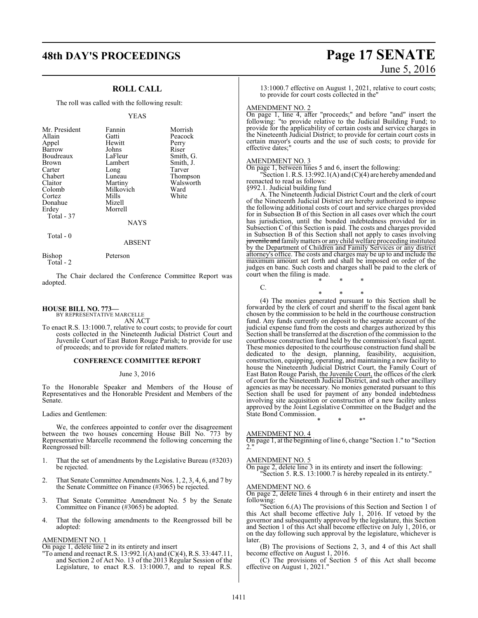# **48th DAY'S PROCEEDINGS Page 17 SENATE**

## **ROLL CALL**

The roll was called with the following result:

#### YEAS

| Mr. President<br>Allain<br>Appel<br>Barrow<br>Boudreaux<br><b>Brown</b><br>Carter<br>Chabert<br>Claitor<br>Colomb<br>Cortez<br>Donahue<br>Erdey<br>Total - 37 | Fannin<br>Gatti<br>Hewitt<br>Johns<br>LaFleur<br>Lambert<br>Long<br>Luneau<br>Martiny<br>Milkovich<br>Mills<br>Mizell<br>Morrell<br><b>NAYS</b> | Morrish<br>Peacock<br>Perry<br>Riser<br>Smith, G.<br>Smith, J.<br>Tarver<br>Thompson<br>Walsworth<br>Ward<br>White |
|---------------------------------------------------------------------------------------------------------------------------------------------------------------|-------------------------------------------------------------------------------------------------------------------------------------------------|--------------------------------------------------------------------------------------------------------------------|
|                                                                                                                                                               |                                                                                                                                                 |                                                                                                                    |

Total - 0

Bishop Peterson

Total - 2

The Chair declared the Conference Committee Report was adopted.

ABSENT

#### **HOUSE BILL NO. 773—**

BY REPRESENTATIVE MARCELLE AN ACT

To enact R.S. 13:1000.7, relative to court costs; to provide for court costs collected in the Nineteenth Judicial District Court and Juvenile Court of East Baton Rouge Parish; to provide for use of proceeds; and to provide for related matters.

#### **CONFERENCE COMMITTEE REPORT**

#### June 3, 2016

To the Honorable Speaker and Members of the House of Representatives and the Honorable President and Members of the Senate.

Ladies and Gentlemen:

We, the conferees appointed to confer over the disagreement between the two houses concerning House Bill No. 773 by Representative Marcelle recommend the following concerning the Reengrossed bill:

- 1. That the set of amendments by the Legislative Bureau (#3203) be rejected.
- 2. That Senate Committee Amendments Nos. 1, 2, 3, 4, 6, and 7 by the Senate Committee on Finance (#3065) be rejected.
- 3. That Senate Committee Amendment No. 5 by the Senate Committee on Finance (#3065) be adopted.
- 4. That the following amendments to the Reengrossed bill be adopted:

#### AMENDMENT NO. 1

On page 1, delete line 2 in its entirety and insert

"To amend and reenact R.S. 13:992.1(A) and (C)(4), R.S. 33:447.11, and Section 2 of Act No. 13 of the 2013 Regular Session of the Legislature, to enact R.S. 13:1000.7, and to repeal R.S.

# June 5, 2016

13:1000.7 effective on August 1, 2021, relative to court costs; to provide for court costs collected in the"

#### AMENDMENT NO. 2

On page 1, line 4, after "proceeds;" and before "and" insert the following: "to provide relative to the Judicial Building Fund; to provide for the applicability of certain costs and service charges in the Nineteenth Judicial District; to provide for certain court costs in certain mayor's courts and the use of such costs; to provide for effective dates;"

#### AMENDMENT NO. 3

On page 1, between lines 5 and 6, insert the following:

"Section 1. R.S.  $13:992.1(A)$  and  $(C)(4)$  are hereby amended and reenacted to read as follows:

§992.1. Judicial building fund

A. The Nineteenth Judicial District Court and the clerk of court of the Nineteenth Judicial District are hereby authorized to impose the following additional costs of court and service charges provided for in Subsection B of this Section in all cases over which the court has jurisdiction, until the bonded indebtedness provided for in Subsection C of this Section is paid. The costs and charges provided in Subsection B of this Section shall not apply to cases involving juvenile and family matters or any child welfare proceeding instituted by the Department of Children and Family Services or any district attorney's office. The costs and charges may be up to and include the maximum amount set forth and shall be imposed on order of the judges en banc. Such costs and charges shall be paid to the clerk of court when the filing is made.

\* \* \*

\* \* \*  $\mathcal{C}$ 

(4) The monies generated pursuant to this Section shall be forwarded by the clerk of court and sheriff to the fiscal agent bank chosen by the commission to be held in the courthouse construction fund. Any funds currently on deposit to the separate account of the judicial expense fund from the costs and charges authorized by this Section shall be transferred at the discretion of the commission to the courthouse construction fund held by the commission's fiscal agent. These monies deposited to the courthouse construction fund shall be dedicated to the design, planning, feasibility, acquisition, construction, equipping, operating, and maintaining a new facility to house the Nineteenth Judicial District Court, the Family Court of East Baton Rouge Parish, the Juvenile Court, the offices of the clerk of court for the Nineteenth Judicial District, and such other ancillary agencies as may be necessary. No monies generated pursuant to this Section shall be used for payment of any bonded indebtedness involving site acquisition or construction of a new facility unless approved by the Joint Legislative Committee on the Budget and the State Bond Commission.

\* \* \*"

#### AMENDMENT NO. 4

On page 1, at the beginning of line 6, change "Section 1." to "Section 2."

#### AMENDMENT NO. 5

On page 2, delete line 3 in its entirety and insert the following: "Section 5. R.S. 13:1000.7 is hereby repealed in its entirety."

#### AMENDMENT NO. 6

On page 2, delete lines 4 through 6 in their entirety and insert the following:

"Section 6.(A) The provisions of this Section and Section 1 of this Act shall become effective July 1, 2016. If vetoed by the governor and subsequently approved by the legislature, this Section and Section 1 of this Act shall become effective on July 1, 2016, or on the day following such approval by the legislature, whichever is later.

(B) The provisions of Sections 2, 3, and 4 of this Act shall become effective on August 1, 2016.

(C) The provisions of Section 5 of this Act shall become effective on August 1, 2021."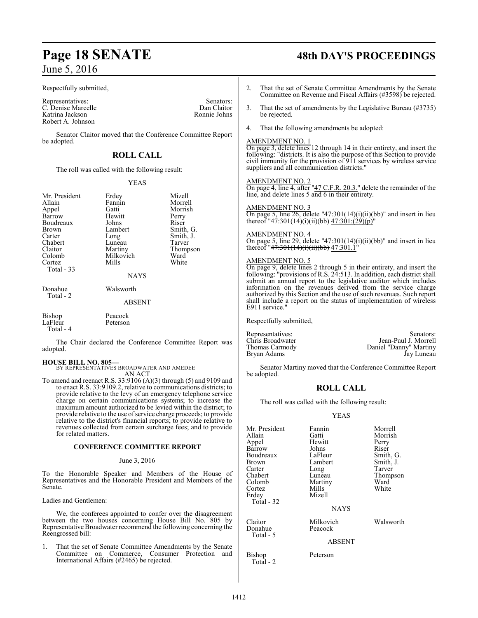#### Respectfully submitted,

Representatives: Senators: Senators: Senators: Senators: Senators: Senators: Senators: Senators: Senators: Senators: Senators: Senators: Senators: Senators: Senators: Senators: Senators: Senators: Senators: Senators: Senat C. Denise Marcelle Dan Claitor<br>
Katrina Jackson<br>
Ronnie Johns Katrina Jackson Robert A. Johnson

Senator Claitor moved that the Conference Committee Report be adopted.

## **ROLL CALL**

The roll was called with the following result:

#### YEAS

| Mr. President<br>Allain<br>Appel<br>Barrow<br>Boudreaux<br>Brown<br>Carter<br>Chabert<br>Claitor<br>Colomb<br>Cortez<br>Total - 33 | Erdey<br>Fannin<br>Gatti<br>Hewitt<br>Johns<br>Lambert<br>Long<br>Luneau<br>Martiny<br>Milkovich<br>Mills<br><b>NAYS</b> | Mizell<br>Morrell<br>Morrish<br>Perry<br>Riser<br>Smith, G.<br>Smith, J.<br>Tarver<br>Thompson<br>Ward<br>White |
|------------------------------------------------------------------------------------------------------------------------------------|--------------------------------------------------------------------------------------------------------------------------|-----------------------------------------------------------------------------------------------------------------|
| Donahue<br>Total - 2                                                                                                               | Walsworth                                                                                                                |                                                                                                                 |
|                                                                                                                                    | <b>ABSENT</b>                                                                                                            |                                                                                                                 |
| $\mathbf{D}^*$ 1                                                                                                                   | $\mathbf{n}$ . $\mathbf{1}$                                                                                              |                                                                                                                 |

| <b>Bishop</b> | Peacock  |
|---------------|----------|
| LaFleur       | Peterson |
| Total - 4     |          |

The Chair declared the Conference Committee Report was adopted.

#### **HOUSE BILL NO. 805—**

BY REPRESENTATIVES BROADWATER AND AMEDEE

AN ACT To amend and reenact R.S. 33:9106 (A)(3) through (5) and 9109 and to enact R.S. 33:9109.2, relative to communications districts; to provide relative to the levy of an emergency telephone service charge on certain communications systems; to increase the maximum amount authorized to be levied within the district; to provide relative to the use ofservice charge proceeds; to provide relative to the district's financial reports; to provide relative to revenues collected from certain surcharge fees; and to provide for related matters.

#### **CONFERENCE COMMITTEE REPORT**

#### June 3, 2016

To the Honorable Speaker and Members of the House of Representatives and the Honorable President and Members of the Senate.

Ladies and Gentlemen:

We, the conferees appointed to confer over the disagreement between the two houses concerning House Bill No. 805 by Representative Broadwater recommend the following concerning the Reengrossed bill:

1. That the set of Senate Committee Amendments by the Senate Committee on Commerce, Consumer Protection and International Affairs (#2465) be rejected.

# **Page 18 SENATE 48th DAY'S PROCEEDINGS**

- 2. That the set of Senate Committee Amendments by the Senate Committee on Revenue and Fiscal Affairs (#3598) be rejected.
- 3. That the set of amendments by the Legislative Bureau (#3735) be rejected.
- 4. That the following amendments be adopted:

#### AMENDMENT NO. 1

On page 3, delete lines 12 through 14 in their entirety, and insert the following: "districts. It is also the purpose of this Section to provide civil immunity for the provision of 911 services by wireless service suppliers and all communication districts."

#### AMENDMENT NO. 2

On page 4, line 4, after "47 C.F.R. 20.3." delete the remainder of the line, and delete lines 5 and 6 in their entirety.

#### AMENDMENT NO. 3

On page 5, line 26, delete "47:301(14)(i)(ii)(bb)" and insert in lieu thereof "<del>47:301(14)(i)(ii)(bb)</del> 47:301:(29)(p)"

#### AMENDMENT NO. 4

On page 5, line 29, delete "47:301(14)(i)(ii)(bb)" and insert in lieu thereof "<del>47:301(14)(i)(ii)(bb)</del> 47:301.1"

#### AMENDMENT NO. 5

On page 9, delete lines 2 through 5 in their entirety, and insert the following: "provisions of R.S. 24:513. In addition, each district shall submit an annual report to the legislative auditor which includes information on the revenues derived from the service charge authorized by this Section and the use of such revenues. Such report shall include a report on the status of implementation of wireless E911 service."

Respectfully submitted,

Chris Broadwater Jean-Paul J. Morrell Bryan Adams

Representatives: Senators: Senators: Daniel "Danny" Martiny<br>Jay Luneau

Senator Martiny moved that the Conference Committee Report be adopted.

### **ROLL CALL**

The roll was called with the following result:

#### YEAS

| Mr. President<br>Allain<br>Appel<br>Barrow<br>Boudreaux<br>Brown<br>Carter<br>Chabert<br>Colomb<br>Cortez | Fannin<br>Gatti<br>Hewitt<br>Johns<br>LaFleur<br>Lambert<br>Long<br>Luneau<br>Martiny<br>Mills | Morrell<br>Morrish<br>Perry<br>Riser<br>Smith, G.<br>Smith, J.<br>Tarver<br>Thompson<br>Ward<br>White |
|-----------------------------------------------------------------------------------------------------------|------------------------------------------------------------------------------------------------|-------------------------------------------------------------------------------------------------------|
| Erdev<br>Total - 32<br>Claitor                                                                            | Mizell<br><b>NAYS</b><br>Milkovich                                                             | Walsworth                                                                                             |
| Donahue<br>Total - 5                                                                                      | Peacock<br>$1.727$ TTM                                                                         |                                                                                                       |

ABSENT

#### Bishop Peterson

Total - 2

1412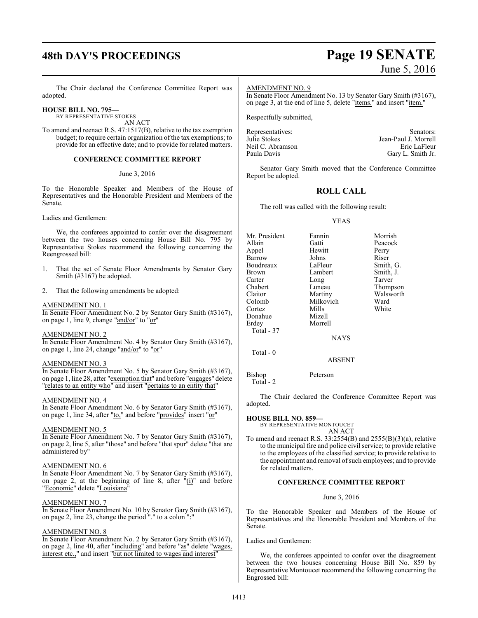# **48th DAY'S PROCEEDINGS Page 19 SENATE**

# June 5, 2016

The Chair declared the Conference Committee Report was adopted.

#### **HOUSE BILL NO. 795—** BY REPRESENTATIVE STOKES

AN ACT

To amend and reenact R.S. 47:1517(B), relative to the tax exemption budget; to require certain organization of the tax exemptions; to provide for an effective date; and to provide for related matters.

#### **CONFERENCE COMMITTEE REPORT**

#### June 3, 2016

To the Honorable Speaker and Members of the House of Representatives and the Honorable President and Members of the Senate.

Ladies and Gentlemen:

We, the conferees appointed to confer over the disagreement between the two houses concerning House Bill No. 795 by Representative Stokes recommend the following concerning the Reengrossed bill:

- 1. That the set of Senate Floor Amendments by Senator Gary Smith (#3167) be adopted.
- 2. That the following amendments be adopted:

#### AMENDMENT NO. 1

In Senate Floor Amendment No. 2 by Senator Gary Smith (#3167), on page 1, line 9, change "and/or" to "or"

#### AMENDMENT NO. 2

In Senate Floor Amendment No. 4 by Senator Gary Smith (#3167), on page 1, line 24, change " $\frac{\text{and/or}}{\text{or}}$ " to " $\text{or}$ "

#### AMENDMENT NO. 3

In Senate Floor Amendment No. 5 by Senator Gary Smith (#3167), on page 1, line 28, after "exemption that" and before "engages" delete "relates to an entity who" and insert "pertains to an entity that"

#### AMENDMENT NO. 4

In Senate Floor Amendment No. 6 by Senator Gary Smith (#3167), on page 1, line 34, after "to," and before "provides" insert "or"

#### AMENDMENT NO. 5

In Senate Floor Amendment No. 7 by Senator Gary Smith (#3167), on page 2, line 5, after "those" and before "that spur" delete "that are administered by"

#### AMENDMENT NO. 6

In Senate Floor Amendment No. 7 by Senator Gary Smith (#3167), on page 2, at the beginning of line 8, after "(i)" and before "Economic" delete "Louisiana"

#### AMENDMENT NO. 7

In Senate Floor Amendment No. 10 by Senator Gary Smith (#3167), on page 2, line 23, change the period "." to a colon ":"

#### AMENDMENT NO. 8

In Senate Floor Amendment No. 2 by Senator Gary Smith (#3167), on page 2, line 40, after "including" and before "as" delete "wages, interest etc.," and insert "but not limited to wages and interest"

#### AMENDMENT NO. 9

In Senate Floor Amendment No. 13 by Senator Gary Smith (#3167), on page 3, at the end of line 5, delete "items." and insert "item."

Respectfully submitted,

| Senators:            |
|----------------------|
| Jean-Paul J. Morrell |
| Eric LaFleur         |
| Gary L. Smith Jr.    |
|                      |

Senator Gary Smith moved that the Conference Committee Report be adopted.

## **ROLL CALL**

The roll was called with the following result:

#### YEAS

| Mr. President  | Fannin     | Morrish   |
|----------------|------------|-----------|
|                |            |           |
| Allain         | Gatti      | Peacock   |
| Appel          | Hewitt     | Perry     |
| Barrow         | Johns      | Riser     |
| Boudreaux      | LaFleur    | Smith, G. |
| Brown          | Lambert    | Smith, J. |
| Carter         | Long       | Tarver    |
| Chabert        | Luneau     | Thompson  |
| Claitor        | Martiny    | Walsworth |
| Colomb         | Milkovich  | Ward      |
| Cortez         | Mills      | White     |
| Donahue        | Mizell     |           |
| Erdey          | Morrell    |           |
| Total - 37     |            |           |
|                | NAYS       |           |
| Total - 0      |            |           |
|                | ABSENT     |           |
| $\mathbf{r}$ . | $\sqrt{ }$ |           |

Bishop Peterson Total - 2

The Chair declared the Conference Committee Report was adopted.

#### **HOUSE BILL NO. 859—**

BY REPRESENTATIVE MONTOUCET AN ACT

To amend and reenact R.S. 33:2554(B) and 2555(B)(3)(a), relative to the municipal fire and police civil service; to provide relative to the employees of the classified service; to provide relative to the appointment and removal of such employees; and to provide for related matters.

#### **CONFERENCE COMMITTEE REPORT**

#### June 3, 2016

To the Honorable Speaker and Members of the House of Representatives and the Honorable President and Members of the Senate.

Ladies and Gentlemen:

We, the conferees appointed to confer over the disagreement between the two houses concerning House Bill No. 859 by Representative Montoucet recommend the following concerning the Engrossed bill: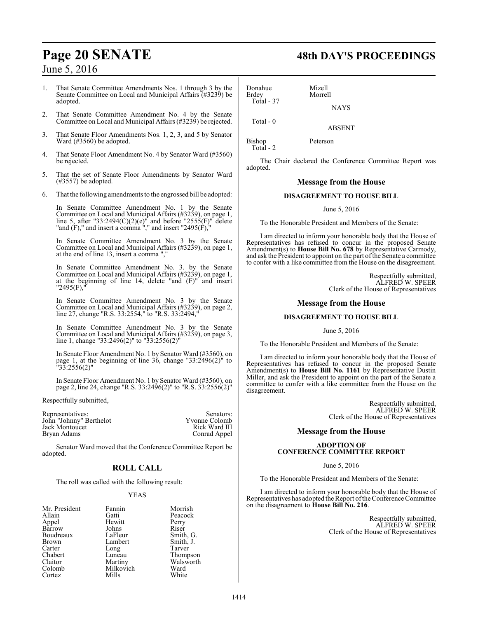1. That Senate Committee Amendments Nos. 1 through 3 by the Senate Committee on Local and Municipal Affairs (#3239) be adopted.

- 2. That Senate Committee Amendment No. 4 by the Senate Committee on Local and Municipal Affairs (#3239) be rejected.
- 3. That Senate Floor Amendments Nos. 1, 2, 3, and 5 by Senator Ward (#3560) be adopted.
- 4. That Senate Floor Amendment No. 4 by Senator Ward (#3560) be rejected.
- 5. That the set of Senate Floor Amendments by Senator Ward (#3557) be adopted.
- 6. That the following amendments to the engrossed bill be adopted:

In Senate Committee Amendment No. 1 by the Senate Committee on Local and Municipal Affairs (#3239), on page 1, line 5, after "33:2494(C)(2)(e)" and before "2555(F)" delete "and  $(F)$ ," and insert a comma "," and insert "2495 $(F)$ ,"

In Senate Committee Amendment No. 3 by the Senate Committee on Local and Municipal Affairs (#3239), on page 1, at the end of line 13, insert a comma ","

In Senate Committee Amendment No. 3. by the Senate Committee on Local and Municipal Affairs (#3239), on page 1, at the beginning of line 14, delete "and (F)" and insert "2495(F),"

In Senate Committee Amendment No. 3 by the Senate Committee on Local and Municipal Affairs (#3239), on page 2, line 27, change "R.S. 33:2554," to "R.S. 33:2494,"

In Senate Committee Amendment No. 3 by the Senate Committee on Local and Municipal Affairs (#3239), on page 3, line 1, change "33:2496(2)" to "33:2556(2)"

In Senate Floor Amendment No. 1 by Senator Ward (#3560), on page 1, at the beginning of line 36, change "33:2496(2)" to "33:2556(2)"

In Senate Floor Amendment No. 1 by Senator Ward (#3560), on page 2, line 24, change "R.S. 33:2496(2)" to "R.S. 33:2556(2)"

Respectfully submitted,

Representatives: Senators: Senators: Senators: Senators: Senators: Senators: Senators: Senators: Senators: Senators: Senators: Senators: Senators: Senators: Senators: Senators: Senators: Senators: Senators: Senators: Senat John "Johnny" Berthelot Yvonne Colomb Jack Montoucet<br>Bryan Adams Conrad Appel

Senator Ward moved that the Conference Committee Report be adopted.

## **ROLL CALL**

The roll was called with the following result:

#### YEAS

| Mr. President | Fannin    | Morri  |
|---------------|-----------|--------|
| Allain        | Gatti     | Peaco  |
| Appel         | Hewitt    | Perry  |
| Barrow        | Johns     | Riser  |
| Boudreaux     | LaFleur   | Smith  |
| Brown         | Lambert   | Smith  |
| Carter        | Long      | Tarver |
| Chabert       | Luneau    | Thom   |
| Claitor       | Martiny   | Walsy  |
| Colomb        | Milkovich | Ward   |
| Cortez        | Mills     | White  |
|               |           |        |

# **Page 20 SENATE 48th DAY'S PROCEEDINGS**

Donahue Mizell<br>Erdey Morre Total - 37

Total - 0

Total - 2

Morrell

Bishop Peterson

The Chair declared the Conference Committee Report was adopted.

**NAYS** 

ABSENT

#### **Message from the House**

### **DISAGREEMENT TO HOUSE BILL**

June 5, 2016

To the Honorable President and Members of the Senate:

I am directed to inform your honorable body that the House of Representatives has refused to concur in the proposed Senate Amendment(s) to **House Bill No. 678** by Representative Carmody, and ask the President to appoint on the part of the Senate a committee to confer with a like committee from the House on the disagreement.

> Respectfully submitted, ALFRED W. SPEER Clerk of the House of Representatives

#### **Message from the House**

#### **DISAGREEMENT TO HOUSE BILL**

#### June 5, 2016

To the Honorable President and Members of the Senate:

I am directed to inform your honorable body that the House of Representatives has refused to concur in the proposed Senate Amendment(s) to **House Bill No. 1161** by Representative Dustin Miller, and ask the President to appoint on the part of the Senate a committee to confer with a like committee from the House on the disagreement.

> Respectfully submitted, ALFRED W. SPEER Clerk of the House of Representatives

### **Message from the House**

#### **ADOPTION OF CONFERENCE COMMITTEE REPORT**

June 5, 2016

To the Honorable President and Members of the Senate:

I am directed to inform your honorable body that the House of Representatives has adopted the Report of the Conference Committee on the disagreement to **House Bill No. 216**.

> Respectfully submitted, ALFRED W. SPEER Clerk of the House of Representatives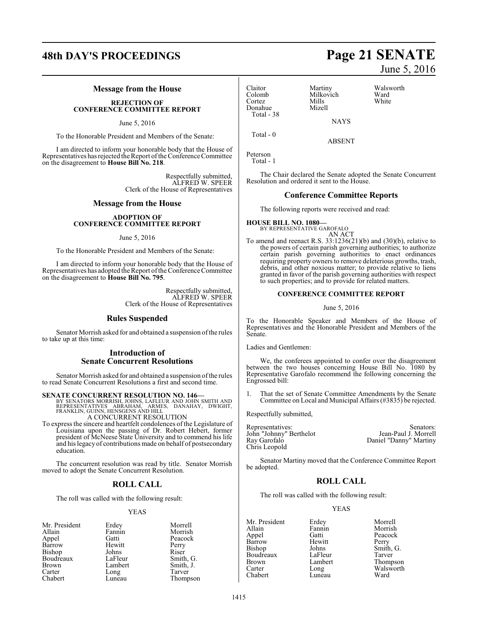# **48th DAY'S PROCEEDINGS Page 21 SENATE**

#### **Message from the House**

**REJECTION OF CONFERENCE COMMITTEE REPORT**

June 5, 2016

To the Honorable President and Members of the Senate:

I am directed to inform your honorable body that the House of Representatives has rejected the Report of the Conference Committee on the disagreement to **House Bill No. 218**.

> Respectfully submitted, ALFRED W. SPEER Clerk of the House of Representatives

#### **Message from the House**

#### **ADOPTION OF CONFERENCE COMMITTEE REPORT**

#### June 5, 2016

To the Honorable President and Members of the Senate:

I am directed to inform your honorable body that the House of Representatives has adopted the Report ofthe Conference Committee on the disagreement to **House Bill No. 795**.

> Respectfully submitted, ALFRED W. SPEER Clerk of the House of Representatives

#### **Rules Suspended**

Senator Morrish asked for and obtained a suspension of the rules to take up at this time:

#### **Introduction of Senate Concurrent Resolutions**

Senator Morrish asked for and obtained a suspension ofthe rules to read Senate Concurrent Resolutions a first and second time.

## **SENATE CONCURRENT RESOLUTION NO. 146—**

BY SENATORS MORRISH, JOHNS, LAFLEUR AND JOHN SMITH AND<br>REPRESENTATIVES ABRAHAM, ARMES, DANAHAY, DWIGHT,<br>FRANKLIN, GUINN, HENSGENS AND HILL

A CONCURRENT RESOLUTION

To express the sincere and heartfelt condolences of the Legislature of Louisiana upon the passing of Dr. Robert Hebert, former president of McNeese State University and to commend his life and his legacy of contributions made on behalf of postsecondary education.

The concurrent resolution was read by title. Senator Morrish moved to adopt the Senate Concurrent Resolution.

### **ROLL CALL**

The roll was called with the following result:

#### YEAS

| Mr. President | Erdey   | Morrell   |
|---------------|---------|-----------|
| Allain        | Fannin  | Morrish   |
| Appel         | Gatti   | Peacock   |
| Barrow        | Hewitt  | Perry     |
| Bishop        | Johns   | Riser     |
| Boudreaux     | LaFleur | Smith, G. |
| <b>Brown</b>  | Lambert | Smith, J. |
| Carter        | Long    | Tarver    |
| Chabert       | Luneau  | Thompson  |

## Claitor Martiny Walsworth Donahue Mizell Total - 38

Colomb Milkovich Ward Cortez Mills White NAYS

ABSENT

Total - 0

Peterson

Total - 1

The Chair declared the Senate adopted the Senate Concurrent Resolution and ordered it sent to the House.

#### **Conference Committee Reports**

The following reports were received and read:

**HOUSE BILL NO. 1080—** BY REPRESENTATIVE GAROFALO

AN ACT

To amend and reenact R.S. 33:1236(21)(b) and (30)(b), relative to the powers of certain parish governing authorities; to authorize certain parish governing authorities to enact ordinances requiring property owners to remove deleterious growths, trash, debris, and other noxious matter; to provide relative to liens granted in favor of the parish governing authorities with respect to such properties; and to provide for related matters.

#### **CONFERENCE COMMITTEE REPORT**

#### June 5, 2016

To the Honorable Speaker and Members of the House of Representatives and the Honorable President and Members of the Senate.

Ladies and Gentlemen:

We, the conferees appointed to confer over the disagreement between the two houses concerning House Bill No. 1080 by Representative Garofalo recommend the following concerning the Engrossed bill:

1. That the set of Senate Committee Amendments by the Senate Committee on Local and Municipal Affairs (#3835) be rejected.

Respectfully submitted,

| Representatives:        | Senators:              |
|-------------------------|------------------------|
| John "Johnny" Berthelot | Jean-Paul J. Morrell   |
| Ray Garofalo            | Daniel "Danny" Martiny |
| Chris Leopold           |                        |

Senator Martiny moved that the Conference Committee Report be adopted.

## **ROLL CALL**

The roll was called with the following result:

#### YEAS

Mr. President Erdey Morrell<br>Allain Fannin Morrish Allain Fannin<br>Appel Gatti Barrow Hewit<br>Bishop Johns Boudreaux LaFleur Tarver<br>Brown Lambert Thomp Brown Lambert Thompson<br>
Carter Long Walsworth Chabert

Gatti Peacock<br>
Hewitt Perry Johns Smith, G.<br>LaFleur Tarver Long Walsworth<br>
Luneau Ward

June 5, 2016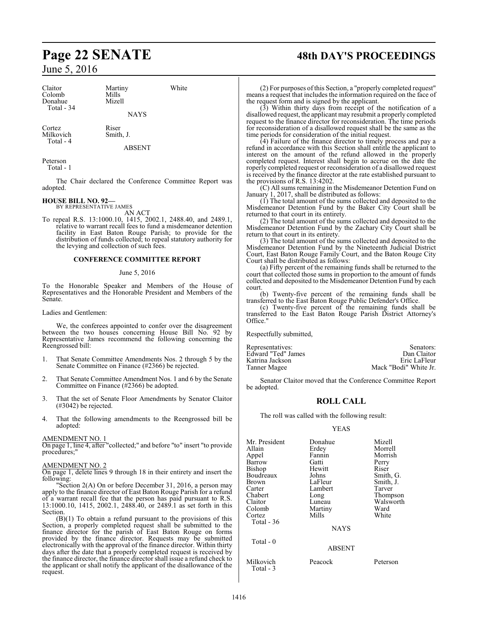Claitor Martiny White Colomb Mills<br>Donahue Mizell Donahue Total - 34

NAYS

Cortez Riser<br>
Milkovich Smith, J. Milkovich Total - 4

ABSENT

Peterson

Total - 1

The Chair declared the Conference Committee Report was adopted.

#### **HOUSE BILL NO. 92—**

BY REPRESENTATIVE JAMES AN ACT

To repeal R.S. 13:1000.10, 1415, 2002.1, 2488.40, and 2489.1, relative to warrant recall fees to fund a misdemeanor detention facility in East Baton Rouge Parish; to provide for the distribution of funds collected; to repeal statutory authority for the levying and collection of such fees.

#### **CONFERENCE COMMITTEE REPORT**

#### June 5, 2016

To the Honorable Speaker and Members of the House of Representatives and the Honorable President and Members of the Senate.

Ladies and Gentlemen:

We, the conferees appointed to confer over the disagreement between the two houses concerning House Bill No. 92 by Representative James recommend the following concerning the Reengrossed bill:

- 1. That Senate Committee Amendments Nos. 2 through 5 by the Senate Committee on Finance (#2366) be rejected.
- 2. That Senate Committee Amendment Nos. 1 and 6 by the Senate Committee on Finance (#2366) be adopted.
- 3. That the set of Senate Floor Amendments by Senator Claitor (#3042) be rejected.
- 4. That the following amendments to the Reengrossed bill be adopted:

#### AMENDMENT NO. 1

On page 1, line 4, after "collected;" and before "to" insert "to provide procedures;"

#### AMENDMENT NO. 2

On page 1, delete lines 9 through 18 in their entirety and insert the following:

"Section 2(A) On or before December 31, 2016, a person may apply to the finance director of East Baton Rouge Parish for a refund of a warrant recall fee that the person has paid pursuant to R.S. 13:1000.10, 1415, 2002.1, 2488.40, or 2489.1 as set forth in this Section.

 $(B)(1)$  To obtain a refund pursuant to the provisions of this Section, a properly completed request shall be submitted to the finance director for the parish of East Baton Rouge on forms provided by the finance director. Requests may be submitted electronically with the approval of the finance director. Within thirty days after the date that a properly completed request is received by the finance director, the finance director shall issue a refund check to the applicant or shall notify the applicant of the disallowance of the request.

# **Page 22 SENATE 48th DAY'S PROCEEDINGS**

(2) For purposes of this Section, a "properly completed request" means a request that includes the information required on the face of the request form and is signed by the applicant.

(3) Within thirty days from receipt of the notification of a disallowed request, the applicant may resubmit a properly completed request to the finance director for reconsideration. The time periods for reconsideration of a disallowed request shall be the same as the time periods for consideration of the initial request.

(4) Failure of the finance director to timely process and pay a refund in accordance with this Section shall entitle the applicant to interest on the amount of the refund allowed in the properly completed request. Interest shall begin to accrue on the date the roperly completed request or reconsideration of a disallowed request is received by the finance director at the rate established pursuant to the provisions of R.S. 13:4202.

(C) All sums remaining in the Misdemeanor Detention Fund on January 1, 2017, shall be distributed as follows:

(1) The total amount of the sums collected and deposited to the Misdemeanor Detention Fund by the Baker City Court shall be returned to that court in its entirety.

(2) The total amount of the sums collected and deposited to the Misdemeanor Detention Fund by the Zachary City Court shall be return to that court in its entirety.

(3) The total amount of the sums collected and deposited to the Misdemeanor Detention Fund by the Nineteenth Judicial District Court, East Baton Rouge Family Court, and the Baton Rouge City Court shall be distributed as follows:

(a) Fifty percent of the remaining funds shall be returned to the court that collected those sums in proportion to the amount of funds collected and deposited to the Misdemeanor Detention Fund by each court.

(b) Twenty-five percent of the remaining funds shall be transferred to the East Baton Rouge Public Defender's Office.

(c) Twenty-five percent of the remaining funds shall be transferred to the East Baton Rouge Parish District Attorney's Office."

Respectfully submitted,

| Representatives:   | Senators:             |
|--------------------|-----------------------|
| Edward "Ted" James | Dan Claitor           |
| Katrina Jackson    | Eric LaFleur          |
| Tanner Magee       | Mack "Bodi" White Jr. |

Senator Claitor moved that the Conference Committee Report be adopted.

### **ROLL CALL**

The roll was called with the following result:

#### YEAS

| Mr. President | Donahue       | Mizell    |
|---------------|---------------|-----------|
| Allain        | Erdey         | Morrell   |
| Appel         | Fannin        | Morrish   |
| Barrow        | Gatti         | Perry     |
| Bishop        | Hewitt        | Riser     |
| Boudreaux     | Johns         | Smith, G. |
| <b>Brown</b>  | LaFleur       | Smith, J. |
| Carter        | Lambert       | Tarver    |
| Chabert       | Long          | Thompson  |
| Claitor       | Luneau        | Walsworth |
| Colomb        | Martiny       | Ward      |
| Cortez        | Mills         | White     |
| Total $-36$   |               |           |
|               | <b>NAYS</b>   |           |
| Total $-0$    |               |           |
|               | <b>ABSENT</b> |           |
| Milkovich     | Peacock       | Peterson  |

Total - 3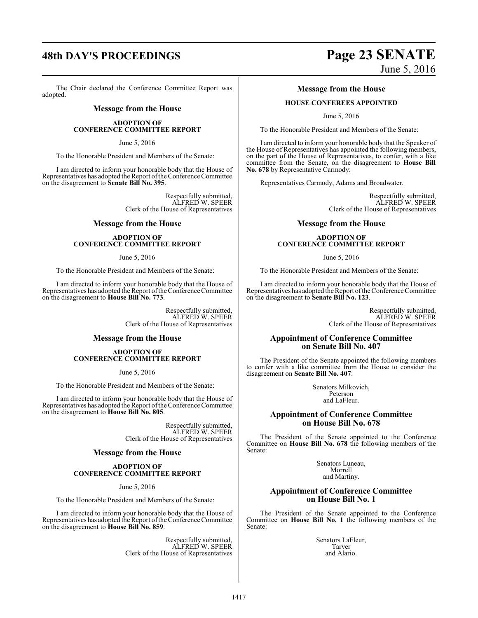# **48th DAY'S PROCEEDINGS Page 23 SENATE**

The Chair declared the Conference Committee Report was adopted.

#### **Message from the House**

#### **ADOPTION OF CONFERENCE COMMITTEE REPORT**

June 5, 2016

To the Honorable President and Members of the Senate:

I am directed to inform your honorable body that the House of Representatives has adopted the Report of the Conference Committee on the disagreement to **Senate Bill No. 395**.

> Respectfully submitted, ALFRED W. SPEER Clerk of the House of Representatives

#### **Message from the House**

#### **ADOPTION OF CONFERENCE COMMITTEE REPORT**

June 5, 2016

To the Honorable President and Members of the Senate:

I am directed to inform your honorable body that the House of Representatives has adopted the Report ofthe Conference Committee on the disagreement to **House Bill No. 773**.

> Respectfully submitted, ALFRED W. SPEER Clerk of the House of Representatives

### **Message from the House**

#### **ADOPTION OF CONFERENCE COMMITTEE REPORT**

June 5, 2016

To the Honorable President and Members of the Senate:

I am directed to inform your honorable body that the House of Representatives has adopted the Report ofthe Conference Committee on the disagreement to **House Bill No. 805**.

> Respectfully submitted, ALFRED W. SPEER Clerk of the House of Representatives

### **Message from the House**

#### **ADOPTION OF CONFERENCE COMMITTEE REPORT**

June 5, 2016

To the Honorable President and Members of the Senate:

I am directed to inform your honorable body that the House of Representatives has adopted the Report ofthe Conference Committee on the disagreement to **House Bill No. 859**.

> Respectfully submitted, ALFRED W. SPEER Clerk of the House of Representatives

# June 5, 2016

#### **Message from the House**

#### **HOUSE CONFEREES APPOINTED**

June 5, 2016

To the Honorable President and Members of the Senate:

I am directed to inform your honorable body that the Speaker of the House of Representatives has appointed the following members, on the part of the House of Representatives, to confer, with a like committee from the Senate, on the disagreement to **House Bill No. 678** by Representative Carmody:

Representatives Carmody, Adams and Broadwater.

Respectfully submitted, ALFRED W. SPEER Clerk of the House of Representatives

#### **Message from the House**

#### **ADOPTION OF CONFERENCE COMMITTEE REPORT**

June 5, 2016

To the Honorable President and Members of the Senate:

I am directed to inform your honorable body that the House of Representatives has adopted the Report ofthe Conference Committee on the disagreement to **Senate Bill No. 123**.

> Respectfully submitted, ALFRED W. SPEER Clerk of the House of Representatives

#### **Appointment of Conference Committee on Senate Bill No. 407**

The President of the Senate appointed the following members to confer with a like committee from the House to consider the disagreement on **Senate Bill No. 407**:

> Senators Milkovich, Peterson and LaFleur.

#### **Appointment of Conference Committee on House Bill No. 678**

The President of the Senate appointed to the Conference Committee on **House Bill No. 678** the following members of the Senate:

> Senators Luneau, Morrell and Martiny.

#### **Appointment of Conference Committee on House Bill No. 1**

The President of the Senate appointed to the Conference Committee on **House Bill No. 1** the following members of the Senate:

> Senators LaFleur, Tarver and Alario.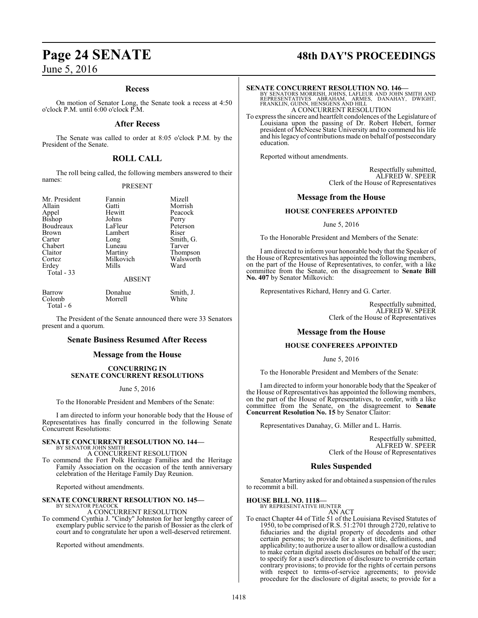#### **Recess**

On motion of Senator Long, the Senate took a recess at 4:50 o'clock P.M. until 6:00 o'clock P.M.

#### **After Recess**

The Senate was called to order at 8:05 o'clock P.M. by the President of the Senate.

### **ROLL CALL**

The roll being called, the following members answered to their names:

#### PRESENT

Mr. President Fannin Mizell<br>Allain Gatti Morris Brown Lambert<br>Carter Long Erdey Total - 33

Allain Gatti Morrish Hewitt Peacock<br>Johns Perry Bishop Johns Perry<br>Boudreaux LaFleur Peterson Boudreaux LaFleur Peters<br>Brown Lambert Riser Carter Long Smith, G.<br>Chabert Luneau Tarver Chabert Luneau Tarver<br>Claitor Martiny Thomp Claitor Martiny Thompson<br>Cortez Milkovich Walsworth Milkovich Walsworth<br>
Mills Ward

#### ABSENT

| Barrow    | Donahue | Smith, J. |
|-----------|---------|-----------|
| Colomb    | Morrell | White     |
| Total - 6 |         |           |

The President of the Senate announced there were 33 Senators present and a quorum.

#### **Senate Business Resumed After Recess**

#### **Message from the House**

#### **CONCURRING IN SENATE CONCURRENT RESOLUTIONS**

#### June 5, 2016

To the Honorable President and Members of the Senate:

I am directed to inform your honorable body that the House of Representatives has finally concurred in the following Senate Concurrent Resolutions:

#### **SENATE CONCURRENT RESOLUTION NO. 144—** BY SENATOR JOHN SMITH

A CONCURRENT RESOLUTION

To commend the Fort Polk Heritage Families and the Heritage Family Association on the occasion of the tenth anniversary celebration of the Heritage Family Day Reunion.

Reported without amendments.

## **SENATE CONCURRENT RESOLUTION NO. 145—** BY SENATOR PEACOCK A CONCURRENT RESOLUTION

To commend Cynthia J. "Cindy" Johnston for her lengthy career of exemplary public service to the parish of Bossier as the clerk of court and to congratulate her upon a well-deserved retirement.

Reported without amendments.

# **Page 24 SENATE 48th DAY'S PROCEEDINGS**

#### **SENATE CONCURRENT RESOLUTION NO. 146—**

BY SENATORS MORRISH, JOHNS, LAFLEUR AND JOHN SMITH AND<br>REPRESENTATIVES ABRAHAM, ARMES, DANAHAY, DWIGHT,<br>FRANKLIN, GUINN, HENSGENS AND HILL A CONCURRENT RESOLUTION

To express the sincere and heartfelt condolences of the Legislature of Louisiana upon the passing of Dr. Robert Hebert, former president of McNeese State University and to commend his life and his legacy of contributions made on behalf of postsecondary education.

Reported without amendments.

Respectfully submitted, ALFRED W. SPEER Clerk of the House of Representatives

#### **Message from the House**

#### **HOUSE CONFEREES APPOINTED**

June 5, 2016

To the Honorable President and Members of the Senate:

I am directed to inform your honorable body that the Speaker of the House of Representatives has appointed the following members, on the part of the House of Representatives, to confer, with a like committee from the Senate, on the disagreement to **Senate Bill No. 407** by Senator Milkovich:

Representatives Richard, Henry and G. Carter.

Respectfully submitted, ALFRED W. SPEER Clerk of the House of Representatives

#### **Message from the House**

#### **HOUSE CONFEREES APPOINTED**

June 5, 2016

To the Honorable President and Members of the Senate:

I am directed to inform your honorable body that the Speaker of the House of Representatives has appointed the following members, on the part of the House of Representatives, to confer, with a like committee from the Senate, on the disagreement to **Senate Concurrent Resolution No. 15** by Senator Claitor:

Representatives Danahay, G. Miller and L. Harris.

Respectfully submitted, ALFRED W. SPEER Clerk of the House of Representatives

#### **Rules Suspended**

Senator Martiny asked for and obtained a suspension ofthe rules to recommit a bill.

#### **HOUSE BILL NO. 1118—**

BY REPRESENTATIVE HUNTER AN ACT

To enact Chapter 44 of Title 51 of the Louisiana Revised Statutes of 1950, to be comprised ofR.S. 51:2701 through 2720, relative to fiduciaries and the digital property of decedents and other certain persons; to provide for a short title, definitions, and applicability; to authorize a user to allow or disallow a custodian to make certain digital assets disclosures on behalf of the user; to specify for a user's direction of disclosure to override certain contrary provisions; to provide for the rights of certain persons with respect to terms-of-service agreements; to provide procedure for the disclosure of digital assets; to provide for a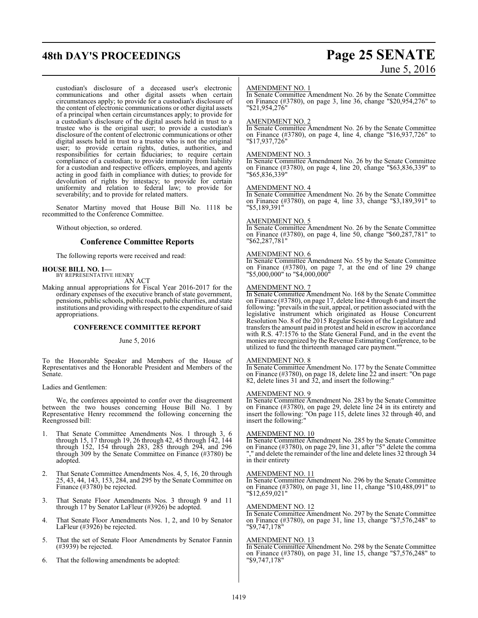# **48th DAY'S PROCEEDINGS Page 25 SENATE**

custodian's disclosure of a deceased user's electronic communications and other digital assets when certain circumstances apply; to provide for a custodian's disclosure of the content of electronic communications or other digital assets of a principal when certain circumstances apply; to provide for a custodian's disclosure of the digital assets held in trust to a trustee who is the original user; to provide a custodian's disclosure of the content of electronic communications or other digital assets held in trust to a trustee who is not the original user; to provide certain rights, duties, authorities, and responsibilities for certain fiduciaries; to require certain compliance of a custodian; to provide immunity from liability for a custodian and respective officers, employees, and agents acting in good faith in compliance with duties; to provide for devolution of rights by intestacy; to provide for certain uniformity and relation to federal law; to provide for severability; and to provide for related matters.

Senator Martiny moved that House Bill No. 1118 be recommitted to the Conference Committee.

Without objection, so ordered.

#### **Conference Committee Reports**

The following reports were received and read:

#### **HOUSE BILL NO. 1—**

BY REPRESENTATIVE HENRY AN ACT

Making annual appropriations for Fiscal Year 2016-2017 for the ordinary expenses of the executive branch of state government, pensions, public schools, public roads, public charities, and state institutions and providing with respect to the expenditure ofsaid appropriations.

#### **CONFERENCE COMMITTEE REPORT**

#### June 5, 2016

To the Honorable Speaker and Members of the House of Representatives and the Honorable President and Members of the Senate.

Ladies and Gentlemen:

We, the conferees appointed to confer over the disagreement between the two houses concerning House Bill No. 1 by Representative Henry recommend the following concerning the Reengrossed bill:

- 1. That Senate Committee Amendments Nos. 1 through 3, 6 through 15, 17 through 19, 26 through 42, 45 through 142, 144 through 152, 154 through 283, 285 through 294, and 296 through 309 by the Senate Committee on Finance (#3780) be adopted.
- That Senate Committee Amendments Nos. 4, 5, 16, 20 through 25, 43, 44, 143, 153, 284, and 295 by the Senate Committee on Finance (#3780) be rejected.
- 3. That Senate Floor Amendments Nos. 3 through 9 and 11 through 17 by Senator LaFleur (#3926) be adopted.
- 4. That Senate Floor Amendments Nos. 1, 2, and 10 by Senator LaFleur (#3926) be rejected.
- 5. That the set of Senate Floor Amendments by Senator Fannin (#3939) be rejected.
- 6. That the following amendments be adopted:

# June 5, 2016

#### AMENDMENT NO. 1

In Senate Committee Amendment No. 26 by the Senate Committee on Finance (#3780), on page 3, line 36, change "\$20,954,276" to "\$21,954,276"

#### AMENDMENT NO. 2

In Senate Committee Amendment No. 26 by the Senate Committee on Finance (#3780), on page 4, line 4, change "\$16,937,726" to "\$17,937,726"

#### AMENDMENT NO. 3

In Senate Committee Amendment No. 26 by the Senate Committee on Finance (#3780), on page 4, line 20, change "\$63,836,339" to "\$65,836,339"

#### AMENDMENT NO. 4

In Senate Committee Amendment No. 26 by the Senate Committee on Finance (#3780), on page 4, line 33, change "\$3,189,391" to "\$5,189,391"

#### AMENDMENT NO. 5

In Senate Committee Amendment No. 26 by the Senate Committee on Finance (#3780), on page 4, line 50, change "\$60,287,781" to "\$62,287,781"

#### AMENDMENT NO. 6

In Senate Committee Amendment No. 55 by the Senate Committee on Finance (#3780), on page 7, at the end of line 29 change "\$5,000,000" to "\$4,000,000"

#### AMENDMENT NO. 7

In Senate Committee Amendment No. 168 by the Senate Committee on Finance (#3780), on page 17, delete line 4 through 6 and insert the following: "prevails in the suit, appeal, or petition associated with the legislative instrument which originated as House Concurrent Resolution No. 8 of the 2015 Regular Session of the Legislature and transfers the amount paid in protest and held in escrow in accordance with R.S. 47:1576 to the State General Fund, and in the event the monies are recognized by the Revenue Estimating Conference, to be utilized to fund the thirteenth managed care payment.""

#### AMENDMENT NO. 8

In Senate Committee Amendment No. 177 by the Senate Committee on Finance (#3780), on page 18, delete line 22 and insert: "On page 82, delete lines 31 and 32, and insert the following:"

#### AMENDMENT NO. 9

In Senate Committee Amendment No. 283 by the Senate Committee on Finance (#3780), on page 29, delete line 24 in its entirety and insert the following: "On page 115, delete lines 32 through 40, and insert the following:"

#### AMENDMENT NO. 10

In Senate Committee Amendment No. 285 by the Senate Committee on Finance (#3780), on page 29, line 31, after "5" delete the comma " and delete the remainder of the line and delete lines 32 through 34 in their entirety

#### AMENDMENT NO. 11

In Senate Committee Amendment No. 296 by the Senate Committee on Finance (#3780), on page 31, line 11, change "\$10,488,091" to "\$12,659,021"

#### AMENDMENT NO. 12

In Senate Committee Amendment No. 297 by the Senate Committee on Finance (#3780), on page 31, line 13, change "\$7,576,248" to "\$9,747,178"

#### AMENDMENT NO. 13

In Senate Committee Amendment No. 298 by the Senate Committee on Finance (#3780), on page 31, line 15, change "\$7,576,248" to "\$9,747,178"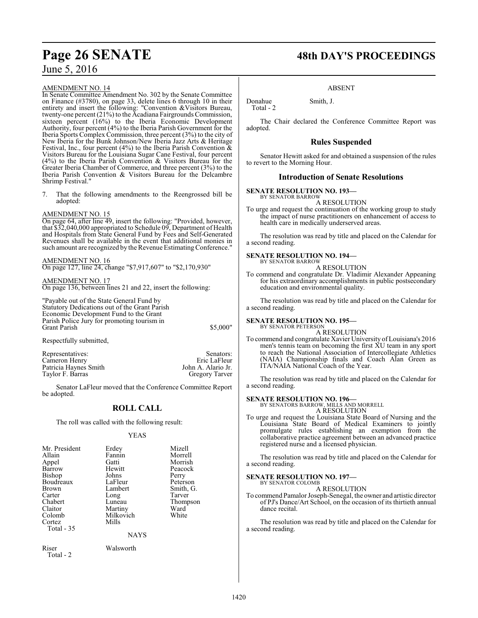#### AMENDMENT NO. 14

In Senate Committee Amendment No. 302 by the Senate Committee on Finance (#3780), on page 33, delete lines 6 through 10 in their entirety and insert the following: "Convention &Visitors Bureau, twenty-one percent (21%) to the Acadiana Fairgrounds Commission, sixteen percent (16%) to the Iberia Economic Development Authority, four percent (4%) to the Iberia Parish Government for the Iberia Sports Complex Commission, three percent (3%) to the city of New Iberia for the Bunk Johnson/New Iberia Jazz Arts & Heritage Festival, Inc., four percent  $(4%)$  to the Iberia Parish Convention  $\&$ Visitors Bureau for the Louisiana Sugar Cane Festival, four percent (4%) to the Iberia Parish Convention & Visitors Bureau for the Greater Iberia Chamber of Commerce, and three percent (3%) to the Iberia Parish Convention & Visitors Bureau for the Delcambre Shrimp Festival."

7. That the following amendments to the Reengrossed bill be adopted:

#### AMENDMENT NO. 15

On page 64, after line 49, insert the following: "Provided, however, that \$32,040,000 appropriated to Schedule 09, Department of Health and Hospitals from State General Fund by Fees and Self-Generated Revenues shall be available in the event that additional monies in such amount are recognized by the Revenue Estimating Conference."

AMENDMENT NO. 16 On page 127, line 24, change "\$7,917,607" to "\$2,170,930"

#### AMENDMENT NO. 17 On page 136, between lines 21 and 22, insert the following:

"Payable out of the State General Fund by Statutory Dedications out of the Grant Parish Economic Development Fund to the Grant Parish Police Jury for promoting tourism in Grant Parish  $$5,000"$ 

Respectfully submitted,

Representatives: Senators: Senators: Senators: Senators: Senators: Senators: Senators: Senators: Senators: Senators: Senators: Senators: Senators: Senators: Senators: Senators: Senators: Senators: Senators: Senators: Senat Cameron Henry Eric LaFleur<br>
Patricia Haynes Smith Manuel Solom A. Alario Jr. Patricia Haynes Smith John A. Alario Jr.<br>
Taylor F. Barras Gregory Tarver Taylor F. Barras

Senator LaFleur moved that the Conference Committee Report be adopted.

## **ROLL CALL**

The roll was called with the following result:

#### YEAS

| Mr. President | Erdey     | Mizell    |  |
|---------------|-----------|-----------|--|
| Allain        | Fannin    | Morrell   |  |
| Appel         | Gatti     | Morrish   |  |
| Barrow        | Hewitt    | Peacock   |  |
| Bishop        | Johns     | Perry     |  |
| Boudreaux     | LaFleur   | Peterson  |  |
| <b>Brown</b>  | Lambert   | Smith, G. |  |
| Carter        | Long      | Tarver    |  |
| Chabert       | Luneau    | Thompson  |  |
| Claitor       | Martiny   | Ward      |  |
| Colomb        | Milkovich | White     |  |
| Cortez        | Mills     |           |  |
| Total - 35    |           |           |  |
|               | NAYS      |           |  |

Riser Walsworth Total - 2

# **Page 26 SENATE 48th DAY'S PROCEEDINGS**

#### ABSENT

Donahue Smith, J. Total - 2

The Chair declared the Conference Committee Report was adopted.

#### **Rules Suspended**

Senator Hewitt asked for and obtained a suspension of the rules to revert to the Morning Hour.

#### **Introduction of Senate Resolutions**

### **SENATE RESOLUTION NO. 193—**

BY SENATOR BARROW A RESOLUTION

To urge and request the continuation of the working group to study the impact of nurse practitioners on enhancement of access to health care in medically underserved areas.

The resolution was read by title and placed on the Calendar for a second reading.

#### **SENATE RESOLUTION NO. 194—** BY SENATOR BARROW

A RESOLUTION

To commend and congratulate Dr. Vladimir Alexander Appeaning for his extraordinary accomplishments in public postsecondary education and environmental quality.

The resolution was read by title and placed on the Calendar for a second reading.

#### **SENATE RESOLUTION NO. 195—**

BY SENATOR PETERSON A RESOLUTION

To commend and congratulate Xavier University ofLouisiana's 2016 men's tennis team on becoming the first XU team in any sport to reach the National Association of Intercollegiate Athletics (NAIA) Championship finals and Coach Alan Green as ITA/NAIA National Coach of the Year.

The resolution was read by title and placed on the Calendar for a second reading.

#### **SENATE RESOLUTION NO. 196—**

BY SENATORS BARROW, MILLS AND MORRELL A RESOLUTION

To urge and request the Louisiana State Board of Nursing and the Louisiana State Board of Medical Examiners to jointly promulgate rules establishing an exemption from the collaborative practice agreement between an advanced practice registered nurse and a licensed physician.

The resolution was read by title and placed on the Calendar for a second reading.

#### **SENATE RESOLUTION NO. 197—** BY SENATOR COLOMB

A RESOLUTION

To commend Pamalor Joseph-Senegal, the owner and artistic director of PJ's Dance/Art School, on the occasion of its thirtieth annual dance recital.

The resolution was read by title and placed on the Calendar for a second reading.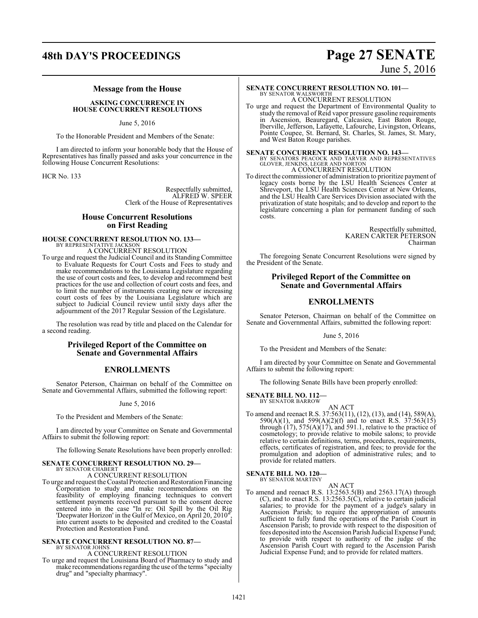# **48th DAY'S PROCEEDINGS Page 27 SENATE**

# June 5, 2016

#### **Message from the House**

#### **ASKING CONCURRENCE IN HOUSE CONCURRENT RESOLUTIONS**

June 5, 2016

To the Honorable President and Members of the Senate:

I am directed to inform your honorable body that the House of Representatives has finally passed and asks your concurrence in the following House Concurrent Resolutions:

HCR No. 133

Respectfully submitted, ALFRED W. SPEER Clerk of the House of Representatives

#### **House Concurrent Resolutions on First Reading**

# **HOUSE CONCURRENT RESOLUTION NO. 133—** BY REPRESENTATIVE JACKSON

A CONCURRENT RESOLUTION

To urge and request the Judicial Council and its Standing Committee to Evaluate Requests for Court Costs and Fees to study and make recommendations to the Louisiana Legislature regarding the use of court costs and fees, to develop and recommend best practices for the use and collection of court costs and fees, and to limit the number of instruments creating new or increasing court costs of fees by the Louisiana Legislature which are subject to Judicial Council review until sixty days after the adjournment of the 2017 Regular Session of the Legislature.

The resolution was read by title and placed on the Calendar for a second reading.

#### **Privileged Report of the Committee on Senate and Governmental Affairs**

## **ENROLLMENTS**

Senator Peterson, Chairman on behalf of the Committee on Senate and Governmental Affairs, submitted the following report:

#### June 5, 2016

To the President and Members of the Senate:

I am directed by your Committee on Senate and Governmental Affairs to submit the following report:

The following Senate Resolutions have been properly enrolled:

#### **SENATE CONCURRENT RESOLUTION NO. 29—** BY SENATOR CHABERT

A CONCURRENT RESOLUTION

To urge and request the Coastal Protection and Restoration Financing Corporation to study and make recommendations on the feasibility of employing financing techniques to convert settlement payments received pursuant to the consent decree entered into in the case "In re: Oil Spill by the Oil Rig 'Deepwater Horizon' in the Gulf of Mexico, on April 20, 2010", into current assets to be deposited and credited to the Coastal Protection and Restoration Fund.

#### **SENATE CONCURRENT RESOLUTION NO. 87—** BY SENATOR JOHNS

A CONCURRENT RESOLUTION

To urge and request the Louisiana Board of Pharmacy to study and make recommendations regarding the use ofthe terms "specialty drug" and "specialty pharmacy".

**SENATE CONCURRENT RESOLUTION NO. 101—** BY SENATOR WALSWORTH A CONCURRENT RESOLUTION

To urge and request the Department of Environmental Quality to study the removal of Reid vapor pressure gasoline requirements in Ascension, Beauregard, Calcasieu, East Baton Rouge, Iberville, Jefferson, Lafayette, Lafourche, Livingston, Orleans, Pointe Coupee, St. Bernard, St. Charles, St. James, St. Mary, and West Baton Rouge parishes.

**SENATE CONCURRENT RESOLUTION NO. 143—** BY SENATORS PEACOCK AND TARVER AND REPRESENTATIVES GLOVER, JENKINS, LEGER AND NORTON A CONCURRENT RESOLUTION

To direct the commissioner of administration to prioritize payment of legacy costs borne by the LSU Health Sciences Center at Shreveport, the LSU Health Sciences Center at New Orleans, and the LSU Health Care Services Division associated with the privatization of state hospitals; and to develop and report to the legislature concerning a plan for permanent funding of such costs.

> Respectfully submitted, KAREN CARTER PETERSON Chairman

The foregoing Senate Concurrent Resolutions were signed by the President of the Senate.

### **Privileged Report of the Committee on Senate and Governmental Affairs**

#### **ENROLLMENTS**

Senator Peterson, Chairman on behalf of the Committee on Senate and Governmental Affairs, submitted the following report:

June 5, 2016

To the President and Members of the Senate:

I am directed by your Committee on Senate and Governmental Affairs to submit the following report:

The following Senate Bills have been properly enrolled:

#### **SENATE BILL NO. 112—**

BY SENATOR BARROW

AN ACT To amend and reenact R.S. 37:563(11), (12), (13), and (14), 589(A), 590(A)(1), and 599(A)(2)(f) and to enact R.S. 37:563(15) through  $(17)$ , 575 $(A)(17)$ , and 591.1, relative to the practice of cosmetology; to provide relative to mobile salons; to provide relative to certain definitions, terms, procedures, requirements, effects, certificates of registration, and fees; to provide for the promulgation and adoption of administrative rules; and to provide for related matters.

#### **SENATE BILL NO. 120—**

BY SENATOR MARTINY

AN ACT To amend and reenact R.S. 13:2563.5(B) and 2563.17(A) through (C), and to enact R.S. 13:2563.5(C), relative to certain judicial salaries; to provide for the payment of a judge's salary in Ascension Parish; to require the appropriation of amounts sufficient to fully fund the operations of the Parish Court in Ascension Parish; to provide with respect to the disposition of fees deposited into the Ascension Parish Judicial Expense Fund; to provide with respect to authority of the judge of the Ascension Parish Court with regard to the Ascension Parish Judicial Expense Fund; and to provide for related matters.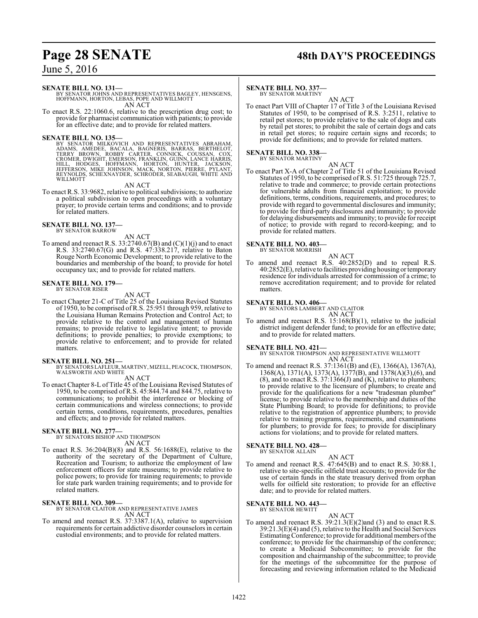# **Page 28 SENATE 48th DAY'S PROCEEDINGS**

## June 5, 2016

#### **SENATE BILL NO. 131—**

BY SENATOR JOHNS AND REPRESENTATIVES BAGLEY, HENSGENS, HOFFMANN, HORTON, LEBAS, POPE AND WILLMOTT AN ACT

To enact R.S. 22:1060.6, relative to the prescription drug cost; to provide for pharmacist communication with patients; to provide for an effective date; and to provide for related matters.

SENATE BILL NO. 135—<br>
BY SENATOR MILKOVICH AND REPRESENTATIVES ABRAHAM,<br>
ADAMS, AMEDEE, BACALA, BAGNERIS, BARRAS, BERTHELOT,<br>
TERRY BROWN, ROBBY CARTER, CONNICK, COUSSAN, COX,<br>
CROMER, DWIGHT, EMERSON, FRANKLIN, GUINN, LAN

#### AN ACT

To enact R.S. 33:9682, relative to political subdivisions; to authorize a political subdivision to open proceedings with a voluntary prayer; to provide certain terms and conditions; and to provide for related matters.

#### **SENATE BILL NO. 137—** BY SENATOR BARROW

AN ACT

To amend and reenact R.S.  $33:2740.67(B)$  and  $(C)(1)(j)$  and to enact R.S. 33:2740.67(G) and R.S. 47:338.217, relative to Baton Rouge North Economic Development; to provide relative to the boundaries and membership of the board; to provide for hotel occupancy tax; and to provide for related matters.

# **SENATE BILL NO. 179—** BY SENATOR RISER

AN ACT

To enact Chapter 21-C of Title 25 of the Louisiana Revised Statutes of 1950, to be comprised of R.S. 25:951 through 959, relative to the Louisiana Human Remains Protection and Control Act; to provide relative to the control and management of human remains; to provide relative to legislative intent; to provide definitions; to provide penalties; to provide exemptions; to provide relative to enforcement; and to provide for related matters.

**SENATE BILL NO. 251—**<br>BY SENATORS LAFLEUR, MARTINY, MIZELL, PEACOCK, THOMPSON,<br>WALSWORTH AND WHITE AN ACT

To enact Chapter 8-L of Title 45 of the Louisiana Revised Statutes of 1950, to be comprised of R.S. 45:844.74 and 844.75, relative to communications; to prohibit the interference or blocking of certain communications and wireless connections; to provide certain terms, conditions, requirements, procedures, penalties and effects; and to provide for related matters.

# **SENATE BILL NO. 277—** BY SENATORS BISHOP AND THOMPSON

AN ACT

To enact R.S. 36:204(B)(8) and R.S. 56:1688(E), relative to the authority of the secretary of the Department of Culture, Recreation and Tourism; to authorize the employment of law enforcement officers for state museums; to provide relative to police powers; to provide for training requirements; to provide for state park warden training requirements; and to provide for related matters.

#### **SENATE BILL NO. 309—**

BY SENATOR CLAITOR AND REPRESENTATIVE JAMES AN ACT

To amend and reenact R.S. 37:3387.1(A), relative to supervision requirements for certain addictive disorder counselors in certain custodial environments; and to provide for related matters.

#### **SENATE BILL NO. 337—**

BY SENATOR MARTINY

AN ACT To enact Part VIII of Chapter 17 of Title 3 of the Louisiana Revised Statutes of 1950, to be comprised of R.S. 3:2511, relative to retail pet stores; to provide relative to the sale of dogs and cats by retail pet stores; to prohibit the sale of certain dogs and cats in retail pet stores; to require certain signs and records; to provide for definitions; and to provide for related matters.

# **SENATE BILL NO. 338—** BY SENATOR MARTINY

AN ACT

To enact Part X-A of Chapter 2 of Title 51 of the Louisiana Revised Statutes of 1950, to be comprised of R.S. 51:725 through 725.7, relative to trade and commerce; to provide certain protections for vulnerable adults from financial exploitation; to provide definitions, terms, conditions, requirements, and procedures; to provide with regard to governmental disclosures and immunity; to provide for third-party disclosures and immunity; to provide for delaying disbursements and immunity; to provide for receipt of notice; to provide with regard to record-keeping; and to provide for related matters.

#### **SENATE BILL NO. 403—**

BY SENATOR MORRISH AN ACT

To amend and reenact R.S. 40:2852(D) and to repeal R.S. 40:2852(E), relative to facilities providing housing or temporary residence for individuals arrested for commission of a crime; to remove accreditation requirement; and to provide for related matters.

#### **SENATE BILL NO. 406—**

BY SENATORS LAMBERT AND CLAITOR AN ACT

To amend and reenact R.S. 15:168(B)(1), relative to the judicial district indigent defender fund; to provide for an effective date; and to provide for related matters.

#### **SENATE BILL NO. 421—**

BY SENATOR THOMPSON AND REPRESENTATIVE WILLMOTT AN ACT

To amend and reenact R.S. 37:1361(B) and (E), 1366(A), 1367(A), 1368(A), 1371(A), 1373(A), 1377(B), and 1378(A)(3),(6), and (8), and to enact  $\hat{R}$ .S. 37:1366(J) and (K), relative to plumbers; to provide relative to the licensure of plumbers; to create and provide for the qualifications for a new "tradesman plumber" license; to provide relative to the membership and duties of the State Plumbing Board; to provide for definitions; to provide relative to the registration of apprentice plumbers; to provide relative to training programs, requirements, and examinations for plumbers; to provide for fees; to provide for disciplinary actions for violations; and to provide for related matters.

# **SENATE BILL NO. 428—** BY SENATOR ALLAIN

AN ACT To amend and reenact R.S. 47:645(B) and to enact R.S. 30:88.1, relative to site-specific oilfield trust accounts; to provide for the use of certain funds in the state treasury derived from orphan wells for oilfield site restoration; to provide for an effective date; and to provide for related matters.

#### **SENATE BILL NO. 443—** BY SENATOR HEWITT

AN ACT

To amend and reenact R.S. 39:21.3(E)(2)and (3) and to enact R.S. 39:21.3(E)(4) and (5), relative to the Health and Social Services Estimating Conference; to provide for additional members of the conference; to provide for the chairmanship of the conference; to create a Medicaid Subcommittee; to provide for the composition and chairmanship of the subcommittee; to provide for the meetings of the subcommittee for the purpose of forecasting and reviewing information related to the Medicaid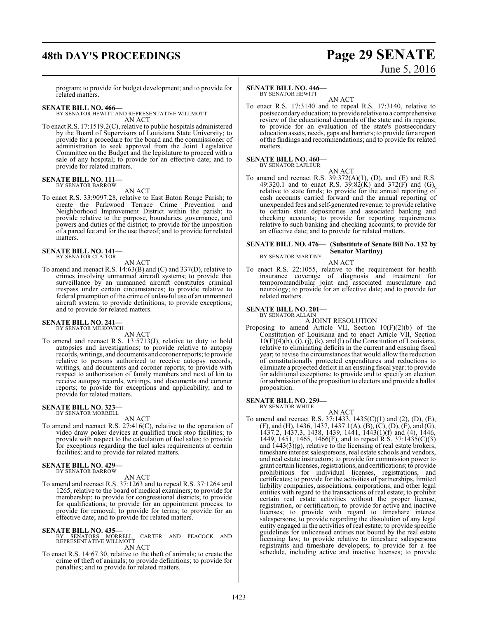# **48th DAY'S PROCEEDINGS Page 29 SENATE**

# June 5, 2016

program; to provide for budget development; and to provide for related matters.

#### **SENATE BILL NO. 466—**

BY SENATOR HEWITT AND REPRESENTATIVE WILLMOTT AN ACT

To enact R.S. 17:1519.2(C), relative to public hospitals administered by the Board of Supervisors of Louisiana State University; to provide for a procedure for the board and the commissioner of administration to seek approval from the Joint Legislative Committee on the Budget and the legislature to proceed with a sale of any hospital; to provide for an effective date; and to provide for related matters.

#### **SENATE BILL NO. 111—** BY SENATOR BARROW

AN ACT

To enact R.S. 33:9097.28, relative to East Baton Rouge Parish; to create the Parkwood Terrace Crime Prevention and Neighborhood Improvement District within the parish; to provide relative to the purpose, boundaries, governance, and powers and duties of the district; to provide for the imposition of a parcel fee and for the use thereof; and to provide for related matters.

**SENATE BILL NO. 141—** BY SENATOR CLAITOR

### AN ACT

To amend and reenact R.S. 14:63(B) and (C) and 337(D), relative to crimes involving unmanned aircraft systems; to provide that surveillance by an unmanned aircraft constitutes criminal trespass under certain circumstances; to provide relative to federal preemption of the crime of unlawful use of an unmanned aircraft system; to provide definitions; to provide exceptions; and to provide for related matters.

# **SENATE BILL NO. 241—**<br>BY SENATOR MILKOVICH

AN ACT To amend and reenact R.S. 13:5713(J), relative to duty to hold autopsies and investigations; to provide relative to autopsy records, writings, and documents and coroner reports; to provide relative to persons authorized to receive autopsy records, writings, and documents and coroner reports; to provide with respect to authorization of family members and next of kin to receive autopsy records, writings, and documents and coroner

reports; to provide for exceptions and applicability; and to

# **SENATE BILL NO. 323—** BY SENATOR MORRELL

provide for related matters.

AN ACT

To amend and reenact R.S. 27:416(C), relative to the operation of video draw poker devices at qualified truck stop facilities; to provide with respect to the calculation of fuel sales; to provide for exceptions regarding the fuel sales requirements at certain facilities; and to provide for related matters.

#### **SENATE BILL NO. 429—** BY SENATOR BARROW

AN ACT

To amend and reenact R.S. 37:1263 and to repeal R.S. 37:1264 and 1265, relative to the board of medical examiners; to provide for membership; to provide for congressional districts; to provide for qualifications; to provide for an appointment process; to provide for removal; to provide for terms; to provide for an effective date; and to provide for related matters.

**SENATE BILL NO. 435—**<br>
BY SENATORS MORRELL, CARTER AND PEACOCK AND<br>
REPRESENTATIVE WILLMOTT AN ACT

To enact R.S. 14:67.30, relative to the theft of animals; to create the crime of theft of animals; to provide definitions; to provide for penalties; and to provide for related matters.

#### **SENATE BILL NO. 446—**

BY SENATOR HEWITT

AN ACT To enact R.S. 17:3140 and to repeal R.S. 17:3140, relative to postsecondary education; to provide relative to a comprehensive review of the educational demands of the state and its regions; to provide for an evaluation of the state's postsecondary education assets, needs, gaps and barriers; to provide for a report of the findings and recommendations; and to provide for related matters.

#### **SENATE BILL NO. 460—** BY SENATOR LAFLEUR

AN ACT

To amend and reenact R.S.  $39:372(A)(1)$ , (D), and (E) and R.S. 49:320.1 and to enact R.S. 39:82(K) and 372(F) and (G), relative to state funds; to provide for the annual reporting of cash accounts carried forward and the annual reporting of unexpended fees and self-generated revenue; to provide relative to certain state depositories and associated banking and checking accounts; to provide for reporting requirements relative to such banking and checking accounts; to provide for an effective date; and to provide for related matters.

#### **SENATE BILL NO. 476— (Substitute of Senate Bill No. 132 by Senator Martiny)** BY SENATOR MARTINY

AN ACT

To enact R.S. 22:1055, relative to the requirement for health insurance coverage of diagnosis and treatment for temporomandibular joint and associated musculature and neurology; to provide for an effective date; and to provide for related matters.

#### **SENATE BILL NO. 201—**

BY SENATOR ALLAIN

A JOINT RESOLUTION

Proposing to amend Article VII, Section 10(F)(2)(b) of the Constitution of Louisiana and to enact Article VII, Section  $10(F)(4)(h)$ , (i), (j), (k), and (l) of the Constitution of Louisiana, relative to eliminating deficits in the current and ensuing fiscal year; to revise the circumstances that would allow the reduction of constitutionally protected expenditures and reductions to eliminate a projected deficit in an ensuing fiscal year; to provide for additional exceptions; to provide and to specify an election for submission ofthe proposition to electors and provide a ballot proposition.

#### **SENATE BILL NO. 259—** BY SENATOR WHITE

AN ACT

To amend and reenact R.S. 37:1433, 1435(C)(1) and (2), (D), (E), (F), and (H), 1436, 1437, 1437.1(A), (B), (C), (D), (F), and (G), 1437.2, 1437.3, 1438, 1439, 1441, 1443(1)(f) and (4), 1446, 1449, 1451, 1465, 1466(F), and to repeal R.S. 37:1435(C)(3) and 1443(3)(g), relative to the licensing of real estate brokers, timeshare interest salespersons, real estate schools and vendors, and real estate instructors; to provide for commission power to grant certain licenses, registrations, and certifications; to provide prohibitions for individual licenses, registrations, and certificates; to provide for the activities of partnerships, limited liability companies, associations, corporations, and other legal entities with regard to the transactions of real estate; to prohibit certain real estate activities without the proper license, registration, or certification; to provide for active and inactive licenses; to provide with regard to timeshare interest salespersons; to provide regarding the dissolution of any legal entity engaged in the activities of real estate; to provide specific guidelines for unlicensed entities not bound by the real estate licensing law; to provide relative to timeshare salespersons registrants and timeshare developers; to provide for a fee schedule, including active and inactive licenses; to provide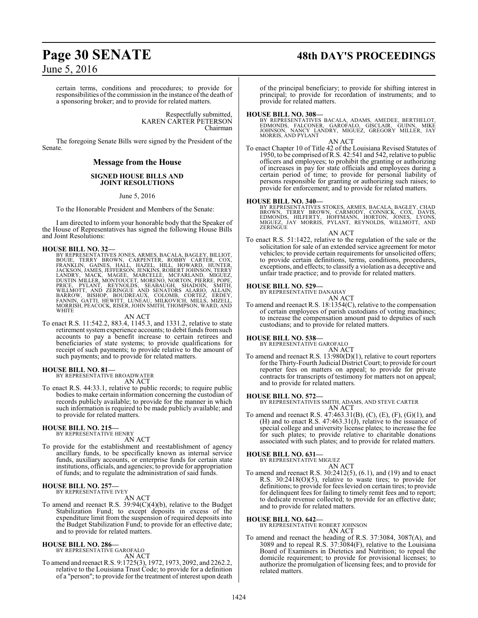# **Page 30 SENATE 48th DAY'S PROCEEDINGS**

June 5, 2016

certain terms, conditions and procedures; to provide for responsibilities of the commission in the instance of the death of a sponsoring broker; and to provide for related matters.

> Respectfully submitted, KAREN CARTER PETERSON Chairman

The foregoing Senate Bills were signed by the President of the Senate.

#### **Message from the House**

#### **SIGNED HOUSE BILLS AND JOINT RESOLUTIONS**

June 5, 2016

To the Honorable President and Members of the Senate:

I am directed to inform your honorable body that the Speaker of the House of Representatives has signed the following House Bills and Joint Resolutions:

#### **HOUSE BILL NO. 32—**

BY REPRESENTATIVES JONES, ARMES, BACALA, BAGLEY, BILLIOT,<br>BOUIE, TERRY BROWN, CARPENTER, ROBBY CARTER, COX,<br>FRANKLIN, GAINES, HALL, HAZEL, HILL, HOWARD, HUNTER,<br>JACKSON, JAMES, JEFFERSON, JENKINS, R LANDRY, MACK, MAGEE, MARCELLE, MCFARLAND, MIGUEZ,<br>DUSTIN MILLER, MONTOUCET, MORENO, NORTON, PIERRE, POPE,<br>PRICE, PYLANT, REYNOLDS, SEABAUGH, SHADOIN, SMITH,<br>WILLMOTT, AND ZERINGUE AND SENATORS ALARIO, ALLAIN,<br>BARROW, BISHO **WHITE** 

AN ACT

To enact R.S. 11:542.2, 883.4, 1145.3, and 1331.2, relative to state retirement system experience accounts; to debit funds from such accounts to pay a benefit increase to certain retirees and beneficiaries of state systems; to provide qualifications for receipt of such payments; to provide relative to the amount of such payments; and to provide for related matters.

#### **HOUSE BILL NO. 81—**

BY REPRESENTATIVE BROADWATER AN ACT

To enact R.S. 44:33.1, relative to public records; to require public bodies to make certain information concerning the custodian of records publicly available; to provide for the manner in which such information is required to be made publicly available; and to provide for related matters.

#### **HOUSE BILL NO. 215—** BY REPRESENTATIVE HENRY

AN ACT

To provide for the establishment and reestablishment of agency ancillary funds, to be specifically known as internal service funds, auxiliary accounts, or enterprise funds for certain state institutions, officials, and agencies; to provide for appropriation of funds; and to regulate the administration of said funds.

#### **HOUSE BILL NO. 257—** BY REPRESENTATIVE IVEY

AN ACT

To amend and reenact R.S. 39:94(C)(4)(b), relative to the Budget Stabilization Fund; to except deposits in excess of the expenditure limit from the suspension of required deposits into the Budget Stabilization Fund; to provide for an effective date; and to provide for related matters.

#### **HOUSE BILL NO. 286—**

BY REPRESENTATIVE GAROFALO AN ACT

To amend and reenact R.S. 9:1725(3), 1972, 1973, 2092, and 2262.2, relative to the Louisiana Trust Code; to provide for a definition of a "person"; to provide for the treatment of interest upon death of the principal beneficiary; to provide for shifting interest in principal; to provide for recordation of instruments; and to provide for related matters.

#### **HOUSE BILL NO. 308—**

BY REPRESENTATIVES BACALA, ADAMS, AMEDEE, BERTHELOT,<br>EDMONDS, FALCONER, GAROFALO, GISCLAIR, GUINN, MIKE<br>JOHNSON, NANCY LANDRY, MIGUEZ, GREGORY MILLER, JAY MORRIS, AND PYLANT

#### AN ACT

To enact Chapter 10 of Title 42 of the Louisiana Revised Statutes of 1950, to be comprised of R.S. 42:541 and 542, relative to public officers and employees; to prohibit the granting or authorizing of increases in pay for state officials and employees during a certain period of time; to provide for personal liability of persons responsible for granting or authorizing such raises; to provide for enforcement; and to provide for related matters.

**HOUSE BILL NO. 340—**<br>BY REPRESENTATIVES STOKES, ARMES, BACALA, BAGLEY, CHAD<br>BROWN, TERRY BROWN, CARMODY, CONNICK, COX, DAVIS,<br>EDMONDS, HILFERTY, HOFFMANN, HORTON, JONES, LYONS,<br>MIGUEZ, JAY MORRIS, PYLANT, REYNOLDS, WILLMO

- AN ACT
- To enact R.S. 51:1422, relative to the regulation of the sale or the solicitation for sale of an extended service agreement for motor vehicles; to provide certain requirements for unsolicited offers; to provide certain definitions, terms, conditions, procedures, exceptions, and effects; to classify a violation as a deceptive and unfair trade practice; and to provide for related matters.

#### **HOUSE BILL NO. 529—**

BY REPRESENTATIVE DANAHAY AN ACT

To amend and reenact R.S. 18:1354(C), relative to the compensation of certain employees of parish custodians of voting machines; to increase the compensation amount paid to deputies of such custodians; and to provide for related matters.

**HOUSE BILL NO. 538—** BY REPRESENTATIVE GAROFALO

AN ACT To amend and reenact R.S. 13:980(D)(1), relative to court reporters for the Thirty-Fourth Judicial District Court; to provide for court reporter fees on matters on appeal; to provide for private contracts for transcripts of testimony for matters not on appeal; and to provide for related matters.

**HOUSE BILL NO. 572—** BY REPRESENTATIVES SMITH, ADAMS, AND STEVE CARTER AN ACT

To amend and reenact R.S. 47:463.31(B), (C), (E), (F), (G)(1), and (H) and to enact R.S.  $47:463.31(\text{J})$ , relative to the issuance of special college and university license plates; to increase the fee for such plates; to provide relative to charitable donations associated with such plates; and to provide for related matters.

#### **HOUSE BILL NO. 631—**

BY REPRESENTATIVE MIGUEZ

AN ACT To amend and reenact R.S. 30:2412(5), (6.1), and (19) and to enact R.S. 30:2418(O)(5), relative to waste tires; to provide for definitions; to provide for fees levied on certain tires; to provide for delinquent fees for failing to timely remit fees and to report; to dedicate revenue collected; to provide for an effective date; and to provide for related matters.

**HOUSE BILL NO. 642—** BY REPRESENTATIVE ROBERT JOHNSON AN ACT

To amend and reenact the heading of R.S. 37:3084, 3087(A), and 3089 and to repeal R.S. 37:3084(F), relative to the Louisiana Board of Examiners in Dietetics and Nutrition; to repeal the domicile requirement; to provide for provisional licenses; to authorize the promulgation of licensing fees; and to provide for related matters.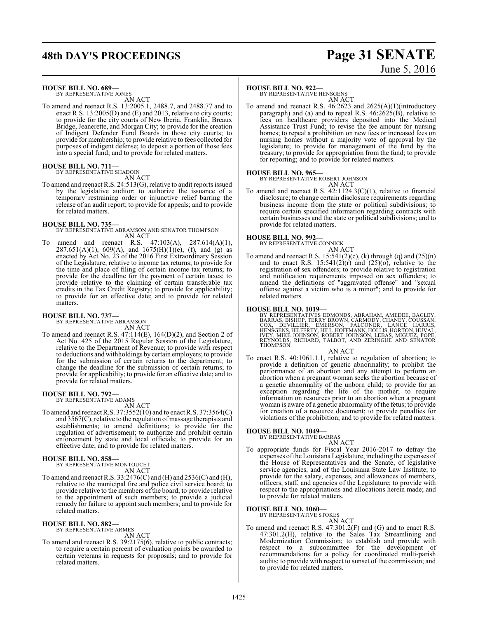# **48th DAY'S PROCEEDINGS Page 31 SENATE**

# June 5, 2016

**HOUSE BILL NO. 689—**

BY REPRESENTATIVE JONES AN ACT

To amend and reenact R.S. 13:2005.1, 2488.7, and 2488.77 and to enact R.S. 13:2005(D) and (E) and 2013, relative to city courts; to provide for the city courts of New Iberia, Franklin, Breaux Bridge, Jeanerette, and Morgan City; to provide for the creation of Indigent Defender Fund Boards in those city courts; to provide for membership; to provide relative to fees collected for purposes of indigent defense; to deposit a portion of those fees into a special fund; and to provide for related matters.

#### **HOUSE BILL NO. 711—** BY REPRESENTATIVE SHADOIN

AN ACT

To amend and reenact R.S. 24:513(G), relative to audit reports issued by the legislative auditor; to authorize the issuance of a temporary restraining order or injunctive relief barring the release of an audit report; to provide for appeals; and to provide for related matters.

#### **HOUSE BILL NO. 735—**

BY REPRESENTATIVE ABRAMSON AND SENATOR THOMPSON AN ACT

To amend and reenact R.S. 47:103(A), 287.614(A)(1),  $287.651(A)(1)$ ,  $609(A)$ , and  $1675(H)(1)(e)$ , (f), and (g) as enacted by Act No. 23 of the 2016 First Extraordinary Session of the Legislature, relative to income tax returns; to provide for the time and place of filing of certain income tax returns; to provide for the deadline for the payment of certain taxes; to provide relative to the claiming of certain transferable tax credits in the Tax Credit Registry; to provide for applicability; to provide for an effective date; and to provide for related matters.

# **HOUSE BILL NO. 737—** BY REPRESENTATIVE ABRAMSON

AN ACT

To amend and reenact R.S. 47:114(E), 164(D)(2), and Section 2 of Act No. 425 of the 2015 Regular Session of the Legislature, relative to the Department of Revenue; to provide with respect to deductions and withholdings by certain employers; to provide for the submission of certain returns to the department; to change the deadline for the submission of certain returns; to provide for applicability; to provide for an effective date; and to provide for related matters.

#### **HOUSE BILL NO. 792—**

BY REPRESENTATIVE ADAMS AN ACT

To amend and reenact R.S. 37:3552(10) and to enact R.S. 37:3564(C) and  $3567(C)$ , relative to the regulation of massage therapists and establishments; to amend definitions; to provide for the regulation of advertisement; to authorize and prohibit certain enforcement by state and local officials; to provide for an effective date; and to provide for related matters.

#### **HOUSE BILL NO. 858—**

BY REPRESENTATIVE MONTOUCET AN ACT

To amend and reenact R.S. 33:2476(C) and (H) and 2536(C) and (H), relative to the municipal fire and police civil service board; to provide relative to the members of the board; to provide relative to the appointment of such members; to provide a judicial remedy for failure to appoint such members; and to provide for related matters.

# **HOUSE BILL NO. 882—** BY REPRESENTATIVE ARMES

AN ACT

To amend and reenact R.S. 39:2175(6), relative to public contracts; to require a certain percent of evaluation points be awarded to certain veterans in requests for proposals; and to provide for related matters.

#### **HOUSE BILL NO. 922—**

BY REPRESENTATIVE HENSGENS AN ACT

To amend and reenact R.S. 46:2623 and 2625(A)(1)(introductory paragraph) and (a) and to repeal R.S.  $46:2625(B)$ , relative to fees on healthcare providers deposited into the Medical Assistance Trust Fund; to revise the fee amount for nursing homes; to repeal a prohibition on new fees or increased fees on nursing homes without a majority vote of approval by the legislature; to provide for management of the fund by the treasury; to provide for appropriation from the fund; to provide for reporting; and to provide for related matters.

#### **HOUSE BILL NO. 965—**

BY REPRESENTATIVE ROBERT JOHNSON

AN ACT

To amend and reenact R.S. 42:1124.3(C)(1), relative to financial disclosure; to change certain disclosure requirements regarding business income from the state or political subdivisions; to require certain specified information regarding contracts with certain businesses and the state or political subdivisions; and to provide for related matters.

# **HOUSE BILL NO. 992—** BY REPRESENTATIVE CONNICK

AN ACT

To amend and reenact R.S.  $15:541(2)(c)$ , (k) through (q) and  $(25)(n)$ and to enact R.S.  $15:541(2)(r)$  and  $(25)(0)$ , relative to the registration of sex offenders; to provide relative to registration and notification requirements imposed on sex offenders; to amend the definitions of "aggravated offense" and "sexual offense against a victim who is a minor"; and to provide for related matters.

**HOUSE BILL NO. 1019—**<br>BY REPRESENTATIVES EDMONDS, ABRAHAM, AMEDEE, BAGLEY,<br>BARRAS, BISHOP, TERRY BROWN, CARMODY, CHANEY, COUSSAN,<br>COX, DEVILLIER, EMERSON, FALCONER, LANCE HARRIS,<br>HENSGENS, HILFERTY, HILL, HOFFMANN, HOLLIS

#### AN ACT

To enact R.S. 40:1061.1.1, relative to regulation of abortion; to provide a definition of genetic abnormality; to prohibit the performance of an abortion and any attempt to perform an abortion when a pregnant woman seeks the abortion because of a genetic abnormality of the unborn child; to provide for an exception regarding the life of the mother; to require information on resources prior to an abortion when a pregnant woman is aware of a genetic abnormality of the fetus; to provide for creation of a resource document; to provide penalties for violations of the prohibition; and to provide for related matters.

# **HOUSE BILL NO. 1049—** BY REPRESENTATIVE BARRAS

AN ACT

To appropriate funds for Fiscal Year 2016-2017 to defray the expenses ofthe Louisiana Legislature, including the expenses of the House of Representatives and the Senate, of legislative service agencies, and of the Louisiana State Law Institute; to provide for the salary, expenses, and allowances of members, officers, staff, and agencies of the Legislature; to provide with respect to the appropriations and allocations herein made; and to provide for related matters.

#### **HOUSE BILL NO. 1060—** BY REPRESENTATIVE STOKES

AN ACT

To amend and reenact R.S. 47:301.2(F) and (G) and to enact R.S. 47:301.2(H), relative to the Sales Tax Streamlining and Modernization Commission; to establish and provide with respect to a subcommittee for the development of recommendations for a policy for coordinated multi-parish audits; to provide with respect to sunset of the commission; and to provide for related matters.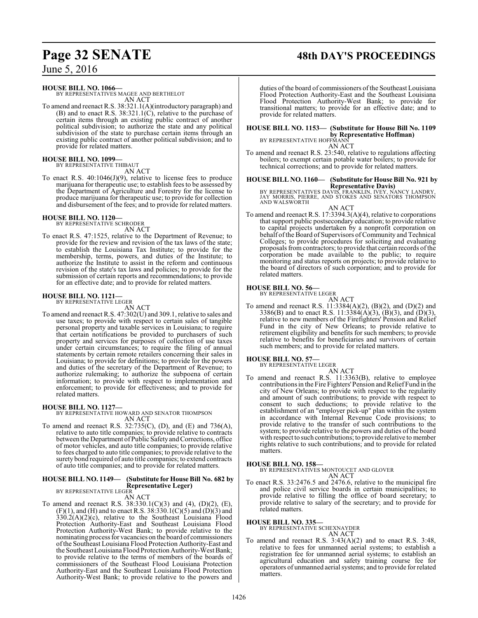# **Page 32 SENATE 48th DAY'S PROCEEDINGS**

June 5, 2016

**HOUSE BILL NO. 1066—**

BY REPRESENTATIVES MAGEE AND BERTHELOT AN ACT

To amend and reenact R.S. 38:321.1(A)(introductory paragraph) and (B) and to enact R.S.  $38:321.1(\text{C})$ , relative to the purchase of certain items through an existing public contract of another political subdivision; to authorize the state and any political subdivision of the state to purchase certain items through an existing public contract of another political subdivision; and to provide for related matters.

# **HOUSE BILL NO. 1099—** BY REPRESENTATIVE THIBAUT

AN ACT

To enact R.S. 40:1046(J)(9), relative to license fees to produce marijuana for therapeutic use; to establish fees to be assessed by the Department of Agriculture and Forestry for the license to produce marijuana for therapeutic use; to provide for collection and disbursement of the fees; and to provide for related matters.

# **HOUSE BILL NO. 1120—** BY REPRESENTATIVE SCHRODER

AN ACT

To enact R.S. 47:1525, relative to the Department of Revenue; to provide for the review and revision of the tax laws of the state; to establish the Louisiana Tax Institute; to provide for the membership, terms, powers, and duties of the Institute; to authorize the Institute to assist in the reform and continuous revision of the state's tax laws and policies; to provide for the submission of certain reports and recommendations; to provide for an effective date; and to provide for related matters.

#### **HOUSE BILL NO. 1121—**

BY REPRESENTATIVE LEGER

AN ACT To amend and reenact R.S. 47:302(U) and 309.1, relative to sales and use taxes; to provide with respect to certain sales of tangible personal property and taxable services in Louisiana; to require that certain notifications be provided to purchasers of such property and services for purposes of collection of use taxes under certain circumstances; to require the filing of annual statements by certain remote retailers concerning their sales in Louisiana; to provide for definitions; to provide for the powers and duties of the secretary of the Department of Revenue; to authorize rulemaking; to authorize the subpoena of certain information; to provide with respect to implementation and enforcement; to provide for effectiveness; and to provide for related matters.

**HOUSE BILL NO. 1127—** BY REPRESENTATIVE HOWARD AND SENATOR THOMPSON AN ACT

To amend and reenact R.S. 32:735(C), (D), and (E) and 736(A), relative to auto title companies; to provide relative to contracts between the Department ofPublic Safetyand Corrections, office of motor vehicles, and auto title companies; to provide relative to fees charged to auto title companies; to provide relative to the surety bond required of auto title companies; to extend contracts of auto title companies; and to provide for related matters.

#### **HOUSE BILL NO. 1149— (Substitute for House Bill No. 682 by Representative Leger)** BY REPRESENTATIVE LEGER

AN ACT

To amend and reenact R.S. 38:330.1(C)(3) and (4), (D)(2), (E),  $(F)(1)$ , and  $(H)$  and to enact R.S. 38:330.1(C)(5) and  $(D)(3)$  and  $330.2(A)(2)(c)$ , relative to the Southeast Louisiana Flood Protection Authority-East and Southeast Louisiana Flood Protection Authority-West Bank; to provide relative to the nominating process for vacancies on the board of commissioners ofthe Southeast Louisiana Flood Protection Authority-East and the Southeast Louisiana Flood Protection Authority-West Bank; to provide relative to the terms of members of the boards of commissioners of the Southeast Flood Louisiana Protection Authority-East and the Southeast Louisiana Flood Protection Authority-West Bank; to provide relative to the powers and

duties of the board of commissioners of the Southeast Louisiana Flood Protection Authority-East and the Southeast Louisiana Flood Protection Authority-West Bank; to provide for transitional matters; to provide for an effective date; and to provide for related matters.

## **HOUSE BILL NO. 1153— (Substitute for House Bill No. 1109**

**by Representative Hoffman)**<br>BY REPRESENTATIVE HOFFMANN

AN ACT

To amend and reenact R.S. 23:540, relative to regulations affecting boilers; to exempt certain potable water boilers; to provide for technical corrections; and to provide for related matters.

# **HOUSE BILL NO. 1160— (Substitute for House Bill No. 921 by**

**Representative Davis)**<br>BY REPRESENTATIVES DAVIS, FRANKLIN, IVEY, NANCY LANDRY,<br>JAY MORRIS, PIERRE, AND STOKES AND SENATORS THOMPSON<br>AND WALSWORTH

#### AN ACT

To amend and reenact R.S. 17:3394.3(A)(4), relative to corporations that support public postsecondary education; to provide relative to capital projects undertaken by a nonprofit corporation on behalf of the Board of Supervisors of Community and Technical Colleges; to provide procedures for soliciting and evaluating proposals fromcontractors; to provide that certain records ofthe corporation be made available to the public; to require monitoring and status reports on projects; to provide relative to the board of directors of such corporation; and to provide for related matters.

# **HOUSE BILL NO. 56—** BY REPRESENTATIVE LEGER

AN ACT To amend and reenact R.S. 11:3384(A)(2), (B)(2), and (D)(2) and 3386(B) and to enact R.S. 11:3384(A)(3), (B)(3), and (D)(3), relative to new members of the Firefighters' Pension and Relief Fund in the city of New Orleans; to provide relative to retirement eligibility and benefits for such members; to provide relative to benefits for beneficiaries and survivors of certain such members; and to provide for related matters.

# **HOUSE BILL NO. 57—** BY REPRESENTATIVE LEGER

AN ACT

To amend and reenact R.S. 11:3363(B), relative to employee contributions in the Fire Fighters' Pension and Relief Fund in the city of New Orleans; to provide with respect to the regularity and amount of such contributions; to provide with respect to consent to such deductions; to provide relative to the establishment of an "employer pick-up" plan within the system in accordance with Internal Revenue Code provisions; to provide relative to the transfer of such contributions to the system; to provide relative to the powers and duties of the board with respect to such contributions; to provide relative to member rights relative to such contributions; and to provide for related matters.

#### **HOUSE BILL NO. 158—**

BY REPRESENTATIVES MONTOUCET AND GLOVER AN ACT

To enact R.S. 33:2476.5 and 2476.6, relative to the municipal fire and police civil service boards in certain municipalities; to provide relative to filling the office of board secretary; to provide relative to salary of the secretary; and to provide for related matters.

#### **HOUSE BILL NO. 335—**

BY REPRESENTATIVE SCHEXNAYDER AN ACT

To amend and reenact R.S. 3:43(A)(2) and to enact R.S. 3:48, relative to fees for unmanned aerial systems; to establish a registration fee for unmanned aerial systems; to establish an agricultural education and safety training course fee for operators of unmanned aerial systems; and to provide for related matters.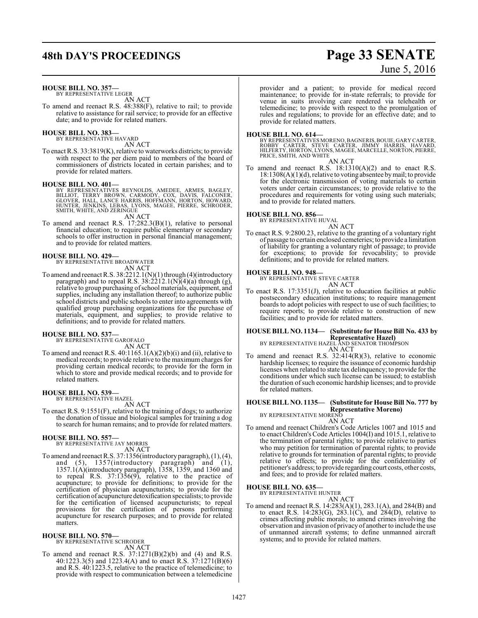# **48th DAY'S PROCEEDINGS Page 33 SENATE**

# June 5, 2016

#### **HOUSE BILL NO. 357—**

BY REPRESENTATIVE LEGER AN ACT

To amend and reenact R.S. 48:388(F), relative to rail; to provide relative to assistance for rail service; to provide for an effective date; and to provide for related matters.

# **HOUSE BILL NO. 383—** BY REPRESENTATIVE HAVARD

AN ACT

To enact R.S. 33:3819(K), relative to waterworks districts; to provide with respect to the per diem paid to members of the board of commissioners of districts located in certain parishes; and to provide for related matters.

**HOUSE BILL NO. 401—**<br>BY REPRESENTATIVES REYNOLDS, AMEDEE, ARMES, BAGLEY,<br>BILLIOT, TERRY BROWN, CARMODY, COX, DAVIS, FALCONER,<br>GLOVER, HALL, LANCE HARRIS, HOFFMANN, HORTON, HOWARD,<br>HUNTER, JENKINS, LEBAS, LYONS, MAGEE, PIE

AN ACT

To amend and reenact R.S. 17:282.3(B)(1), relative to personal financial education; to require public elementary or secondary schools to offer instruction in personal financial management; and to provide for related matters.

# **HOUSE BILL NO. 429—** BY REPRESENTATIVE BROADWATER

AN ACT

To amend and reenact R.S. 38:2212.1(N)(1) through (4)(introductory paragraph) and to repeal R.S.  $38:2212.1(N)(4)(a)$  through (g), relative to group purchasing ofschool materials, equipment, and supplies, including any installation thereof; to authorize public school districts and public schools to enter into agreements with qualified group purchasing organizations for the purchase of materials, equipment, and supplies; to provide relative to definitions; and to provide for related matters.

# **HOUSE BILL NO. 537—** BY REPRESENTATIVE GAROFALO

AN ACT

To amend and reenact R.S.  $40:1165.1(A)(2)(b)(i)$  and (ii), relative to medical records; to provide relative to the maximum charges for providing certain medical records; to provide for the form in which to store and provide medical records; and to provide for related matters.

#### **HOUSE BILL NO. 539—** BY REPRESENTATIVE HAZEL

AN ACT

To enact R.S. 9:1551(F), relative to the training of dogs; to authorize the donation of tissue and biological samples for training a dog to search for human remains; and to provide for related matters.

# **HOUSE BILL NO. 557—** BY REPRESENTATIVE JAY MORRIS

AN ACT

To amend and reenact R.S. 37:1356(introductoryparagraph), (1), (4), and (5), 1357(introductory paragraph) and (1), 1357.1(A)(introductory paragraph), 1358, 1359, and 1360 and to repeal R.S. 37:1356(9), relative to the practice of acupuncture; to provide for definitions; to provide for the certification of physician acupuncturists; to provide for the certification of acupuncture detoxification specialists; to provide for the certification of licensed acupuncturists; to repeal provisions for the certification of persons performing acupuncture for research purposes; and to provide for related matters.

#### **HOUSE BILL NO. 570—**

BY REPRESENTATIVE SCHRODER AN ACT

To amend and reenact R.S.  $37:1271(B)(2)(b)$  and  $(4)$  and R.S. 40:1223.3(5) and 1223.4(A) and to enact R.S. 37:1271(B)(6) and R.S. 40:1223.5, relative to the practice of telemedicine; to provide with respect to communication between a telemedicine provider and a patient; to provide for medical record maintenance; to provide for in-state referrals; to provide for venue in suits involving care rendered via telehealth or telemedicine; to provide with respect to the promulgation of rules and regulations; to provide for an effective date; and to provide for related matters.

**HOUSE BILL NO. 614—** BY REPRESENTATIVES MORENO, BAGNERIS,BOUIE, GARY CARTER, ROBBY CARTER, STEVE CARTER, JIMMY HARRIS, HAVARD, HILFERTY, HORTON, LYONS, MAGEE, MARCELLE, NORTON, PIERRE, PRICE, SMITH, AND WHITE AN ACT

To amend and reenact R.S. 18:1310(A)(2) and to enact R.S. 18:1308(A)(1)(d), relative to voting absentee by mail; to provide for the electronic transmission of voting materials to certain voters under certain circumstances; to provide relative to the procedures and requirements for voting using such materials; and to provide for related matters.

#### **HOUSE BILL NO. 856—**

BY REPRESENTATIVE HUVAL AN ACT

To enact R.S. 9:2800.23, relative to the granting of a voluntary right of passage to certain enclosed cemeteries; to provide a limitation of liability for granting a voluntary right of passage; to provide for exceptions; to provide for revocability; to provide definitions; and to provide for related matters.

**HOUSE BILL NO. 948—** BY REPRESENTATIVE STEVE CARTER

AN ACT

To enact R.S. 17:3351(J), relative to education facilities at public postsecondary education institutions; to require management boards to adopt policies with respect to use of such facilities; to require reports; to provide relative to construction of new facilities; and to provide for related matters.

# **HOUSE BILL NO. 1134— (Substitute for House Bill No. 433 by**

**Representative Hazel)** BY REPRESENTATIVE HAZEL AND SENATOR THOMPSON

- AN ACT
- To amend and reenact R.S. 32:414(R)(3), relative to economic hardship licenses; to require the issuance of economic hardship licenses when related to state tax delinquency; to provide for the conditions under which such license can be issued; to establish the duration ofsuch economic hardship licenses; and to provide for related matters.

## **HOUSE BILL NO. 1135— (Substitute for House Bill No. 777 by Representative Moreno)** BY REPRESENTATIVE MORENO

AN ACT

To amend and reenact Children's Code Articles 1007 and 1015 and to enact Children's Code Articles 1004(I) and 1015.1, relative to the termination of parental rights; to provide relative to parties who may petition for termination of parental rights; to provide relative to grounds for termination of parental rights; to provide relative to effects; to provide for the confidentiality of petitioner's address; to provide regarding court costs, other costs, and fees; and to provide for related matters.

#### **HOUSE BILL NO. 635—**

BY REPRESENTATIVE HUNTER AN ACT

To amend and reenact R.S. 14:283(A)(1), 283.1(A), and 284(B) and to enact R.S. 14:283(G), 283.1(C), and  $284(D)$ , relative to crimes affecting public morals; to amend crimes involving the observation and invasion of privacy of another to include the use of unmanned aircraft systems; to define unmanned aircraft systems; and to provide for related matters.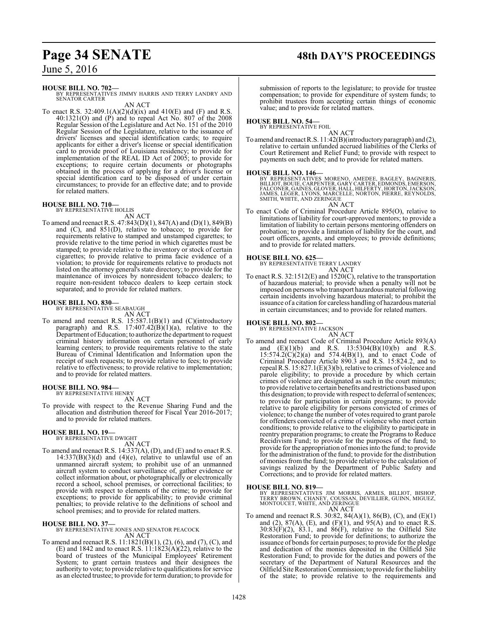# **Page 34 SENATE 48th DAY'S PROCEEDINGS**

June 5, 2016

#### **HOUSE BILL NO. 702—**

BY REPRESENTATIVES JIMMY HARRIS AND TERRY LANDRY AND SENATOR CARTER AN ACT

To enact R.S. 32:409.1(A)(2)(d)(ix) and 410(E) and (F) and R.S. 40:1321(O) and (P) and to repeal Act No. 807 of the 2008 Regular Session of the Legislature and Act No. 151 of the 2010 Regular Session of the Legislature, relative to the issuance of drivers' licenses and special identification cards; to require applicants for either a driver's license or special identification card to provide proof of Louisiana residency; to provide for implementation of the REAL ID Act of 2005; to provide for exceptions; to require certain documents or photographs obtained in the process of applying for a driver's license or special identification card to be disposed of under certain circumstances; to provide for an effective date; and to provide for related matters.

# **HOUSE BILL NO. 710—** BY REPRESENTATIVE HOLLIS AN ACT

To amend and reenact R.S. 47:843(D)(1), 847(A) and (D)(1), 849(B) and (C), and 851(D), relative to tobacco; to provide for requirements relative to stamped and unstamped cigarettes; to provide relative to the time period in which cigarettes must be stamped; to provide relative to the inventory or stock of certain cigarettes; to provide relative to prima facie evidence of a violation; to provide for requirements relative to products not listed on the attorney general's state directory; to provide for the maintenance of invoices by nonresident tobacco dealers; to require non-resident tobacco dealers to keep certain stock separated; and to provide for related matters.

#### **HOUSE BILL NO. 830—** BY REPRESENTATIVE SEABAUGH

AN ACT

To amend and reenact R.S. 15:587.1(B)(1) and (C)(introductory paragraph) and R.S.  $17:407.42(B)(1)(a)$ , relative to the Department ofEducation; to authorize the department to request criminal history information on certain personnel of early learning centers; to provide requirements relative to the state Bureau of Criminal Identification and Information upon the receipt of such requests; to provide relative to fees; to provide relative to effectiveness; to provide relative to implementation; and to provide for related matters.

#### **HOUSE BILL NO. 984—** BY REPRESENTATIVE HENRY

AN ACT

To provide with respect to the Revenue Sharing Fund and the allocation and distribution thereof for Fiscal Year 2016-2017; and to provide for related matters.

#### **HOUSE BILL NO. 19—** BY REPRESENTATIVE DWIGHT

AN ACT To amend and reenact R.S. 14:337(A), (D), and (E) and to enact R.S.  $14:337(B)(3)(d)$  and  $(4)(e)$ , relative to unlawful use of an unmanned aircraft system; to prohibit use of an unmanned aircraft system to conduct surveillance of, gather evidence or collect information about, or photographically or electronically record a school, school premises, or correctional facilities; to provide with respect to elements of the crime; to provide for exceptions; to provide for applicability; to provide criminal penalties; to provide relative to the definitions of school and school premises; and to provide for related matters.

**HOUSE BILL NO. 37—** BY REPRESENTATIVE JONES AND SENATOR PEACOCK AN ACT

To amend and reenact R.S. 11:1821(B)(1), (2), (6), and (7), (C), and (E) and 1842 and to enact R.S.  $11:1823(A)(22)$ , relative to the board of trustees of the Municipal Employees' Retirement System; to grant certain trustees and their designees the authority to vote; to provide relative to qualifications for service as an elected trustee; to provide for term duration; to provide for

submission of reports to the legislature; to provide for trustee compensation; to provide for expenditure of system funds; to prohibit trustees from accepting certain things of economic value; and to provide for related matters.

#### **HOUSE BILL NO. 54—** BY REPRESENTATIVE FOIL

AN ACT

To amend and reenact R.S. 11:42(B)(introductory paragraph) and (2), relative to certain unfunded accrued liabilities of the Clerks of Court Retirement and Relief Fund; to provide with respect to payments on such debt; and to provide for related matters.

#### **HOUSE BILL NO. 146—**

BY REPRESENTATIVES MORENO, AMEDEE, BAGLEY, BAGNERIS,<br>BILLIOT,BOUIE,CARPENTER,GARYCARTER,EDMONDS,EMERSON,<br>FALCONER,GAINES,GLOVER,HALL,HILFERTY,HORTON,JACKSON,<br>JAMES, LEGER,LYONS,MARCELLE,NORTON,PIERRE,REYNOLDS,<br>SMITH,WHITE, AN ACT

To enact Code of Criminal Procedure Article 895(O), relative to limitations of liability for court-approved mentors; to provide a limitation of liability to certain persons mentoring offenders on probation; to provide a limitation of liability for the court, and court officers, agents, and employees; to provide definitions; and to provide for related matters.

**HOUSE BILL NO. 625—** BY REPRESENTATIVE TERRY LANDRY AN ACT

To enact R.S. 32:1512(E) and 1520(C), relative to the transportation of hazardous material; to provide when a penalty will not be imposed on persons who transport hazardous material following certain incidents involving hazardous material; to prohibit the issuance of a citation for careless handling of hazardous material in certain circumstances; and to provide for related matters.

#### **HOUSE BILL NO. 802—**

BY REPRESENTATIVE JACKSON

- AN ACT
- To amend and reenact Code of Criminal Procedure Article 893(A) and  $(E)(1)(b)$  and R.S.  $13:5304(B)(10)(b)$  and R.S.  $15:574.2(C)(2)(a)$  and  $574.4(B)(1)$ , and to enact Code of Criminal Procedure Article 890.3 and R.S. 15:824.2, and to repeal R.S. 15:827.1(E)(3)(b), relative to crimes of violence and parole eligibility; to provide a procedure by which certain crimes of violence are designated as such in the court minutes; to provide relative to certain benefits and restrictions based upon this designation; to provide with respect to deferral of sentences; to provide for participation in certain programs; to provide relative to parole eligibility for persons convicted of crimes of violence; to change the number of votes required to grant parole for offenders convicted of a crime of violence who meet certain conditions; to provide relative to the eligibility to participate in reentry preparation programs; to create the Programs to Reduce Recidivism Fund; to provide for the purposes of the fund; to provide for the appropriation ofmonies into the fund; to provide for the administration of the fund; to provide for the distribution of monies from the fund; to provide relative to the calculation of savings realized by the Department of Public Safety and Corrections; and to provide for related matters.

#### **HOUSE BILL NO. 819—**

BY REPRESENTATIVES JIM MORRIS, ARMES, BILLIOT, BISHOP,<br>TERRY BROWN, CHANEY, COUSSAN, DEVILLIER, GUINN, MIGUEZ,<br>MONTOUCET,WHITE, AND ZERINGUE AN ACT

To amend and reenact R.S. 30:82, 84(A)(1), 86(B), (C), and (E)(1) and (2),  $87(A)$ , (E), and (F)(1), and  $95(A)$  and to enact R.S.  $30:83(F)(2)$ ,  $83.1$ , and  $86(F)$ , relative to the Oilfield Site Restoration Fund; to provide for definitions; to authorize the issuance of bonds for certain purposes; to provide for the pledge and dedication of the monies deposited in the Oilfield Site Restoration Fund; to provide for the duties and powers of the secretary of the Department of Natural Resources and the Oilfield Site Restoration Commission;to provide for the liability of the state; to provide relative to the requirements and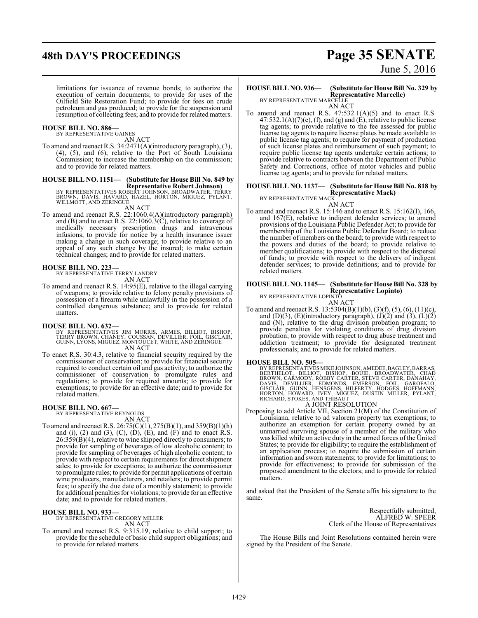# **48th DAY'S PROCEEDINGS Page 35 SENATE**

limitations for issuance of revenue bonds; to authorize the execution of certain documents; to provide for uses of the Oilfield Site Restoration Fund; to provide for fees on crude petroleum and gas produced; to provide for the suspension and resumption of collecting fees; and to provide for related matters.

# **HOUSE BILL NO. 886—** BY REPRESENTATIVE GAINES

AN ACT

To amend and reenact R.S. 34:2471(A)(introductory paragraph), (3), (4), (5), and (6), relative to the Port of South Louisiana Commission; to increase the membership on the commission; and to provide for related matters.

## **HOUSE BILL NO. 1151— (Substitute for House Bill No. 849 by**

**Representative Robert Johnson)** BY REPRESENTATIVES ROBERT JOHNSON, BROADWATER, TERRY BROWN, DAVIS, HAVARD, HAZEL, HORTON, MIGUEZ, PYLANT, WILLMOTT, AND ZERINGUE

#### AN ACT

To amend and reenact R.S. 22:1060.4(A)(introductory paragraph) and (B) and to enact R.S. 22:1060.3(C), relative to coverage of medically necessary prescription drugs and intravenous infusions; to provide for notice by a health insurance issuer making a change in such coverage; to provide relative to an appeal of any such change by the insured; to make certain technical changes; and to provide for related matters.

# **HOUSE BILL NO. 223—** BY REPRESENTATIVE TERRY LANDRY

AN ACT

To amend and reenact R.S. 14:95(E), relative to the illegal carrying of weapons; to provide relative to felony penalty provisions of possession of a firearm while unlawfully in the possession of a controlled dangerous substance; and to provide for related matters.

- **HOUSE BILL NO. 632—** BY REPRESENTATIVES JIM MORRIS, ARMES, BILLIOT, BISHOP, TERRY BROWN, CHANEY, COUSSAN, DEVILLIER, FOIL, GISCLAIR, GUINN, LYONS, MIGUEZ, MONTOUCET, WHITE, AND ZERINGUE AN ACT
- To enact R.S. 30:4.3, relative to financial security required by the commissioner of conservation; to provide for financial security required to conduct certain oil and gas activity; to authorize the commissioner of conservation to promulgate rules and regulations; to provide for required amounts; to provide for exemptions; to provide for an effective date; and to provide for related matters.

#### **HOUSE BILL NO. 667—**

BY REPRESENTATIVE REYNOLDS AN ACT

To amend and reenact R.S. 26:75(C)(1), 275(B)(1), and 359(B)(1)(h) and (i), (2) and (3), (C), (D), (E), and (F) and to enact R.S. 26:359(B)(4), relative to wine shipped directly to consumers; to provide for sampling of beverages of low alcoholic content; to provide for sampling of beverages of high alcoholic content; to provide with respect to certain requirements for direct shipment sales; to provide for exceptions; to authorize the commissioner to promulgate rules; to provide for permit applications of certain wine producers, manufacturers, and retailers; to provide permit fees; to specify the due date of a monthly statement; to provide for additional penalties for violations; to provide for an effective date; and to provide for related matters.

#### **HOUSE BILL NO. 933—**

BY REPRESENTATIVE GREGORY MILLER AN ACT

To amend and reenact R.S. 9:315.19, relative to child support; to provide for the schedule of basic child support obligations; and to provide for related matters.

# June 5, 2016

## **HOUSE BILL NO. 936— (Substitute for House Bill No. 329 by Representative Marcelle)** BY REPRESENTATIVE MARCELLE

AN ACT

To amend and reenact R.S. 47:532.1(A)(5) and to enact R.S.  $47:532.1(A)(7)(e)$ , (f), and (g) and (E), relative to public license tag agents; to provide relative to the fee assessed for public license tag agents to require license plates be made available to public license tag agents; to require for payment of production of such license plates and reimbursement of such payment; to require public license tag agents undertake certain actions; to provide relative to contracts between the Department of Public Safety and Corrections, office of motor vehicles and public license tag agents; and to provide for related matters.

### **HOUSE BILL NO. 1137— (Substitute for House Bill No. 818 by**

**Representative Mack)**

BY REPRESENTATIVE MACK AN ACT

To amend and reenact R.S. 15:146 and to enact R.S. 15:162(I), 166, and 167(E), relative to indigent defender services; to amend provisions of the Louisiana Public Defender Act; to provide for membership of the Louisiana Public Defender Board; to reduce the number of members on the board; to provide with respect to the powers and duties of the board; to provide relative to member qualifications; to provide with respect to the dispersal of funds; to provide with respect to the delivery of indigent defender services; to provide definitions; and to provide for related matters.

## **HOUSE BILL NO. 1145— (Substitute for House Bill No. 328 by Representative Lopinto)** BY REPRESENTATIVE LOPINTO

AN ACT To amend and reenact R.S. 13:5304(B)(1)(b), (3)(f), (5), (6), (11)(c), and (D)(3), (E)(introductory paragraph),  $(J)(2)$  and  $(3)$ ,  $(L)(2)$ and (N), relative to the drug division probation program; to provide penalties for violating conditions of drug division probation; to provide with respect to drug abuse treatment and addiction treatment; to provide for designated treatment professionals; and to provide for related matters.

**HOUSE BILL NO. 505—**<br>BY REPRESENTATIVES MIKE JOHNSON, AMEDEE, BAGLEY, BARRAS,<br>BERTHELOT, BILLOT, BOULE, BROADWATER, CHAD<br>BROWN, CARMODY, ROBBY CARTER, STEVE CARTER, DANAHAY,<br>DAVIS, DEVILLIER, EDMONDS, EMERSON, FOIL, GAROF

### A JOINT RESOLUTION

Proposing to add Article VII, Section 21(M) of the Constitution of Louisiana, relative to ad valorem property tax exemptions; to authorize an exemption for certain property owned by an unmarried surviving spouse of a member of the military who was killed while on active duty in the armed forces of the United States; to provide for eligibility; to require the establishment of an application process; to require the submission of certain information and sworn statements; to provide for limitations; to provide for effectiveness; to provide for submission of the proposed amendment to the electors; and to provide for related matters.

and asked that the President of the Senate affix his signature to the same.

> Respectfully submitted, ALFRED W. SPEER Clerk of the House of Representatives

The House Bills and Joint Resolutions contained herein were signed by the President of the Senate.